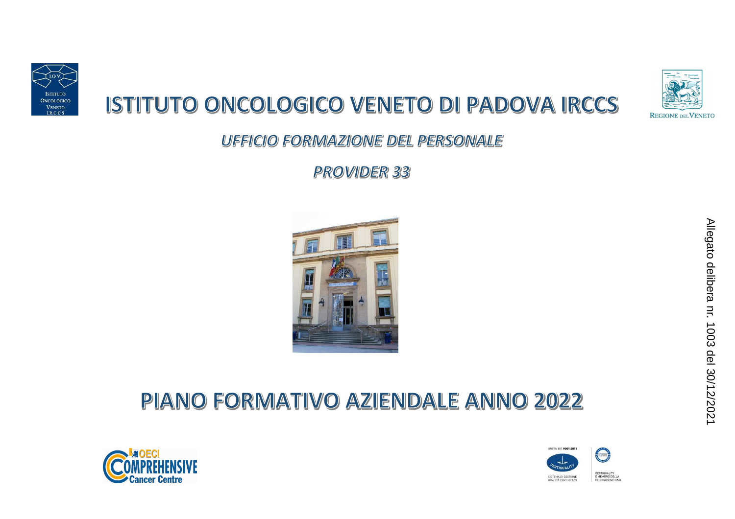

# ISTITUTO ONCOLOGICO VENETO DI PADOVA IRCCS



**UFFICIO FORMAZIONE DEL PERSONALE** 

**PROVIDER 33** 



## PIANO FORMATIVO AZIENDALE ANNO 2022



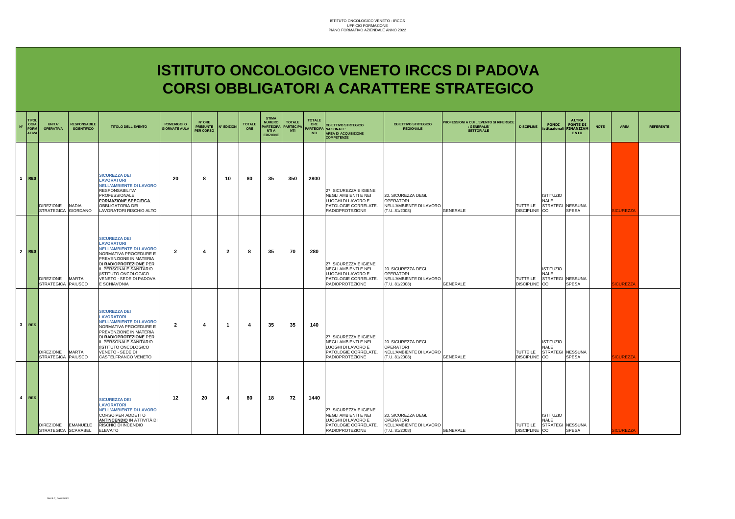### **ISTITUTO ONCOLOGICO VENETO IRCCS DI PADOVA CORSI OBBLIGATORI A CARATTERE STRATEGICO**

| $N^{\circ}$ | <b>TIPOL</b><br><b>OGIA</b><br><b>FORM</b><br><b>ATIVA</b> | UNITA'<br><b>OPERATIVA</b>                | <b>RESPONSABILE</b><br><b>SCIENTIFICO</b> | <b>TITOLO DELL'EVENTO</b>                                                                                                                                                                                                                             | <b>POMERIGGI O</b><br><b>GIORNATE AULA</b> | N° ORE<br><b>PRESUNTE</b><br>PER CORSO | <b>N° EDIZIONI</b> | <b>TOTALE</b><br><b>ORE</b> | <b>STIMA</b><br><b>NUMERO</b><br><b>PARTECIPA</b><br><b>NTI A</b><br><b>EDIZIONE</b> | <b>TOTALE</b><br><b>PARTECIP/</b><br><b>NTI</b> | <b>TOTALE</b><br>ORE<br><b>NTI</b> | <b>OBIETTIVO STRTEGICO</b><br><b>ARTECIPA NAZIONALE:</b><br><b>AREA DI ACQUISIZIONE</b><br><b>COMPETENZE</b>           | <b>OBIETTIVO STRTEGICO</b><br><b>REGIONALE</b>                                       | PROFESSIONI A CUI L'EVENTO SI RIFERISCE<br><b>GENERALE/</b><br><b>SETTORIALE</b> | <b>DISCIPLINE</b>                | <b>FONDI</b>                                               | <b>ALTRA</b><br><b>FONTE DI</b><br>istituzionali FINANZIAM<br><b>ENTO</b> | <b>NOTE</b> | <b>AREA</b>      | <b>REFERENTE</b> |
|-------------|------------------------------------------------------------|-------------------------------------------|-------------------------------------------|-------------------------------------------------------------------------------------------------------------------------------------------------------------------------------------------------------------------------------------------------------|--------------------------------------------|----------------------------------------|--------------------|-----------------------------|--------------------------------------------------------------------------------------|-------------------------------------------------|------------------------------------|------------------------------------------------------------------------------------------------------------------------|--------------------------------------------------------------------------------------|----------------------------------------------------------------------------------|----------------------------------|------------------------------------------------------------|---------------------------------------------------------------------------|-------------|------------------|------------------|
|             | $1$ RES                                                    | <b>DIREZIONE</b><br>STRATEGICA GIORDANO   | <b>NADIA</b>                              | <b>SICUREZZA DEI</b><br><b>LAVORATORI</b><br><b>NELL'AMBIENTE DI LAVORO</b><br><b>RESPONSABILITA</b><br>PROFESSIONALE<br><b>FORMAZIONE SPECIFICA</b><br><b>OBBLIGATORIA DEI</b><br>LAVORATORI RISCHIO ALTO                                            | 20                                         | 8                                      | 10                 | 80                          | 35                                                                                   | 350                                             | 2800                               | 27. SICUREZZA E IGIENE<br>NEGLI AMBIENTI E NEI<br>LUOGHI DI LAVORO E<br>PATOLOGIE CORRELATE.<br><b>RADIOPROTEZIONE</b> | 20. SICUREZZA DEGLI<br><b>OPERATORI</b><br>NELL'AMBIENTE DI LAVORO<br>(T.U. 81/2008) | <b>GENERALE</b>                                                                  | TUTTE LE<br>DISCIPLINE CO        | <b>ISTITUZIO</b><br><b>NALE</b><br><b>STRATEGI NESSUNA</b> | <b>SPESA</b>                                                              |             | <b>SICUREZZA</b> |                  |
|             | 2 RES                                                      | <b>DIREZIONE</b><br>STRATEGICA PAIUSCO    | <b>MARTA</b>                              | <b>SICUREZZA DEI</b><br><b>LAVORATORI</b><br><b>NELL'AMBIENTE DI LAVORO</b><br>NORMATIVA PROCEDURE E<br>PREVENZIONE IN MATERIA<br>DI RADIOPROTEZIONE PER<br>IL PERSONALE SANITARIO<br>(ISTITUTO ONCOLOGICO<br>VENETO - SEDE DI PADOVA<br>E SCHIAVONIA | $\mathbf{2}$                               | 4                                      | $\overline{2}$     | 8                           | 35                                                                                   | 70                                              | 280                                | 27. SICUREZZA E IGIENE<br>NEGLI AMBIENTI E NEI<br>LUOGHI DI LAVORO E<br>PATOLOGIE CORRELATE.<br><b>RADIOPROTEZIONE</b> | 20. SICUREZZA DEGLI<br>OPERATORI<br>NELL'AMBIENTE DI LAVORO<br>(T.U. 81/2008)        | <b>GENERALE</b>                                                                  | TUTTE LE<br><b>DISCIPLINE</b> CO | <b>ISTITUZIO</b><br><b>NALE</b><br>STRATEGI NESSUNA        | <b>SPESA</b>                                                              |             | <b>SICUREZZA</b> |                  |
|             | 3 RES                                                      | <b>DIREZIONE</b><br>STRATEGICA PAIUSCO    | <b>MARTA</b>                              | <b>SICUREZZA DEI</b><br><b>LAVORATORI</b><br><b>NELL'AMBIENTE DI LAVORO</b><br>NORMATIVA PROCEDURE E<br>PREVENZIONE IN MATERIA<br>DI RADIOPROTEZIONE PER<br>IL PERSONALE SANITARIO<br>(ISTITUTO ONCOLOGICO<br>VENETO - SEDE DI<br>CASTELFRANCO VENETO | $\overline{2}$                             | $\boldsymbol{\Lambda}$                 | -1                 | $\boldsymbol{4}$            | 35                                                                                   | 35                                              | 140                                | 27. SICUREZZA E IGIENE<br>NEGLI AMBIENTI E NEI<br>LUOGHI DI LAVORO E<br>PATOLOGIE CORRELATE.<br><b>RADIOPROTEZIONE</b> | 20. SICUREZZA DEGLI<br><b>OPERATORI</b><br>NELL'AMBIENTE DI LAVORO<br>(T.U. 81/2008) | <b>GENERALE</b>                                                                  | TUTTE LE<br><b>DISCIPLINE</b> CO | <b>ISTITUZIO</b><br><b>NALE</b><br>STRATEGI NESSUNA        | <b>SPESA</b>                                                              |             | <b>SICUREZZA</b> |                  |
|             | 4 RES                                                      | DIREZIONE EMANUELE<br>STRATEGICA SCARABEL |                                           | <b>SICUREZZA DEI</b><br><b>LAVORATORI</b><br><b>NELL'AMBIENTE DI LAVORO</b><br>CORSO PER ADDETTO<br><u>ANTINCENDIO</u> IN ATTIVITÀ DI<br>RISCHIO DI INCENDIO<br><b>ELEVATO</b>                                                                        | 12                                         | 20                                     | -4                 | 80                          | 18                                                                                   | 72                                              | 1440                               | 27. SICUREZZA E IGIENE<br>NEGLI AMBIENTI E NEI<br>LUOGHI DI LAVORO E<br>PATOLOGIE CORRELATE.<br><b>RADIOPROTEZIONE</b> | 20. SICUREZZA DEGLI<br><b>OPERATORI</b><br>NELL'AMBIENTE DI LAVORO<br>(T.U. 81/2008) | <b>GENERALE</b>                                                                  | TUTTE LE<br>DISCIPLINE CO        | <b>ISTITUZIO</b><br><b>NALE</b><br>STRATEGI NESSUNA        | <b>SPESA</b>                                                              |             | <b>SICUREZZA</b> |                  |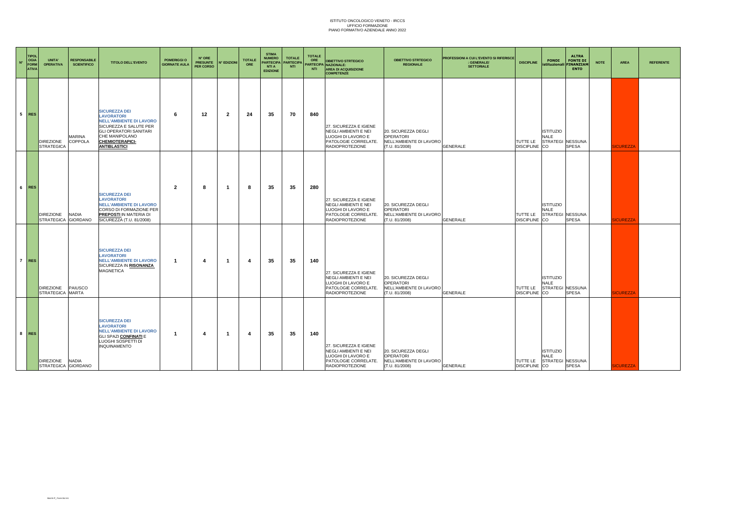| $\mathbf{N}^*$ | <b>TIPOL</b><br><b>OGIA</b><br><b>FORM</b><br><b>ATIVA</b> | UNITA'<br><b>OPERATIVA</b>             | <b>RESPONSABILE</b><br><b>SCIENTIFICO</b> | <b>TITOLO DELL'EVENTO</b>                                                                                                                                                                                 | <b>POMERIGGI O</b><br><b>GIORNATE AULA</b> | N° ORE<br><b>PRESUNTE</b><br>PER CORSO | N° EDIZIONI    | <b>TOTALE</b><br>ORE | <b>STIMA</b><br><b>NUMERO</b><br><b>PARTECIPA</b><br><b>NTI A</b><br><b>EDIZIONE</b> | <b>TOTALE</b><br><b>PARTECIPA</b><br><b>NTI</b> | <b>TOTALE</b><br>ORE<br>NTI | <b>OBIETTIVO STRTEGICO</b><br>PARTECIPA NAZIONALE:<br><b>AREA DI ACQUISIZIONE</b><br><b>COMPETENZE</b>                 | <b>OBIETTIVO STRTEGICO</b><br><b>REGIONALE</b>                                       | PROFESSIONI A CUI L'EVENTO SI RIFERISCE<br>: GENERALE/<br><b>SETTORIALE</b> | <b>DISCIPLINE</b>                | <b>FONDI</b>                                        | <b>ALTRA</b><br><b>FONTE DI</b><br>istituzionali FINANZIAM<br><b>ENTO</b> | <b>NOTE</b> | <b>AREA</b>      | <b>REFERENTE</b> |
|----------------|------------------------------------------------------------|----------------------------------------|-------------------------------------------|-----------------------------------------------------------------------------------------------------------------------------------------------------------------------------------------------------------|--------------------------------------------|----------------------------------------|----------------|----------------------|--------------------------------------------------------------------------------------|-------------------------------------------------|-----------------------------|------------------------------------------------------------------------------------------------------------------------|--------------------------------------------------------------------------------------|-----------------------------------------------------------------------------|----------------------------------|-----------------------------------------------------|---------------------------------------------------------------------------|-------------|------------------|------------------|
|                | 5 RES                                                      | <b>DIREZIONE</b><br><b>STRATEGICA</b>  | MARINA<br>COPPOLA                         | <b>SICUREZZA DEI</b><br><b>LAVORATORI</b><br><b>NELL'AMBIENTE DI LAVORO</b><br>SICUREZZA E SALUTE PER<br><b>GLI OPERATORI SANITARI</b><br>CHE MANIPOLANO<br><b>CHEMIOTERAPICI-</b><br><b>ANTIBLASTICI</b> | 6                                          | 12                                     | $\overline{2}$ | 24                   | 35                                                                                   | 70                                              | 840                         | 27. SICUREZZA E IGIENE<br>NEGLI AMBIENTI E NEI<br>LUOGHI DI LAVORO E<br>PATOLOGIE CORRELATE.<br><b>RADIOPROTEZIONE</b> | 20. SICUREZZA DEGLI<br><b>OPERATORI</b><br>NELL'AMBIENTE DI LAVORO<br>(T.U. 81/2008) | <b>GENERALE</b>                                                             | TUTTE LE<br>DISCIPLINE CO        | <b>ISTITUZIO</b><br><b>NALE</b><br>STRATEGI NESSUNA | <b>SPESA</b>                                                              |             | <b>SICUREZZA</b> |                  |
|                | 6 RES                                                      | <b>DIREZIONE</b><br><b>STRATEGICA</b>  | <b>NADIA</b><br><b>GIORDANO</b>           | <b>SICUREZZA DEI</b><br><b>LAVORATORI</b><br><b>NELL'AMBIENTE DI LAVORO</b><br>CORSO DI FORMAZIONE PER<br><b>PREPOSTLIN MATERIA DI</b><br>SICUREZZA (T.U. 81/2008)                                        | $\overline{2}$                             | 8                                      | -1             | 8                    | 35                                                                                   | 35                                              | 280                         | 27. SICUREZZA E IGIENE<br>NEGLI AMBIENTI E NEI<br>LUOGHI DI LAVORO E<br>PATOLOGIE CORRELATE.<br><b>RADIOPROTEZIONE</b> | 20. SICUREZZA DEGLI<br><b>OPERATORI</b><br>NELL'AMBIENTE DI LAVORO<br>(T.U. 81/2008) | <b>GENERALE</b>                                                             | TUTTE LE<br><b>DISCIPLINE</b> CO | <b>ISTITUZIO</b><br><b>NALE</b><br>STRATEGI NESSUNA | <b>SPESA</b>                                                              |             | <b>ICUREZZA</b>  |                  |
|                | $7$ RES                                                    | <b>DIREZIONE</b><br>STRATEGICA MARTA   | PAIUSCO                                   | <b>SICUREZZA DEI</b><br><b>LAVORATORI</b><br><b>NELL'AMBIENTE DI LAVORO</b><br>SICUREZZA IN RISONANZA<br><b>MAGNETICA</b>                                                                                 | -1                                         | $\boldsymbol{\Lambda}$                 | -1             | $\boldsymbol{4}$     | 35                                                                                   | 35                                              | 140                         | 27. SICUREZZA E IGIENE<br>NEGLI AMBIENTI E NEI<br>LUOGHI DI LAVORO E<br>PATOLOGIE CORRELATE.<br><b>RADIOPROTEZIONE</b> | 20. SICUREZZA DEGLI<br><b>OPERATORI</b><br>NELL'AMBIENTE DI LAVORO<br>(T.U. 81/2008) | <b>GENERALE</b>                                                             | TUTTE LE<br>DISCIPLINE CO        | <b>ISTITUZIO</b><br>NALE<br>STRATEGI NESSUNA        | <b>SPESA</b>                                                              |             | <b>SICUREZZA</b> |                  |
|                | 8 RES                                                      | DIREZIONE NADIA<br>STRATEGICA GIORDANO |                                           | <b>SICUREZZA DEI</b><br><b>LAVORATORI</b><br><b>NELL'AMBIENTE DI LAVORO</b><br>GLI SPAZI CONFINATI E<br>LUOGHI SOSPETTI DI<br><b>INQUINAMENTO</b>                                                         | -1                                         | $\boldsymbol{\Lambda}$                 | -1             | $\overline{4}$       | 35                                                                                   | 35                                              | 140                         | 27. SICUREZZA E IGIENE<br>NEGLI AMBIENTI E NEI<br>LUOGHI DI LAVORO E<br>PATOLOGIE CORRELATE.<br><b>RADIOPROTEZIONE</b> | 20. SICUREZZA DEGLI<br><b>OPERATORI</b><br>NELL'AMBIENTE DI LAVORO<br>(T.U. 81/2008) | GENERALE                                                                    | TUTTE LE<br>DISCIPLINE CO        | <b>ISTITUZIO</b><br><b>NALE</b><br>STRATEGI NESSUNA | <b>SPESA</b>                                                              |             | <b>SICUREZZA</b> |                  |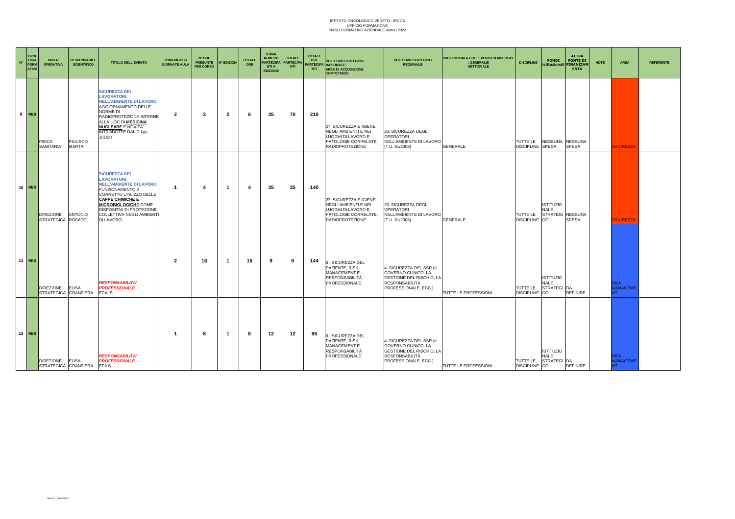| $\mathbf{N}^{\circ}$ | <b>TIPOL</b><br>OGIA<br><b>FORM</b><br><b>ATIVA</b> | UNITA'<br><b>OPERATIVA</b>            | <b>RESPONSABILE</b><br><b>SCIENTIFICO</b> | <b>TITOLO DELL'EVENTO</b>                                                                                                                                                                                                                                                | <b>POMERIGGI O</b><br><b>GIORNATE AULA</b> | N° ORE<br><b>PRESUNTE</b><br>PER CORSO | <b>N° EDIZIONI</b> | <b>TOTALE</b><br>ORE    | <b>STIMA</b><br><b>NUMERO</b><br><b>PARTECIPA</b><br><b>NTI A</b><br><b>EDIZIONE</b> | <b>TOTALE</b><br><b>PARTECIPA</b><br><b>NTI</b> | <b>TOTALE</b><br>ORE<br><b>NTI</b> | <b>OBIETTIVO STRTEGICO</b><br>ARTECIPA NAZIONALE:<br><b>AREA DI ACQUISIZIONE</b><br><b>COMPETENZE</b>                  | <b>OBIETTIVO STRTEGICO</b><br><b>REGIONALE</b>                                                                                      | PROFESSIONI A CUI L'EVENTO SI RIFERISCE<br>: GENERALE/<br><b>SETTORIALE</b> | <b>DISCIPLINE</b>             | <b>FONDI</b><br>istituzionali FINANZIAM                   | <b>ALTRA</b><br><b>FONTE DI</b><br><b>ENTO</b> | <b>NOTE</b> | AREA                                 | <b>REFERENTE</b> |
|----------------------|-----------------------------------------------------|---------------------------------------|-------------------------------------------|--------------------------------------------------------------------------------------------------------------------------------------------------------------------------------------------------------------------------------------------------------------------------|--------------------------------------------|----------------------------------------|--------------------|-------------------------|--------------------------------------------------------------------------------------|-------------------------------------------------|------------------------------------|------------------------------------------------------------------------------------------------------------------------|-------------------------------------------------------------------------------------------------------------------------------------|-----------------------------------------------------------------------------|-------------------------------|-----------------------------------------------------------|------------------------------------------------|-------------|--------------------------------------|------------------|
|                      | $9$ RES                                             | <b>FISICA</b><br>SANITARIA            | PAIUSCO<br><b>MARTA</b>                   | <b>SICUREZZA DEI</b><br><b>LAVORATORI</b><br><b>NELL'AMBIENTE DI LAVORO</b><br>AGGIORNAMENTO DELLE<br>NORME DI<br>RADIOPROTEZIONE INTERNE<br>ALLA UOC DI <b>MEDICINA</b><br><b>NUCLEARE E NOVITA'</b><br>INTRODOTTE DAL D.Lgs.<br>101/20                                 | 2                                          | -3                                     | $\overline{2}$     | -6                      | 35                                                                                   | 70                                              | 210                                | 27. SICUREZZA E IGIENE<br>NEGLI AMBIENTI E NEI<br>LUOGHI DI LAVORO E<br>PATOLOGIE CORRELATE.<br><b>RADIOPROTEZIONE</b> | 20. SICUREZZA DEGLI<br><b>OPERATORI</b><br>NELL'AMBIENTE DI LAVORO<br>(T.U. 81/2008)                                                | <b>GENERALE</b>                                                             | TUTTE LE<br>DISCIPLINE SPESA  | NESSUNA NESSUNA                                           | <b>SPESA</b>                                   |             | <b>ICUREZZA</b>                      |                  |
|                      | $10$ RES                                            | <b>DIREZIONE</b><br>STRATEGICA ROSATO | <b>ANTONIO</b>                            | <b>SICUREZZA DEI</b><br><b>LAVORATORI</b><br><b>NELL'AMBIENTE DI LAVORO</b><br><b>FUNZIONAMENTO E</b><br>CORRETTO UTILIZZO DELLE<br><b>CAPPE CHIMICHE E</b><br>MICROBIOLOGICHE COME<br><b>DISPOSITIVI DI PROTEZIONE</b><br><b>COLLETTIVA NEGLI AMBIENTI</b><br>DI LAVORO | -1                                         | 4                                      | $\mathbf 1$        | $\overline{\mathbf{4}}$ | 35                                                                                   | 35                                              | 140                                | 27. SICUREZZA E IGIENE<br>NEGLI AMBIENTI E NEI<br>LUOGHI DI LAVORO E<br>PATOLOGIE CORRELATE.<br><b>RADIOPROTEZIONE</b> | 20. SICUREZZA DEGLI<br><b>OPERATORI</b><br>NELL'AMBIENTE DI LAVORO<br>(T.U. 81/2008)                                                | <b>GENERALE</b>                                                             | TUTTE LE<br><b>DISCIPLINE</b> | <b>ISTITUZIO</b><br><b>NALE</b><br>STRATEGI NESSUNA<br>CO | <b>SPESA</b>                                   |             | <b>ICUREZZA</b>                      |                  |
|                      | 11 RES                                              | DIREZIONE ELISA                       | STRATEGICA GRANZIERA                      | <b>RESPONSABILITA'</b><br><b>PROFESSIONALE</b><br><b>EPALS</b>                                                                                                                                                                                                           | $\overline{2}$                             | 16                                     | -1                 | 16                      | 9                                                                                    | 9                                               | 144                                | 6 - SICUREZZA DEL<br>PAZIENTE, RISK<br>MANAGEMENT E<br><b>RESPONSABILITÀ</b><br>PROFESSIONALE;                         | 4- SICUREZZA DEL SSR (IL<br>GOVERNO CLINICO, LA<br><b>GESTIONE DEL RISCHIO, LA</b><br>RESPONSABILITÀ<br>PROFESSIONALE, ECC.)        | TUTTE LE PROFESSIONI.                                                       | TUTTE LE<br><b>DISCIPLINE</b> | <b>ISTITUZIO</b><br><b>NALE</b><br>STRATEGI DA<br>CO      | <b>DEFINIRE</b>                                |             | <b>RISK</b><br><b>MANAGEME</b>       |                  |
|                      | $12$ RES                                            | DIREZIONE ELISA                       | STRATEGICA GRANZIERA                      | <b>RESPONSABILITA'</b><br><b>PROFESSIONALE</b><br><b>EPILS</b>                                                                                                                                                                                                           | -1                                         | 8                                      | -1                 | -8                      | 12                                                                                   | 12                                              | 96                                 | 6 - SICUREZZA DEL<br>PAZIENTE, RISK<br>MANAGEMENT E<br><b>RESPONSABILITÀ</b><br>PROFESSIONALE;                         | 4- SICUREZZA DEL SSR (IL<br>GOVERNO CLINICO, LA<br><b>GESTIONE DEL RISCHIO, LA</b><br><b>RESPONSABILITÀ</b><br>PROFESSIONALE, ECC.) | TUTTE LE PROFESSIONI.                                                       | TUTTE LE<br>DISCIPLINE CO     | <b>ISTITUZIO</b><br><b>NALE</b><br>STRATEGI DA            | <b>DEFINIRE</b>                                |             | <b>RISK</b><br><b>ANAGEME</b><br>NT. |                  |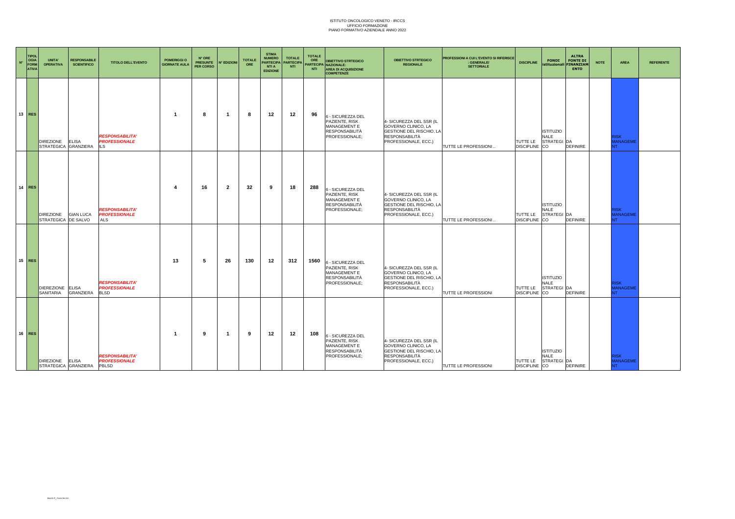| $\mathbf{N}^*$ | <b>TIPOL</b><br>OGIA<br>FORM<br><b>ATIVA</b> | UNITA'<br><b>OPERATIVA</b>               | <b>RESPONSABILE</b><br><b>SCIENTIFICO</b> | <b>TITOLO DELL'EVENTO</b>                                     | <b>POMERIGGI O</b><br><b>GIORNATE AULA</b> | N° ORE<br><b>PRESUNTE</b><br>PER CORSO | <b>N° EDIZIONI</b> | <b>TOTALE</b><br>ORE | <b>STIMA</b><br><b>NUMERO</b><br><b>PARTECIPA</b><br><b>NTI A</b><br><b>EDIZIONE</b> | <b>TOTALE</b><br><b>PARTECIP</b><br><b>NTI</b> | <b>TOTALE</b><br>ORE<br><b>NTI</b> | <b>OBIETTIVO STRTEGICO</b><br>ARTECIPA NAZIONALE:<br>AREA DI ACQUISIZIONE<br><b>COMPETENZE</b> | <b>OBIETTIVO STRTEGICO</b><br><b>REGIONALE</b>                                                                               | PROFESSIONI A CUI L'EVENTO SI RIFERISCE<br>: GENERALE/<br><b>SETTORIALE</b> | <b>DISCIPLINE</b>                | <b>FONDI</b>                                   | <b>ALTRA</b><br><b>FONTE DI</b><br>istituzionali FINANZIAM<br><b>ENTO</b> | <b>NOTE</b> | <b>AREA</b>                                 | <b>REFERENTE</b> |
|----------------|----------------------------------------------|------------------------------------------|-------------------------------------------|---------------------------------------------------------------|--------------------------------------------|----------------------------------------|--------------------|----------------------|--------------------------------------------------------------------------------------|------------------------------------------------|------------------------------------|------------------------------------------------------------------------------------------------|------------------------------------------------------------------------------------------------------------------------------|-----------------------------------------------------------------------------|----------------------------------|------------------------------------------------|---------------------------------------------------------------------------|-------------|---------------------------------------------|------------------|
|                | $13$ RES                                     | <b>DIREZIONE</b><br>STRATEGICA GRANZIERA | <b>ELISA</b>                              | <b>RESPONSABILITA'</b><br><b>PROFESSIONALE</b><br><b>ILS</b>  | -1                                         | 8                                      | -1                 | 8                    | 12                                                                                   | 12                                             | 96                                 | 6 - SICUREZZA DEL<br>PAZIENTE, RISK<br>MANAGEMENT E<br><b>RESPONSABILITÀ</b><br>PROFESSIONALE; | 4- SICUREZZA DEL SSR (IL<br>GOVERNO CLINICO, LA<br>GESTIONE DEL RISCHIO, LA<br><b>RESPONSABILITÀ</b><br>PROFESSIONALE, ECC.) | TUTTE LE PROFESSIONI.                                                       | TUTTE LE<br><b>DISCIPLINE</b> CO | <b>ISTITUZIO</b><br><b>NALE</b><br>STRATEGI DA | <b>DEFINIRE</b>                                                           |             | <b>रा</b> SK<br><b>MANAGEME</b><br>NT.      |                  |
|                | $14$ RES                                     | <b>DIREZIONE</b><br>STRATEGICA DE SALVO  | <b>GIAN LUCA</b>                          | <b>RESPONSABILITA'</b><br><b>PROFESSIONALE</b><br>ALS         | 4                                          | 16                                     | $\overline{2}$     | 32                   | 9                                                                                    | 18                                             | 288                                | 6 - SICUREZZA DEL<br>PAZIENTE, RISK<br>MANAGEMENT E<br><b>RESPONSABILITÀ</b><br>PROFESSIONALE; | 4- SICUREZZA DEL SSR (IL<br>GOVERNO CLINICO, LA<br>GESTIONE DEL RISCHIO, LA<br><b>RESPONSABILITÀ</b><br>PROFESSIONALE, ECC.) | TUTTE LE PROFESSIONI.                                                       | TUTTE LE<br>DISCIPLINE CO        | <b>ISTITUZIO</b><br><b>NALE</b><br>STRATEGI DA | <b>DEFINIRE</b>                                                           |             | <b>RISK</b><br><b>MANAGEME</b><br><b>NT</b> |                  |
|                | $15$ RES                                     | DIEREZIONE ELISA<br>SANITARIA            | GRANZIERA                                 | <b>RESPONSABILITA'</b><br><b>PROFESSIONALE</b><br><b>BLSD</b> | 13                                         | -5                                     | 26                 | 130                  | 12                                                                                   | 312                                            | 1560                               | 6 - SICUREZZA DEL<br>PAZIENTE, RISK<br>MANAGEMENT E<br><b>RESPONSABILITÀ</b><br>PROFESSIONALE; | 4- SICUREZZA DEL SSR (IL<br>GOVERNO CLINICO, LA<br>GESTIONE DEL RISCHIO, LA<br><b>RESPONSABILITÀ</b><br>PROFESSIONALE, ECC.) | <b>TUTTE LE PROFESSIONI</b>                                                 | TUTTE LE<br><b>DISCIPLINE</b> CO | <b>ISTITUZIO</b><br><b>NALE</b><br>STRATEGI DA | <b>DEFINIRE</b>                                                           |             | <b>RISK</b><br><b>MANAGEME</b><br>NT.       |                  |
|                | $16$ RES                                     | DIREZIONE ELISA<br>STRATEGICA GRANZIERA  |                                           | <b>RESPONSABILITA'</b><br><b>PROFESSIONALE</b><br>PBLSD       | -1                                         | 9                                      | -1                 | 9                    | 12                                                                                   | 12                                             | 108                                | 6 - SICUREZZA DEL<br>PAZIENTE, RISK<br>MANAGEMENT E<br><b>RESPONSABILITÀ</b><br>PROFESSIONALE; | 4- SICUREZZA DEL SSR (IL<br>GOVERNO CLINICO, LA<br>GESTIONE DEL RISCHIO, LA<br><b>RESPONSABILITÀ</b><br>PROFESSIONALE, ECC.) | TUTTE LE PROFESSIONI                                                        | TUTTE LE<br>DISCIPLINE CO        | <b>ISTITUZIO</b><br><b>NALE</b><br>STRATEGI DA | <b>DEFINIRE</b>                                                           |             | <b>RISK</b><br><b>MANAGEME</b><br>NT.       |                  |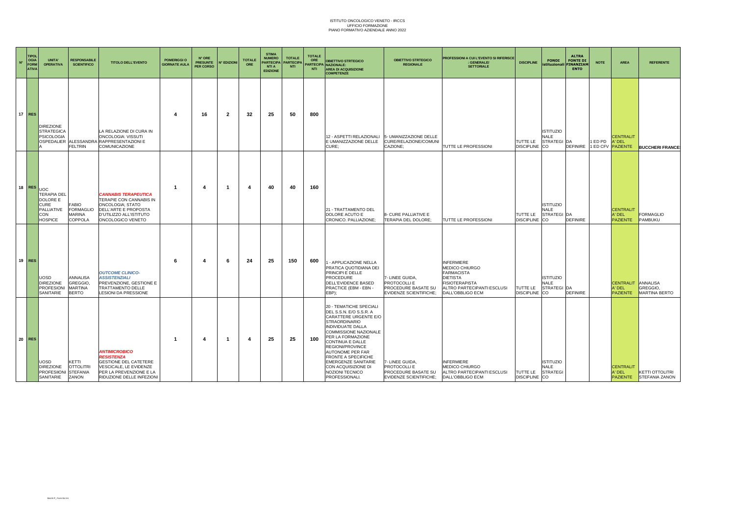| $N^{\circ}$ | <b>TIPOL</b><br><b>OGIA</b><br><b>FORM</b><br><b>ATIVA</b> | UNITA'<br><b>OPERATIVA</b>                                                                  | <b>RESPONSABILE</b><br><b>SCIENTIFICO</b>                     | <b>TITOLO DELL'EVENTO</b>                                                                                                                                   | <b>POMERIGGI O</b><br><b>GIORNATE AULA</b> | N° ORE<br><b>PRESUNTE</b><br>PER CORSO | <b>N° EDIZIONI</b> | <b>TOTALE</b><br>ORE | <b>STIMA</b><br><b>NUMERO</b><br>PARTECIPA<br>NTI A<br><b>EDIZIONE</b> | <b>TOTALE</b><br>PARTECIPA<br><b>NTI</b> | <b>TOTALE</b><br>ORE<br>PARTECIPA<br><b>NTI</b> | <b>OBIETTIVO STRTEGICO</b><br>NAZIONALE:<br><b>AREA DI ACQUISIZIONE</b><br><b>COMPETENZE</b>                                                                                                                                                                                                                                                                      | <b>OBIETTIVO STRTEGICO</b><br><b>REGIONALE</b>                                          | PROFESSIONI A CUI L'EVENTO SI RIFERISCE<br><b>GENERALE/</b><br><b>SETTORIALE</b>                                                                       | <b>DISCIPLINE</b>             | <b>FONDI</b><br>istituzionali                               | <b>ALTRA</b><br><b>FONTE DI</b><br><b>INANZIAN</b><br><b>ENTO</b> | <b>NOTE</b>         | <b>AREA</b>                                          | <b>REFERENTE</b>                                |
|-------------|------------------------------------------------------------|---------------------------------------------------------------------------------------------|---------------------------------------------------------------|-------------------------------------------------------------------------------------------------------------------------------------------------------------|--------------------------------------------|----------------------------------------|--------------------|----------------------|------------------------------------------------------------------------|------------------------------------------|-------------------------------------------------|-------------------------------------------------------------------------------------------------------------------------------------------------------------------------------------------------------------------------------------------------------------------------------------------------------------------------------------------------------------------|-----------------------------------------------------------------------------------------|--------------------------------------------------------------------------------------------------------------------------------------------------------|-------------------------------|-------------------------------------------------------------|-------------------------------------------------------------------|---------------------|------------------------------------------------------|-------------------------------------------------|
|             | $17$ RES                                                   | <b>DIREZIONE</b><br><b>STRATEGICA</b><br><b>PSICOLOGIA</b>                                  | <b>FELTRIN</b>                                                | LA RELAZIONE DI CURA IN<br>ONCOLOGIA: VISSUTI<br>OSPEDALIER ALESSANDRA RAPPRESENTAZIONI E<br>COMUNICAZIONE                                                  | -4                                         | 16                                     | 2                  | 32                   | 25                                                                     | 50                                       | 800                                             | 12 - ASPETTI RELAZIONALI<br>E UMANIZZAZIONE DELLE<br>CURE:                                                                                                                                                                                                                                                                                                        | 5- UMANIZZAZIONE DELLE<br>CURE/RELAZIONE/COMUNI<br>CAZIONE:                             | TUTTE LE PROFESSIONI                                                                                                                                   | TUTTE LE<br><b>DISCIPLINE</b> | <b>ISTITUZIO</b><br>NALE<br>STRATEGI DA<br>CO               | <b>DEFINIRE</b>                                                   | 1 ED PD<br>1 ED CFV | <b>CENTRALIT</b><br><b>N' DEL</b><br><b>PAZIENTE</b> | <b>BUCCHERI FRANCE</b>                          |
|             | <b>18 RES</b>                                              | UOC<br><b>TERAPIA DEL</b><br>DOLORE E<br><b>CURE</b><br>PALLIATIVE<br>CON<br><b>HOSPICE</b> | <b>FABIO</b><br>FORMAGLIO<br>MARINA<br>COPPOLA                | <i><b>CANNABIS TERAPEUTICA</b></i><br>TERAPIE CON CANNABIS IN<br>ONCOLOGIA; STATO<br>DELL'ARTE E PROPOSTA<br>D'UTILIZZO ALL'ISTITUTO<br>ONCOLOGICO VENETO   | - 1                                        | 4                                      | -1                 |                      | 40                                                                     | 40                                       | 160                                             | 21 - TRATTAMENTO DEL<br>DOLORE ACUTO E<br>CRONICO. PALLIAZIONE:                                                                                                                                                                                                                                                                                                   | 8- CURE PALLIATIVE E<br>TERAPIA DEL DOLORE;                                             | TUTTE LE PROFESSIONI                                                                                                                                   | TUTTE LE<br><b>DISCIPLINE</b> | <b>ISTITUZIO</b><br><b>NALE</b><br>STRATEGI DA<br><b>CO</b> | <b>DEFINIRE</b>                                                   |                     | <b>CENTRALIT</b><br>A' DEL<br><b>PAZIENTE</b>        | <b>FORMAGLIO</b><br>PAMBUKU                     |
|             | $19$ RES                                                   | JOSD<br><b>DIREZIONE</b><br><b>PROFESIONI</b><br>SANITARIE                                  | <b>ANNALISA</b><br>GREGGIO.<br><b>MARTINA</b><br><b>BERTO</b> | <b>OUTCOME CLINICO-</b><br><b>ASSISTENZIALI</b><br>PREVENZIONE, GESTIONE E<br>TRATTAMENTO DELLE<br>LESIONI DA PRESSIONE                                     | -6                                         | 4                                      | -6                 | 24                   | 25                                                                     | 150                                      | 600                                             | - APPLICAZIONE NELLA<br>PRATICA QUOTIDIANA DEI<br>PRINCIPI E DELLE<br>PROCEDURE<br>DELL'EVIDENCE BASED<br>PRACTICE (EBM - EBN -<br>EBP);                                                                                                                                                                                                                          | 7- LINEE GUIDA<br>PROTOCOLLI E<br>PROCEDURE BASATE SU<br><b>EVIDENZE SCIENTIFICHE:</b>  | <b>INFERMIERE</b><br>MEDICO CHIURGO<br><b>FARMACISTA</b><br><b>DIETISTA</b><br><b>FISIOTERAPISTA</b><br>ALTRO PARTECIPANTI ESCLUSI<br>DALL'OBBLIGO ECM | TUTTE LE<br><b>DISCIPLINE</b> | <b>ISTITUZIO</b><br>NALE<br>STRATEGI DA<br>CO               | <b>DEFINIRE</b>                                                   |                     | <b>CENTRALIT</b><br><b>N' DEL</b><br><b>PAZIENTE</b> | ANNALISA<br>GREGGIO,<br><b>MARTINA BERTO</b>    |
|             | $20$ RES                                                   | <b>JOSD</b><br><b>DIREZIONE</b><br>PROFESIIONI STEFANIA<br>SANITARIE                        | KETTI<br><b>OTTOLITRI</b><br>ZANON                            | <b>ANTIMICROBICO</b><br><b>RESISTENZA</b><br><b>GESTIONE DEL CATETERE</b><br>VESCICALE, LE EVIDENZE<br>PER LA PREVENZIONE E LA<br>RIDUZIONE DELLE INFEZIONI | - 1                                        | 4                                      | -1                 | 4                    | 25                                                                     | 25                                       | 100                                             | 20 - TEMATICHE SPECIALI<br>DEL S.S.N. E/O S.S.R. A<br>CARATTERE URGENTE E/O<br><b>STRAORDINARIO</b><br>INDIVIDUATE DALLA<br>COMMISSIONE NAZIONALE<br>PER LA FORMAZIONE<br>CONTINUA E DALLE<br>REGIONI/PROVINCE<br><b>AUTONOME PER FAR</b><br><b>FRONTE A SPECIFICHE</b><br><b>EMERGENZE SANITARIE</b><br>CON ACQUISIZIONE DI<br>NOZIONI TECNICO<br>PROFESSIONALI. | 7- LINEE GUIDA.<br>PROTOCOLLI E<br>PROCEDURE BASATE SU<br><b>EVIDENZE SCIENTIFICHE:</b> | <b>INFERMIERE</b><br>MEDICO CHIURGO<br>ALTRO PARTECIPANTI ESCLUSI<br>DALL'OBBLIGO ECM                                                                  | TUTTE LE<br><b>DISCIPLINE</b> | <b>ISTITUZIO</b><br>NALE<br><b>STRATEGI</b><br><b>CO</b>    |                                                                   |                     | <b>CENTRALIT</b><br>A' DEL<br><b>PAZIENTE</b>        | <b>KETTI OTTOLITRI</b><br><b>STEFANIA ZANON</b> |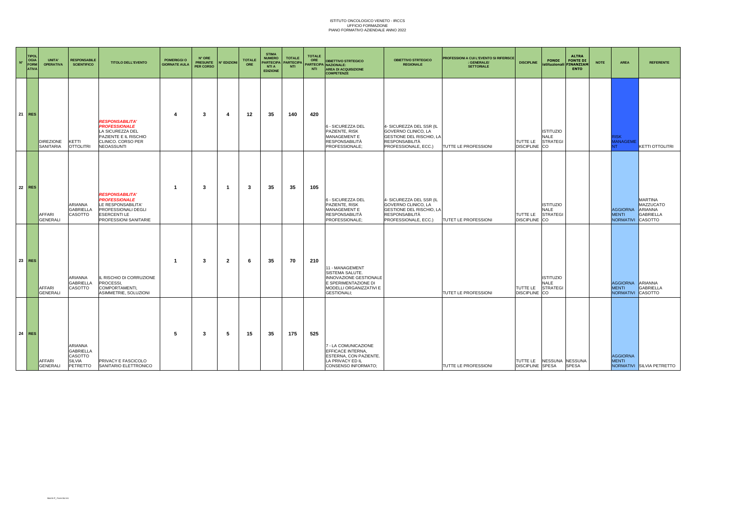| $\mathbf{N}^*$ | <b>TIPOL</b><br>OGIA<br><b>FORM</b><br><b>ATIVA</b> | UNITA'<br><b>OPERATIVA</b>    | <b>RESPONSABILE</b><br><b>SCIENTIFICO</b>                                  | <b>TITOLO DELL'EVENTO</b>                                                                                                                         | <b>POMERIGGI O</b><br><b>GIORNATE AULA</b> | N° ORE<br><b>PRESUNTE</b><br>PER CORSO | N° EDIZIONI | <b>TOTALE</b><br>ORE | <b>STIMA</b><br><b>NUMERO</b><br><b>PARTECIPA</b><br><b>NTI A</b><br><b>EDIZIONE</b> | <b>TOTALE</b><br><b>PARTECIPA</b><br><b>NTI</b> | <b>TOTALE</b><br>ORE<br>NTI | <b>OBIETTIVO STRTEGICO</b><br>PARTECIPA NAZIONALE:<br><b>AREA DI ACQUISIZIONE</b><br><b>COMPETENZE</b>                                | <b>OBIETTIVO STRTEGICO</b><br><b>REGIONALE</b>                                                                               | PROFESSIONI A CUI L'EVENTO SI RIFERISCE<br>: GENERALE/<br><b>SETTORIALE</b> | <b>DISCIPLINE</b>                                   | <b>FONDI</b>                                             | <b>ALTRA</b><br><b>FONTE DI</b><br>istituzionali FINANZIAM<br><b>ENTO</b> | <b>NOTE</b> | <b>AREA</b>                                          | <b>REFERENTE</b>                                    |
|----------------|-----------------------------------------------------|-------------------------------|----------------------------------------------------------------------------|---------------------------------------------------------------------------------------------------------------------------------------------------|--------------------------------------------|----------------------------------------|-------------|----------------------|--------------------------------------------------------------------------------------|-------------------------------------------------|-----------------------------|---------------------------------------------------------------------------------------------------------------------------------------|------------------------------------------------------------------------------------------------------------------------------|-----------------------------------------------------------------------------|-----------------------------------------------------|----------------------------------------------------------|---------------------------------------------------------------------------|-------------|------------------------------------------------------|-----------------------------------------------------|
|                | $21$ RES                                            | <b>DIREZIONE</b><br>SANITARIA | KETTI<br><b>OTTOLITRI</b>                                                  | <b>RESPONSABILITA'</b><br><b>PROFESSIONALE</b><br>LA SICUREZZA DEL<br>PAZIENTE E IL RISCHIO<br>CLINICO. CORSO PER<br>NEOASSUNTI                   | 4                                          | -3                                     | 4           | 12                   | 35                                                                                   | 140                                             | 420                         | 6 - SICUREZZA DEL<br>PAZIENTE, RISK<br>MANAGEMENT E<br><b>RESPONSABILITÀ</b><br>PROFESSIONALE;                                        | 4- SICUREZZA DEL SSR (IL<br>GOVERNO CLINICO, LA<br>GESTIONE DEL RISCHIO, LA<br><b>RESPONSABILITÀ</b><br>PROFESSIONALE, ECC.) | TUTTE LE PROFESSIONI                                                        | TUTTE LE<br><b>DISCIPLINE</b>                       | <b>ISTITUZIO</b><br><b>NALE</b><br><b>STRATEGI</b><br>CO |                                                                           |             | <b>RISK</b><br><b>MANAGEME</b>                       | <b>KETTI OTTOLITRI</b>                              |
|                | $22$ RES                                            | AFFARI<br><b>GENERALI</b>     | ARIANNA<br>GABRIELLA<br>CASOTTO                                            | <b>RESPONSABILITA'</b><br><b>PROFESSIONALE</b><br>LE RESPONSABILITA'<br><b>PROFESSIONALI DEGLI</b><br><b>ESERCENTILE</b><br>PROFESSIONI SANITARIE | -1                                         | -3                                     | -1          | 3                    | 35                                                                                   | 35                                              | 105                         | 6 - SICUREZZA DEL<br>PAZIENTE, RISK<br>MANAGEMENT E<br><b>RESPONSABILITÀ</b><br>PROFESSIONALE;                                        | 4- SICUREZZA DEL SSR (IL<br>GOVERNO CLINICO, LA<br>GESTIONE DEL RISCHIO, LA<br><b>RESPONSABILITÀ</b><br>PROFESSIONALE, ECC.) | TUTET LE PROFESSIONI                                                        | TUTTE LE<br><b>DISCIPLINE</b>                       | <b>ISTITUZIO</b><br><b>NALE</b><br><b>STRATEGI</b><br>CO |                                                                           |             | <b>AGGIORNA</b><br><b>MENTI</b><br>NORMATIVI CASOTTO | <b>MARTINA</b><br>MAZZUCATO<br>ARIANNA<br>GABRIELLA |
|                | $23$ RES                                            | AFFARI<br><b>GENERALI</b>     | ARIANNA<br><b>GABRIELLA</b><br>CASOTTO                                     | IL RISCHIO DI CORRUZIONE<br>PROCESSI.<br>COMPORTAMENTI,<br>ASIMMETRIE, SOLUZIONI                                                                  | -1                                         | -3                                     | 2           | 6                    | 35                                                                                   | 70                                              | 210                         | 11 - MANAGEMENT<br>SISTEMA SALUTE.<br>INNOVAZIONE GESTIONALE<br>E SPERIMENTAZIONE DI<br>MODELLI ORGANIZZATIVI E<br><b>GESTIONALI:</b> |                                                                                                                              | TUTET LE PROFESSIONI                                                        | TUTTE LE<br><b>DISCIPLINE</b>                       | <b>ISTITUZIO</b><br><b>NALE</b><br><b>STRATEGI</b><br>CO |                                                                           |             | <b>AGGIORNA</b><br><b>MENTI</b><br>NORMATIVI CASOTTO | ARIANNA<br><b>GABRIELLA</b>                         |
|                | $24$ RES                                            | AFFARI<br>GENERALI            | <b>ARIANNA</b><br><b>GABRIELLA</b><br>CASOTTO<br><b>SILVIA</b><br>PETRETTO | PRIVACY E FASCICOLO<br>SANITARIO ELETTRONICO                                                                                                      | 5                                          | 3                                      | -5          | 15                   | 35                                                                                   | 175                                             | 525                         | 7 - LA COMUNICAZIONE<br>EFFICACE INTERNA,<br>ESTERNA, CON PAZIENTE.<br>LA PRIVACY ED IL<br>CONSENSO INFORMATO:                        |                                                                                                                              | TUTTE LE PROFESSIONI                                                        | TUTTE LE NESSUNA NESSUNA<br><b>DISCIPLINE SPESA</b> |                                                          | <b>SPESA</b>                                                              |             | <b>AGGIORNA</b><br><b>MENTI</b>                      | NORMATIVI SILVIA PETRETTO                           |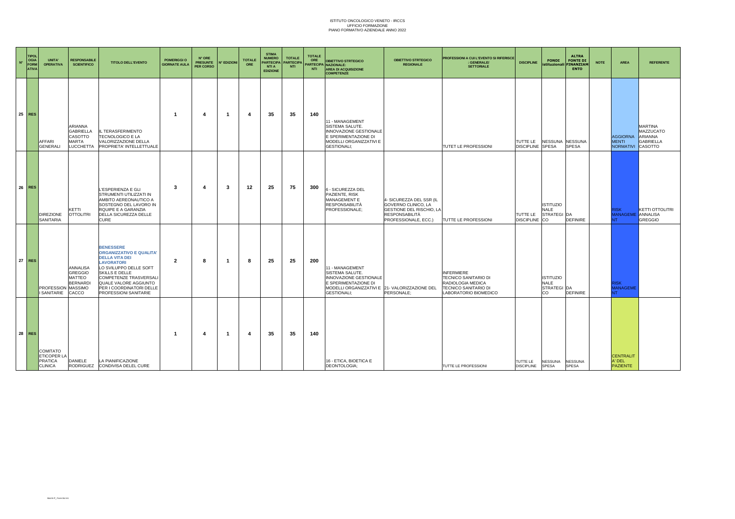| $N^{\circ}$ | <b>TIPOL</b><br>OGIA<br>FORM<br><b>ATIVA</b> | UNITA'<br><b>OPERATIVA</b>                                                | <b>RESPONSABILE</b><br><b>SCIENTIFICO</b>                                                | <b>TITOLO DELL'EVENTO</b>                                                                                                                                                                                                                                    | POMERIGGI O<br><b>GIORNATE AULA</b> | N° ORE<br><b>PRESUNTE</b><br>PER CORSO | <b>N° EDIZIONI</b> | <b>TOTALE</b><br>ORE | <b>STIMA</b><br><b>NUMERO</b><br><b>PARTECIPA</b><br><b>NTI A</b><br><b>EDIZIONE</b> | <b>TOTALE</b><br><b>PARTECIP</b><br><b>NTI</b> | <b>TOTALE</b><br>ORE<br>NTI | <b>OBIETTIVO STRTEGICO</b><br><b>PARTECIPA NAZIONALE:</b><br><b>AREA DI ACQUISIZIONE</b><br><b>COMPETENZE</b>                                                       | <b>OBIETTIVO STRTEGICO</b><br><b>REGIONALE</b>                                                                        | <b>PROFESSIONI A CUI L'EVENTO SI RIFERISCE</b><br>: GENERALE/<br><b>SETTORIALE</b>                                            | <b>DISCIPLINE</b>             | <b>FONDI</b>                                         | <b>ALTRA</b><br><b>FONTE DI</b><br>istituzionali FINANZIAM<br><b>ENTO</b> | <b>NOTE</b> | <b>AREA</b>                                          | <b>REFERENTE</b>                                    |
|-------------|----------------------------------------------|---------------------------------------------------------------------------|------------------------------------------------------------------------------------------|--------------------------------------------------------------------------------------------------------------------------------------------------------------------------------------------------------------------------------------------------------------|-------------------------------------|----------------------------------------|--------------------|----------------------|--------------------------------------------------------------------------------------|------------------------------------------------|-----------------------------|---------------------------------------------------------------------------------------------------------------------------------------------------------------------|-----------------------------------------------------------------------------------------------------------------------|-------------------------------------------------------------------------------------------------------------------------------|-------------------------------|------------------------------------------------------|---------------------------------------------------------------------------|-------------|------------------------------------------------------|-----------------------------------------------------|
|             | $25$ RES                                     | AFFARI<br>GENERALI                                                        | <b>ARIANNA</b><br><b>GABRIELLA</b><br><b>CASOTTO</b><br><b>MARTA</b><br><b>LUCCHETTA</b> | IL TERASFERIMENTO<br>TECNOLOGICO E LA<br>VALORIZZAZIONE DELLA<br>PROPRIETA' INTELLETTUALE                                                                                                                                                                    | -1                                  | $\boldsymbol{\Delta}$                  | -1                 | $\overline{4}$       | 35                                                                                   | 35                                             | 140                         | 11 - MANAGEMENT<br><b>SISTEMA SALUTE.</b><br>INNOVAZIONE GESTIONALE<br>E SPERIMENTAZIONE DI<br>MODELLI ORGANIZZATIVI E<br><b>GESTIONALI:</b>                        |                                                                                                                       | TUTET LE PROFESSIONI                                                                                                          | TUTTE LE<br><b>DISCIPLINE</b> | NESSUNA NESSUNA<br><b>SPESA</b>                      | <b>SPESA</b>                                                              |             | <b>AGGIORNA</b><br><b>MENTI</b><br>NORMATIVI CASOTTO | <b>MARTINA</b><br>MAZZUCATO<br>ARIANNA<br>GABRIELLA |
|             | 26 RES                                       | <b>DIREZIONE</b><br>SANITARIA                                             | KETTI<br><b>OTTOLITRI</b>                                                                | L'ESPERIENZA E GLI<br>STRUMENTI UTILIZZATI IN<br>AMBITO AEREONAUTICO A<br>SOSTEGNO DEL LAVORO IN<br>RQUIPE E A GARANZIA<br>DELLA SICUREZZA DELLE<br><b>CURE</b>                                                                                              | 3                                   | $\boldsymbol{\Delta}$                  | 3                  | 12                   | 25                                                                                   | 75                                             | 300                         | 6 - SICUREZZA DEL<br>PAZIENTE, RISK<br>MANAGEMENT E<br><b>RESPONSABILITÀ</b><br>PROFESSIONALE;                                                                      | 4- SICUREZZA DEL SSR (IL<br>GOVERNO CLINICO, LA<br>GESTIONE DEL RISCHIO, LA<br>RESPONSABILITÀ<br>PROFESSIONALE, ECC.) | TUTTE LE PROFESSIONI                                                                                                          | TUTTE LE<br><b>DISCIPLINE</b> | <b>ISTITUZIO</b><br><b>NALE</b><br>STRATEGI DA<br>CO | <b>DEFINIRE</b>                                                           |             | <b>RISK</b><br><b>MANAGEME</b> ANNALISA              | <b>KETTI OTTOLITRI</b><br><b>GREGGIO</b>            |
|             | $27$ RES                                     | PROFESSION MASSIMO<br>SANITARIE CACCO                                     | ANNALISA<br><b>GREGGIO</b><br><b>MATTEO</b><br><b>BERNARDI</b>                           | <b>BENESSERE</b><br><b>ORGANIZZATIVO E QUALITA'</b><br><b>DELLA VITA DEI</b><br><b>LAVORATORI</b><br>LO SVILUPPO DELLE SOFT<br>SKILLS E DELLE<br><b>COMPETENZE TRASVERSALI</b><br>QUALE VALORE AGGIUNTO<br>PER I COORDINATORI DELLE<br>PROFESSIONI SANITARIE | $\overline{2}$                      | 8                                      | -1                 | -8                   | 25                                                                                   | 25                                             | 200                         | 11 - MANAGEMENT<br>SISTEMA SALUTE.<br><b>INNOVAZIONE GESTIONALE</b><br>E SPERIMENTAZIONE DI<br>MODELLI ORGANIZZATIVI E 21- VALORIZZAZIONE DEL<br><b>GESTIONALI:</b> | PERSONALE:                                                                                                            | <b>INFERMIERE</b><br><b>TECNICO SANITARIO DI</b><br>RADIOLOGIA MEDICA<br><b>TECNICO SANITARIO DI</b><br>LABORATORIO BIOMEDICO |                               | <b>ISTITUZIO</b><br><b>NALE</b><br>STRATEGI DA<br>CO | <b>DEFINIRE</b>                                                           |             | <b>RISK</b><br><b>MANAGEME</b><br><b>TV</b>          |                                                     |
|             | $28$ RES                                     | <b>COMITATO</b><br><b>ETICOPER LA</b><br><b>PRATICA</b><br><b>CLINICA</b> | DANIELE                                                                                  | LA PIANIFICAZIONE<br>RODRIGUEZ CONDIVISA DELEL CURE                                                                                                                                                                                                          | -1                                  | $\boldsymbol{\Delta}$                  | -1                 | $\boldsymbol{4}$     | 35                                                                                   | 35                                             | 140                         | 16 - ETICA, BIOETICA E<br>DEONTOLOGIA:                                                                                                                              |                                                                                                                       | TUTTE LE PROFESSIONI                                                                                                          | TUTTE LE<br><b>DISCIPLINE</b> | NESSUNA<br><b>SPESA</b>                              | <b>NESSUNA</b><br><b>SPESA</b>                                            |             | <b>CENTRALIT</b><br>A' DEL<br><b>PAZIENTE</b>        |                                                     |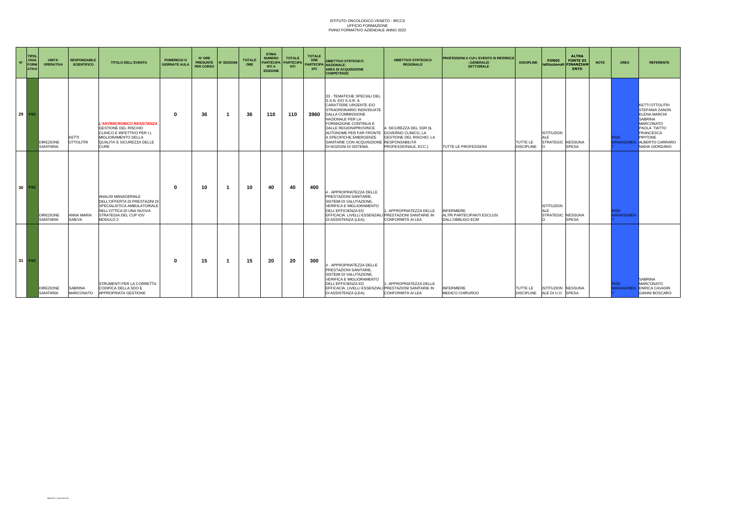| $N^{\circ}$ | <b>TIPOL</b><br><b>OGIA</b><br><b>FORM</b><br><b>ATIVA</b> | UNITA'<br><b>OPERATIVA</b>           | <b>RESPONSABILE</b><br><b>SCIENTIFICO</b> | <b>TITOLO DELL'EVENTO</b>                                                                                                                                       | <b>POMERIGGI O</b><br><b>GIORNATE AULA</b> | N° ORE<br><b>PRESUNTE</b><br><b>PER CORSO</b> | <b>N° EDIZIONI</b> | <b>TOTALE</b><br>ORE | <b>STIMA</b><br><b>NUMERO</b><br><b>PARTECIPA</b><br><b>NTIA</b><br><b>EDIZIONE</b> | <b>TOTALE</b><br><b>PARTECIPA</b><br><b>NTI</b> | <b>TOTALE</b><br>ORE<br><b>NTI</b> | <b>OBIETTIVO STRTEGICO</b><br>PARTECIPA NAZIONALE:<br><b>AREA DI ACQUISIZIONE</b><br><b>COMPETENZE</b>                                                                                                                                                                                                                                               | <b>OBIETTIVO STRTEGICO</b><br><b>REGIONALE</b>                                      | <b>PROFESSIONI A CUI L'EVENTO SI RIFERISCE</b><br>: GENERALE/<br><b>SETTORIALE</b> | <b>DISCIPLINE</b>             | <b>FONDI</b>                                         | <b>ALTRA</b><br><b>FONTE DI</b><br>istituzionali FINANZIAN<br><b>ENTO</b> | <b>NOTE</b> | <b>AREA</b>                    | <b>REFERENTE</b>                                                                                                                                                                                                               |
|-------------|------------------------------------------------------------|--------------------------------------|-------------------------------------------|-----------------------------------------------------------------------------------------------------------------------------------------------------------------|--------------------------------------------|-----------------------------------------------|--------------------|----------------------|-------------------------------------------------------------------------------------|-------------------------------------------------|------------------------------------|------------------------------------------------------------------------------------------------------------------------------------------------------------------------------------------------------------------------------------------------------------------------------------------------------------------------------------------------------|-------------------------------------------------------------------------------------|------------------------------------------------------------------------------------|-------------------------------|------------------------------------------------------|---------------------------------------------------------------------------|-------------|--------------------------------|--------------------------------------------------------------------------------------------------------------------------------------------------------------------------------------------------------------------------------|
|             | $29$ FSC                                                   | <b>DIREZIONE</b><br><b>SANITARIA</b> | KETTI<br><b>OTTOLITRI</b>                 | L'ANTIMICROBICO RESISTENZA<br>GESTIONE DEL RISCHIO<br>CLINICO E INFETTIVO PER I L<br>MIGLIORAMENTO DELLA<br>QUALITA' E SICUREZZA DELLE<br><b>CURE</b>           |                                            | 36                                            |                    | -36                  | 110                                                                                 | 110                                             | 3960                               | 33 - TEMATICHE SPECIALI DEL<br>S.S.N. E/O S.S.R. A<br>CARATTERE URGENTE E/O<br>STRAORDINARIO INDIVIDUATE<br>DALLA COMMISSIONE<br>NAZIONALE PER LA<br>FORMAZIONE CONTINUA E<br>DALLE REGIONI/PROVINCE<br>AUTONOME PER FAR FRONTE GOVERNO CLINICO, LA<br>A SPECIFICHE EMERGENZE<br>SANITARIE CON ACQUISIZIONE RESPONSABILITÀ<br>DI NOZIONI DI SISTEMA. | 4- SICUREZZA DEL SSR (IL<br><b>GESTIONE DEL RISCHIO, LA</b><br>PROFESSIONALE, ECC.) | TUTTE LE PROFESSIONI                                                               | TUTTE LE<br><b>DISCIPLINE</b> | <b>ISTITUZION</b><br><b>ALE</b><br>STRATEGIC NESSUNA | <b>SPESA</b>                                                              |             | <b>ISK</b>                     | <b>KETTI OTTOLITR</b><br><b>STEFANIA ZANON</b><br><b>ELENA MARCHI</b><br><b>SABRINA</b><br><b>MARCONATO</b><br><b>PAOLA TIATTO</b><br><b>FRANCESCA</b><br><b>PIPITONE</b><br><b>ANAGEMEN ALBERTO CARRARO</b><br>NADIA GIORDANO |
|             | $30$ FSC                                                   | <b>DIREZIONE</b><br><b>SANITARIA</b> | ANNA MARIA<br>SAIEVA                      | ANALISI MANAGERIALE<br>DELL'OFFERTA DI PRESTAZINI DI<br>SPECIALISTICA AMBULATORIALE<br>NELL'OTTICA DI UNA NUOVA<br>STRATEGIA DEL CUP IOV<br>MODULO <sub>2</sub> | n                                          | 10                                            |                    | 10                   | 40                                                                                  | 40                                              | 400                                | 4 - APPROPRIATEZZA DELLE<br>PRESTAZIONI SANITARIE,<br>SISTEMI DI VALUTAZIONE,<br>VERIFICA E MIGLIORAMENTO<br>DELL'EFFICIENZA ED<br>EFFICACIA. LIVELLI ESSENZIALI PRESTAZIONI SANITARIE IN<br>DI ASSISTENZA (LEA);                                                                                                                                    | - APPROPRIATEZZA DELLE<br>CONFORMITÀ AI LEA                                         | <b>INFERMIERE</b><br>ALTRI PARTECIPANTI ESCLUSI<br>DALL'OBBLIGO ECM                |                               | <b>ISTITUZION</b><br><b>ALE</b><br>STRATEGIC NESSUNA | <b>SPESA</b>                                                              |             | <b>RISK</b><br><b>ANAGEMEN</b> |                                                                                                                                                                                                                                |
|             | $31$ FSC                                                   | <b>DIREZIONE</b><br><b>SANITARIA</b> | <b>SABRINA</b><br><b>MARCONATO</b>        | <b>ISTRUMENTI PER LA CORRETTA</b><br>CODIFICA DELLA SDO E<br>APPROPRIATA GESTIONE                                                                               |                                            | 15                                            |                    | 15                   | 20                                                                                  | 20                                              | 300                                | 4 - APPROPRIATEZZA DELLE<br>PRESTAZIONI SANITARIE,<br>SISTEMI DI VALUTAZIONE,<br>VERIFICA E MIGLIORAMENTO<br>DELL'EFFICIENZA ED<br>EFFICACIA. LIVELLI ESSENZIALI PRESTAZIONI SANITARIE IN<br>DI ASSISTENZA (LEA);                                                                                                                                    | - APPROPRIATEZZA DELLE<br>CONFORMITÀ AI LEA                                         | <b>INFERMIERE</b><br>MEDICO CHIRURGO                                               | TUTTE LE<br><b>DISCIPLINE</b> | ISTITUZION NESSUNA<br>ALE DI U.O. SPESA              |                                                                           |             | <b>ISK</b>                     | <b>SABRINA</b><br><b>MARCONATO</b><br><b>ANAGEMEN</b> ENRICA CAVASIN<br><b>GIANNI BOSCARO</b>                                                                                                                                  |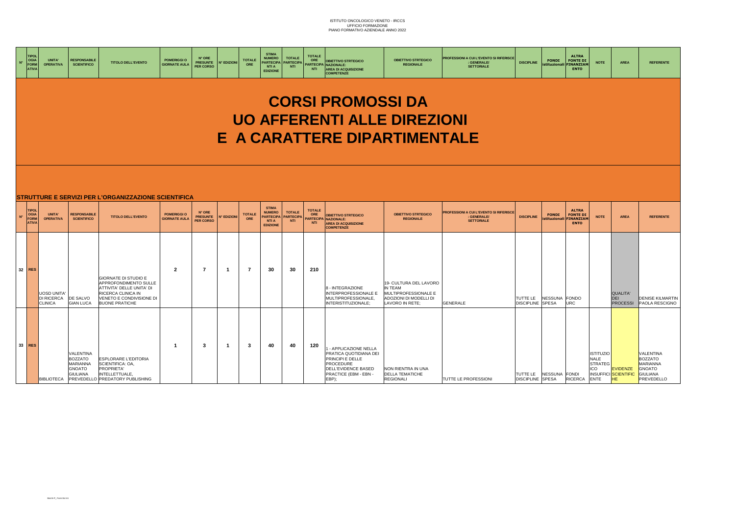| <b>TIPOL</b><br><b>OGIA</b><br>$N^{\circ}$<br><b>FORM</b><br><b>ATIVA</b> | <b>UNITA'</b><br><b>OPERATIVA</b>                        | <b>RESPONSABILE</b><br><b>SCIENTIFICO</b>                                   | <b>TITOLO DELL'EVENTO</b>                                                                                                                             | <b>POMERIGGI O</b><br><b>GIORNATE AULA</b> | N° ORE<br><b>PRESUNTE</b><br><b>PER CORSO</b> | <b>N° EDIZIONI</b>      | <b>TOTALE</b><br>ORE | <b>STIMA</b><br><b>NUMERO</b><br><b>PARTECIPA</b><br>NTI A<br><b>EDIZIONE</b>        | <b>TOTALE</b><br><b>PARTECIPA</b><br>NTI        | <b>TOTALE</b><br>ORE<br><b>NTI</b> | <b>OBIETTIVO STRTEGICO</b><br>PARTECIPA NAZIONALE:<br><b>AREA DI ACQUISIZIONE</b><br><b>COMPETENZE</b>                                   | <b>OBIETTIVO STRTEGICO</b><br><b>REGIONALE</b>                                                         | PROFESSIONI A CUI L'EVENTO SI RIFERISCE<br>: GENERALE/<br><b>SETTORIALE</b>             | <b>DISCIPLINE</b>            | <b>ALTRA</b><br><b>FONTE DI</b><br><b>FONDI</b><br><b>FINANZIAM</b><br>istituzionali<br><b>ENTO</b> | <b>NOTE</b>                                                       | <b>AREA</b>                                          | <b>REFERENTE</b>                                                                          |
|---------------------------------------------------------------------------|----------------------------------------------------------|-----------------------------------------------------------------------------|-------------------------------------------------------------------------------------------------------------------------------------------------------|--------------------------------------------|-----------------------------------------------|-------------------------|----------------------|--------------------------------------------------------------------------------------|-------------------------------------------------|------------------------------------|------------------------------------------------------------------------------------------------------------------------------------------|--------------------------------------------------------------------------------------------------------|-----------------------------------------------------------------------------------------|------------------------------|-----------------------------------------------------------------------------------------------------|-------------------------------------------------------------------|------------------------------------------------------|-------------------------------------------------------------------------------------------|
|                                                                           |                                                          |                                                                             |                                                                                                                                                       |                                            |                                               |                         |                      |                                                                                      |                                                 |                                    | <b>CORSI PROMOSSI DA</b>                                                                                                                 |                                                                                                        |                                                                                         |                              |                                                                                                     |                                                                   |                                                      |                                                                                           |
|                                                                           |                                                          |                                                                             |                                                                                                                                                       |                                            |                                               |                         |                      |                                                                                      |                                                 |                                    | <b>UO AFFERENTI ALLE DIREZIONI</b><br>E A CARATTERE DIPARTIMENTALE                                                                       |                                                                                                        |                                                                                         |                              |                                                                                                     |                                                                   |                                                      |                                                                                           |
|                                                                           |                                                          |                                                                             |                                                                                                                                                       |                                            |                                               |                         |                      |                                                                                      |                                                 |                                    |                                                                                                                                          |                                                                                                        |                                                                                         |                              |                                                                                                     |                                                                   |                                                      |                                                                                           |
|                                                                           |                                                          |                                                                             | <b>STRUTTURE E SERVIZI PER L'ORGANIZZAZIONE SCIENTIFICA</b>                                                                                           |                                            |                                               |                         |                      |                                                                                      |                                                 |                                    |                                                                                                                                          |                                                                                                        |                                                                                         |                              |                                                                                                     |                                                                   |                                                      |                                                                                           |
| <b>TIPOL</b><br><b>OGIA</b><br>$N^{\circ}$<br><b>FORM</b><br><b>ATIVA</b> | <b>UNITA'</b><br><b>OPERATIVA</b>                        | <b>RESPONSABILE</b><br><b>SCIENTIFICO</b>                                   | <b>TITOLO DELL'EVENTO</b>                                                                                                                             | <b>POMERIGGI O</b><br><b>GIORNATE AULA</b> | N° ORE<br><b>PRESUNTE</b><br><b>PER CORSO</b> | <b>N° EDIZIONI</b>      | <b>TOTALE</b><br>ORE | <b>STIMA</b><br><b>NUMERO</b><br><b>PARTECIPA</b><br><b>NTI A</b><br><b>EDIZIONE</b> | <b>TOTALE</b><br><b>PARTECIPA</b><br><b>NTI</b> | <b>TOTALE</b><br>ORE<br><b>NTI</b> | <b>OBIETTIVO STRTEGICO</b><br>PARTECIPA NAZIONALE:<br><b>AREA DI ACQUISIZIONE</b><br><b>COMPETENZE</b>                                   | <b>OBIETTIVO STRTEGICO</b><br><b>REGIONALE</b>                                                         | <b>PROFESSIONI A CUI L'EVENTO SI RIFERISCE</b><br><b>GENERALE/</b><br><b>SETTORIALE</b> | <b>DISCIPLINE</b>            | <b>ALTRA</b><br><b>FONTE DI</b><br><b>FONDI</b><br><b>INANZIAM</b><br>istituzional<br><b>ENTO</b>   | <b>NOTE</b>                                                       | <b>AREA</b>                                          | <b>REFERENTE</b>                                                                          |
|                                                                           |                                                          |                                                                             |                                                                                                                                                       |                                            |                                               |                         |                      |                                                                                      |                                                 |                                    |                                                                                                                                          |                                                                                                        |                                                                                         |                              |                                                                                                     |                                                                   |                                                      |                                                                                           |
| 32<br><b>RES</b>                                                          | <b>UOSD UNITA</b><br><b>DI RICERCA</b><br><b>CLINICA</b> | DE SALVO<br><b>GIAN LUCA</b>                                                | GIORNATE DI STUDIO E<br>APPROFONDIMENTO SULLE<br>ATTIVITA' DELLE UNITA' DI<br>RICERCA CLINICA IN<br>VENETO E CONDIVISIONE DI<br><b>BUONE PRATICHE</b> | $\overline{2}$                             | 7                                             | $\overline{\mathbf{1}}$ | -7                   | 30                                                                                   | 30                                              | 210                                | 8 - INTEGRAZIONE<br>INTERPROFESSIONALE E<br>MULTIPROFESSIONALE,<br>INTERISTITUZIONALE;                                                   | 19- CULTURA DEL LAVORO<br>IN TEAM<br>MULTIPROFESSIONALE E<br>ADOZIONI DI MODELLI DI<br>LAVORO IN RETE: | <b>GENERALE</b>                                                                         | TUTTE LE<br>DISCIPLINE SPESA | NESSUNA FONDO<br><b>URC</b>                                                                         |                                                                   | <b>QUALITA'</b><br><b>DEI</b><br><b>PROCESSI</b>     | <b>DENISE KILMARTIN</b><br>PAOLA RESCIGNO                                                 |
|                                                                           |                                                          |                                                                             |                                                                                                                                                       |                                            |                                               |                         |                      |                                                                                      |                                                 |                                    |                                                                                                                                          |                                                                                                        |                                                                                         |                              |                                                                                                     |                                                                   |                                                      |                                                                                           |
| 33 RES                                                                    | <b>BIBLIOTECA</b>                                        | VALENTINA<br><b>BOZZATO</b><br>MARIANNA<br><b>GNOATO</b><br><b>GIULIANA</b> | <b>ESPLORARE L'EDITORIA</b><br>SCIENTIFICA: OA,<br>PROPRIETA'<br>INTELLETTUALE,<br>PREVEDELLO PREDATORY PUBLISHING                                    | -1                                         | 3                                             | $\overline{1}$          | -3                   | 40                                                                                   | 40                                              | 120                                | - APPLICAZIONE NELLA<br>PRATICA QUOTIDIANA DEI<br>PRINCIPI E DELLE<br>PROCEDURE<br>DELL'EVIDENCE BASED<br>PRACTICE (EBM - EBN -<br>EBP): | NON RIENTRA IN UNA<br><b>DELLA TEMATICHE</b><br><b>REGIONALI</b>                                       | <b>TUTTE LE PROFESSIONI</b>                                                             | <b>DISCIPLINE SPESA</b>      | TUTTE LE NESSUNA FONDI<br><b>RICERCA</b>                                                            | <b>ISTITUZIO</b><br><b>NALE</b><br><b>STRATEG</b><br>ICO.<br>ENTE | <b>EVIDENZE</b><br><b>INSUFFICI SCIENTIFIC</b><br>HE | VALENTINA<br><b>BOZZATO</b><br>MARIANNA<br><b>GNOATO</b><br><b>GIULIANA</b><br>PREVEDELLO |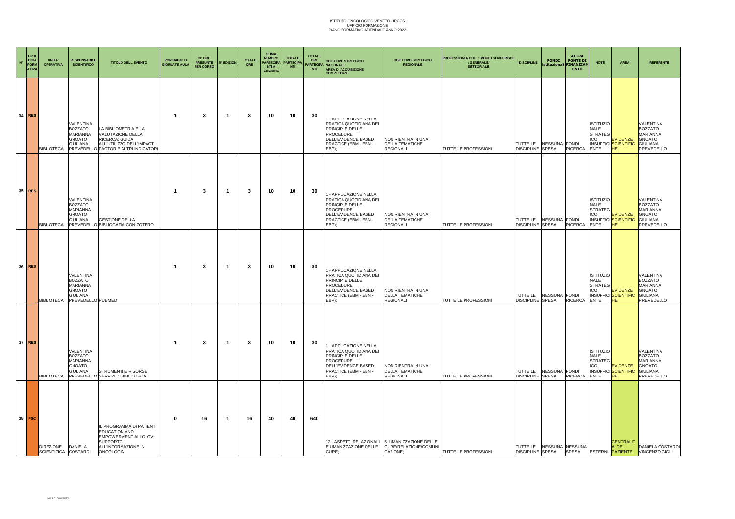| $\mathbf{N}^{\circ}$ | <b>TIPOL</b><br><b>OGIA</b><br>FORM<br><b>ATIVA</b> | <b>UNITA'</b><br><b>OPERATIVA</b>         | <b>RESPONSABILI</b><br><b>SCIENTIFICO</b>                                                               | <b>TITOLO DELL'EVENTO</b>                                                                                                              | POMERIGGI O<br><b>GIORNATE AULA</b> | $\mathsf{N}^\circ$ ORE<br><b>PRESUNTE</b><br>PER CORSO | N° EDIZIONI | <b>TOTALE</b><br>ORE | <b>STIMA</b><br><b>NUMERO</b><br>PARTECIPA<br><b>NTI A</b><br><b>EDIZIONE</b> | <b>TOTALE</b><br><b>PARTECIPA</b><br><b>NTI</b> | <b>TOTALE</b><br>ORE<br><b>NTI</b> | <b>OBIETTIVO STRTEGICO</b><br>PARTECIPA NAZIONALE:<br><b>AREA DI ACQUISIZIONE</b><br><b>COMPETENZE</b>                                          | <b>OBIETTIVO STRTEGICO</b><br><b>REGIONALE</b>                                                             | PROFESSIONI A CUI L'EVENTO SI RIFERISCE<br>: GENERALE/<br><b>SETTORIALE</b> | <b>DISCIPLINE</b>                                   | <b>FONDI</b>                  | <b>ALTRA</b><br><b>FONTE DI</b><br>istituzionali FINANZIAM<br><b>ENTO</b> | <b>NOTE</b>                                                             | <b>AREA</b>                                                 | <b>REFERENTE</b>                                                                          |
|----------------------|-----------------------------------------------------|-------------------------------------------|---------------------------------------------------------------------------------------------------------|----------------------------------------------------------------------------------------------------------------------------------------|-------------------------------------|--------------------------------------------------------|-------------|----------------------|-------------------------------------------------------------------------------|-------------------------------------------------|------------------------------------|-------------------------------------------------------------------------------------------------------------------------------------------------|------------------------------------------------------------------------------------------------------------|-----------------------------------------------------------------------------|-----------------------------------------------------|-------------------------------|---------------------------------------------------------------------------|-------------------------------------------------------------------------|-------------------------------------------------------------|-------------------------------------------------------------------------------------------|
|                      | 34 RES                                              | <b>BIBLIOTECA</b>                         | VALENTINA<br>BOZZATO<br>MARIANNA<br><b>GNOATO</b><br>GIULIANA                                           | LA BIBLIOMETRIA E LA<br>VALUTAZIONE DELLA<br>RICERCA: GUIDA<br>ALL'UTILIZZO DELL'IMPACT<br>PREVEDELLO FACTOR E ALTRI INDICATOR         | $\overline{\mathbf{1}}$             | -3                                                     | -1          | 3                    | 10                                                                            | 10                                              | 30                                 | - APPLICAZIONE NELLA<br>PRATICA QUOTIDIANA DEI<br>PRINCIPI E DELLE<br>PROCEDURE<br>DELL'EVIDENCE BASED<br>PRACTICE (EBM - EBN -<br>EBP);        | NON RIENTRA IN UNA<br><b>DELLA TEMATICHE</b><br><b>REGIONALI</b>                                           | TUTTE LE PROFESSIONI                                                        | TUTTE LE<br><b>DISCIPLINE</b>                       | NESSUNA FONDI<br><b>SPESA</b> | <b>RICERCA</b>                                                            | <b>ISTITUZIO</b><br>NALE<br><b>STRATEG</b><br>ICO<br><b>ENTE</b>        | EVIDENZE<br><b>INSUFFICI SCIENTIFIC</b><br><b>HE</b>        | VALENTINA<br>BOZZATO<br>MARIANNA<br><b>GNOATO</b><br><b>GIULIANA</b><br>PREVEDELLO        |
|                      | 35 RES                                              | <b>BIBLIOTECA</b>                         | VALENTINA<br>BOZZATO<br>MARIANNA<br><b>GNOATO</b><br><b>GIULIANA</b>                                    | <b>GESTIONE DELLA</b><br>PREVEDELLO BIBLIOGAFIA CON ZOTERO                                                                             | $\overline{\mathbf{1}}$             | 3                                                      | -1          | 3                    | 10                                                                            | 10                                              | 30                                 | - APPLICAZIONE NELLA<br>PRATICA QUOTIDIANA DEI<br>PRINCIPI E DELLE<br><b>PROCEDURE</b><br>DELL'EVIDENCE BASED<br>PRACTICE (EBM - EBN -<br>EBP): | NON RIENTRA IN UNA<br><b>DELLA TEMATICHE</b><br><b>REGIONALI</b>                                           | TUTTE LE PROFESSIONI                                                        | TUTTE LE<br>DISCIPLINE SPESA                        | NESSUNA FONDI                 | <b>RICERCA</b>                                                            | <b>ISTITUZIO</b><br><b>NALE</b><br><b>STRATEG</b><br>ICO<br><b>ENTE</b> | <b>EVIDENZE</b><br><b>INSUFFICI SCIENTIFIC</b><br><b>HE</b> | VALENTINA<br><b>BOZZATO</b><br>MARIANNA<br><b>GNOATO</b><br>GIULIANA<br>PREVEDELLO        |
|                      | 36 RES                                              | <b>BIBLIOTECA</b>                         | VALENTINA<br><b>BOZZATO</b><br><b>MARIANNA</b><br><b>GNOATO</b><br><b>GIULIANA</b><br>PREVEDELLO PUBMED |                                                                                                                                        | $\overline{\mathbf{1}}$             | 3                                                      | -1          | 3                    | 10                                                                            | 10                                              | 30                                 | - APPLICAZIONE NELLA<br>PRATICA QUOTIDIANA DEI<br>PRINCIPI E DELLE<br><b>PROCEDURE</b><br>DELL'EVIDENCE BASED<br>PRACTICE (EBM - EBN -<br>EBP): | NON RIENTRA IN UNA<br><b>DELLA TEMATICHE</b><br><b>REGIONALI</b>                                           | TUTTE LE PROFESSIONI                                                        | TUTTE LE<br><b>DISCIPLINE</b>                       | NESSUNA FONDI<br><b>SPESA</b> | <b>RICERCA</b>                                                            | <b>ISTITUZIO</b><br>NALE<br><b>STRATEG</b><br>ICO<br>ENTE               | <b>EVIDENZE</b><br><b>INSUFFICI SCIENTIFIC</b><br><b>HE</b> | VALENTINA<br><b>BOZZATO</b><br>MARIANNA<br>GNOATO<br><b>GIULIANA</b><br>PREVEDELLO        |
|                      | 37 RES                                              | <b>BIBLIOTECA</b>                         | VALENTINA<br><b>BOZZATO</b><br>MARIANNA<br><b>GNOATO</b>                                                | GIULIANA STRUMENTI E RISORSE<br>PREVEDELLO SERVIZI DI BIBLIOTECA                                                                       | $\mathbf{1}$                        | $\mathbf{3}$                                           | -1          | 3                    | 10                                                                            | 10                                              | 30                                 | - APPLICAZIONE NELLA<br>PRATICA QUOTIDIANA DEI<br>PRINCIPI E DELLE<br>PROCEDURE<br>DELL'EVIDENCE BASED<br>PRACTICE (EBM - EBN -<br>EBP):        | NON RIENTRA IN UNA<br>DELLA TEMATICHE<br><b>REGIONALI</b>                                                  | TUTTE LE PROFESSIONI                                                        | TUTTE LE<br><b>DISCIPLINE SPESA</b>                 | NESSUNA FONDI                 | <b>RICERCA</b>                                                            | <b>ISTITUZIO</b><br><b>NALE</b><br><b>STRATEG</b><br>ICO<br><b>ENTE</b> | <b>EVIDENZE</b><br><b>INSUFFICI SCIENTIFIC</b><br><b>HE</b> | VALENTINA<br><b>BOZZATO</b><br>MARIANNA<br><b>GNOATO</b><br><b>GIULIANA</b><br>PREVEDELLO |
|                      | 38 FSC                                              | DIREZIONE DANIELA<br>SCIENTIFICA COSTARDI |                                                                                                         | IL PROGRAMMA DI PATIENT<br><b>EDUCATION AND</b><br>EMPOWERMENT ALLO IOV:<br><b>SUPPORTO</b><br>ALL'INFORMAZIONE IN<br><b>ONCOLOGIA</b> | 0                                   | 16                                                     | -1          | 16                   | 40                                                                            | 40                                              | 640                                | CURE:                                                                                                                                           | 12 - ASPETTI RELAZIONALI 5- UMANIZZAZIONE DELLE<br>E UMANIZZAZIONE DELLE CURE/RELAZIONE/COMUNI<br>CAZIONE: | TUTTE LE PROFESSIONI                                                        | TUTTE LE NESSUNA NESSUNA<br><b>DISCIPLINE SPESA</b> |                               | <b>SPESA</b>                                                              |                                                                         | <b>CENTRALIT</b><br>A' DEL                                  | DANIELA COSTARDI<br>ESTERNI PAZIENTE VINCENZO GIGLI                                       |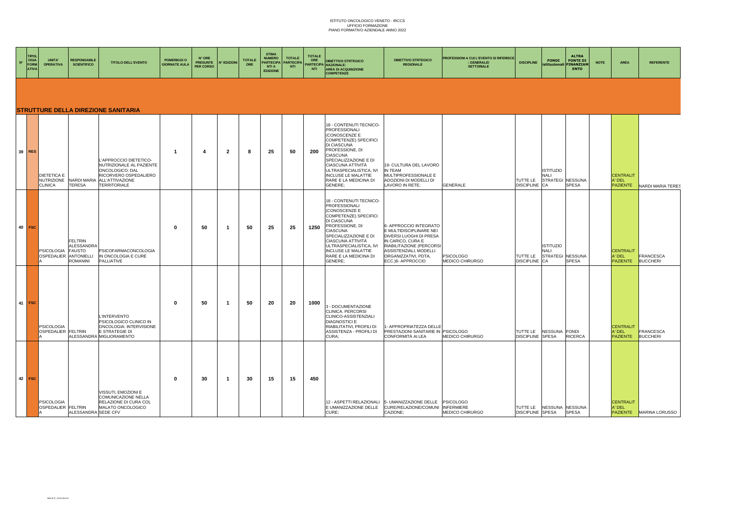| $N^{\circ}$ | <b>TIPOL</b><br>OGIA<br>FORM<br><b>ATIVA</b> | UNITA'<br><b>OPERATIVA</b>                                | <b>RESPONSABILE</b><br><b>SCIENTIFICO</b>                        | <b>TITOLO DELL'EVENTO</b>                                                                                                                            | <b>POMERIGGI O</b><br><b>GIORNATE AULA</b> | N° ORE<br><b>PRESUNTE</b><br>PER CORSO | <b>N° EDIZIONI</b> | <b>TOTALE</b><br>ORE | <b>STIMA</b><br><b>NUMERO</b><br><b>NTI A</b><br><b>EDIZIONE</b> | <b>TOTALE</b><br>PARTECIPA   PARTECIPA<br><b>NTI</b> | <b>TOTALE</b><br>ORE<br><b>NTI</b> | OBJETTIVO STRTEGICO<br>PARTECIPA NAZIONALE:<br><b>AREA DI ACQUISIZIONE</b><br><b>COMPETENZE</b>                                                                                                                                                                                    | <b>OBIETTIVO STRTEGICO</b><br><b>REGIONALE</b>                                                                                                                                                       | PROFESSIONI A CUI L'EVENTO SI RIFERISCE<br><b>GENERALE/</b><br><b>SETTORIALE</b> | <b>DISCIPLINE</b>                          | <b>FONDI</b><br>istituzionali                              | <b>ALTRA</b><br><b>FONTE DI</b><br><b>FINANZIAM</b><br><b>ENTO</b> | <b>NOTE</b> | <b>AREA</b>                                   | <b>REFERENTE</b>                    |
|-------------|----------------------------------------------|-----------------------------------------------------------|------------------------------------------------------------------|------------------------------------------------------------------------------------------------------------------------------------------------------|--------------------------------------------|----------------------------------------|--------------------|----------------------|------------------------------------------------------------------|------------------------------------------------------|------------------------------------|------------------------------------------------------------------------------------------------------------------------------------------------------------------------------------------------------------------------------------------------------------------------------------|------------------------------------------------------------------------------------------------------------------------------------------------------------------------------------------------------|----------------------------------------------------------------------------------|--------------------------------------------|------------------------------------------------------------|--------------------------------------------------------------------|-------------|-----------------------------------------------|-------------------------------------|
|             |                                              |                                                           |                                                                  | <b>STRUTTURE DELLA DIREZIONE SANITARIA</b>                                                                                                           |                                            |                                        |                    |                      |                                                                  |                                                      |                                    |                                                                                                                                                                                                                                                                                    |                                                                                                                                                                                                      |                                                                                  |                                            |                                                            |                                                                    |             |                                               |                                     |
|             | 39 RES                                       | <b>DIETETICA E</b><br><b>NUTRIZIONE</b><br><b>CLINICA</b> | <b>TERESA</b>                                                    | L'APPROCCIO DIETETICO-<br>NUTRIZIONALE AL PAZIENTE<br>ONCOLOGICO: DAL<br>RICORVERO OSPEDALIERO<br>NARDI MARIA ALL'ATTIVAZIONE<br><b>TERRITORIALE</b> | -1                                         | 4                                      | $\overline{2}$     | 8                    | 25                                                               | 50                                                   | 200                                | 18 - CONTENUTI TECNICO-<br><b>PROFESSIONALI</b><br>(CONOSCENZE E<br>COMPETENZE) SPECIFICI<br>DI CIASCUNA<br>PROFESSIONE, DI<br>CIASCUNA<br>SPECIALIZZAZIONE E DI<br>CIASCUNA ATTIVITÀ<br>ULTRASPECIALISTICA, IVI<br><b>INCLUSE LE MALATTIE</b><br>RARE E LA MEDICINA DI<br>GENERE: | 19- CULTURA DEL LAVORO<br>IN TEAM<br>MULTIPROFESSIONALE E<br>ADOZIONI DI MODELLI DI<br>LAVORO IN RETE;                                                                                               | GENERALE                                                                         | TUTTE LE<br><b>DISCIPLINE</b> CA           | <b>ISTITUZIO</b><br><b>NALI</b><br><b>STRATEGI NESSUNA</b> | <b>SPESA</b>                                                       |             | <b>CENTRALIT</b><br>A' DEL<br><b>PAZIENTE</b> | <b>NARDI MARIA TERES</b>            |
|             | $40$ FSC                                     | <b>PSICOLOGIA</b><br>OSPEDALIER ANTONIELLI                | <b>FELTRIN</b><br><b>ALESSANDRA</b><br><b>FAUSTO</b><br>ROMANINI | <b>PSICOFARMACONCOLOGIA</b><br>IN ONCOLOGIA E CURE<br>PALLIATIVE                                                                                     | $\mathbf{0}$                               | 50                                     | -1                 | 50                   | 25                                                               | 25                                                   | 1250                               | 18 - CONTENUTI TECNICO-<br>PROFESSIONALI<br>(CONOSCENZE E<br>COMPETENZE) SPECIFICI<br>DI CIASCUNA<br>PROFESSIONE, DI<br><b>CIASCUNA</b><br>SPECIALIZZAZIONE E DI<br>CIASCUNA ATTIVITÀ<br>ULTRASPECIALISTICA, IVI<br>INCLUSE LE MALATTIE<br>RARE E LA MEDICINA DI<br>GENERE:        | 6- APPROCCIO INTEGRATO<br>E MULTIDISCIPLINARE NEI<br>DIVERSI LUOGHI DI PRESA<br>IN CARICO, CURA E<br>RIABILITAZIONE (PERCORSI<br>ASSISTENZIALI, MODELLI<br>ORGANIZZATIVI, PDTA,<br>ECC.)6- APPROCCIO | <b>PSICOLOGO</b><br>MEDICO CHIRURGO                                              | <b>TUTTE LE</b><br><b>DISCIPLINE</b> CA    | <b>ISTITUZIO</b><br><b>NALI</b><br>STRATEGI NESSUNA        | <b>SPESA</b>                                                       |             | <b>CENTRALIT</b><br>A' DEL<br><b>PAZIENTE</b> | <b>FRANCESCA</b><br><b>BUCCHERI</b> |
|             | 41 FSC                                       | <b>PSICOLOGIA</b><br>OSPEDALIER FELTRIN                   |                                                                  | <b>L'INTERVENTO</b><br>PSICOLOGICO CLINICO IN<br>ONCOLOGIA: INTERVISIONE<br>E STRATEGIE DI<br>ALESSANDRA MIGLIORAMENTO                               | $\mathbf{0}$                               | 50                                     | -1                 | 50                   | -20                                                              | 20                                                   | 1000                               | 3 - DOCUMENTAZIONE<br>CLINICA. PERCORSI<br>CLINICO-ASSISTENZIALI<br><b>DIAGNOSTICI E</b><br>RIABILITATIVI, PROFILI DI<br>ASSISTENZA - PROFILI DI<br>CURA:                                                                                                                          | - APPROPRIATEZZA DELLE<br>PRESTAZIONI SANITARIE IN PSICOLOGO<br>CONFORMITÀ AI LEA                                                                                                                    | MEDICO CHIRURGO                                                                  | <b>TUTTE LE</b><br><b>DISCIPLINE SPESA</b> | NESSUNA FONDI                                              | <b>RICERCA</b>                                                     |             | <b>CENTRALIT</b><br>A' DEL<br><b>PAZIENTE</b> | <b>FRANCESCA</b><br><b>BUCCHERI</b> |
|             | 42 FSC                                       | <b>PSICOLOGIA</b><br>OSPEDALIER FELTRIN                   | ALESSANDRA SEDE CFV                                              | VISSUTI, EMOZIONI E<br>COMUNICAZIONE NELLA<br>RELAZIONE DI CURA COL<br>MALATO ONCOLOGICO                                                             | $\bf{0}$                                   | 30                                     | $\mathbf{1}$       | 30                   | 15                                                               | 15                                                   | 450                                | 12 - ASPETTI RELAZIONALI<br>E UMANIZZAZIONE DELLE<br>CURE:                                                                                                                                                                                                                         | 5- UMANIZZAZIONE DELLE<br>CURE/RELAZIONE/COMUNI INFERMIERE<br>CAZIONE:                                                                                                                               | <b>PSICOLOGO</b><br>MEDICO CHIRURGO                                              | TUTTE LE<br><b>DISCIPLINE SPESA</b>        | NESSUNA NESSUNA                                            | <b>SPESA</b>                                                       |             | <b>CENTRALIT</b><br>A' DEL                    | <b>PAZIENTE</b> MARINA LORUSSO      |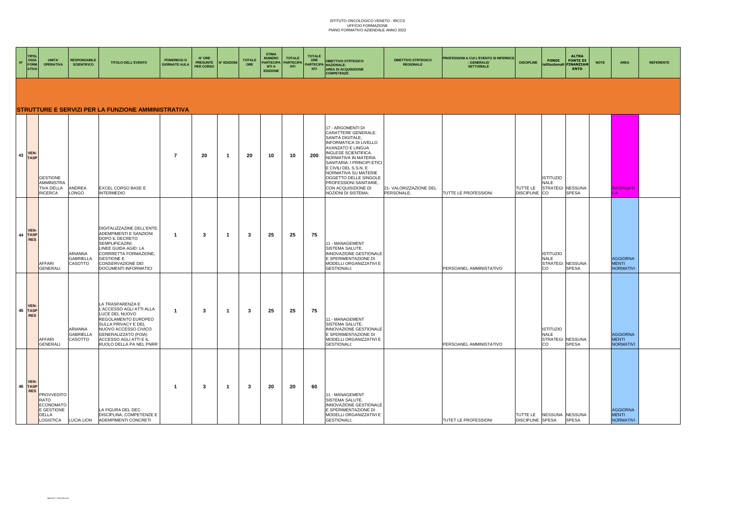| $N^{\circ}$ | TIPOI<br>OGIA<br><b>FORM</b><br><b>ATIVA</b> | UNITA'<br><b>OPERATIVA</b>                                                               | <b>RESPONSABILE</b><br><b>SCIENTIFICO</b> | <b>TITOLO DELL'EVENTO</b>                                                                                                                                                                                         | POMERIGGI O<br><b>GIORNATE AULA</b> | N° ORE<br><b>PRESUNTE</b><br><b>PER CORSO</b> | <b>N° EDIZIONI</b>      | <b>TOTALE</b><br>ORE | <b>STIMA</b><br><b>NUMERO</b><br><b>PARTECIPA</b><br><b>NTI A</b><br><b>EDIZIONE</b> | <b>TOTALE</b><br><b>PARTECIPA</b><br><b>NTI</b> | <b>TOTALE</b><br>ORE<br>NTI | <b>OBIETTIVO STRTEGICO</b><br>PARTECIPA NAZIONALE:<br><b>AREA DI ACQUISIZIONE</b><br><b>COMPETENZE</b>                                                                                                                                                                                                                                              | <b>OBIETTIVO STRTEGICO</b><br><b>REGIONALE</b> | PROFESSIONI A CUI L'EVENTO SI RIFERISCE<br><b>GENERALE/</b><br><b>SETTORIALE</b> | <b>DISCIPLINE</b>                          | <b>ALTRA</b><br><b>FONDI</b><br><b>FONTE DI</b><br><b>FINANZIAM</b><br>istituzional<br><b>ENTO</b> | <b>NOTE</b> | AREA                                                | <b>REFERENTE</b> |
|-------------|----------------------------------------------|------------------------------------------------------------------------------------------|-------------------------------------------|-------------------------------------------------------------------------------------------------------------------------------------------------------------------------------------------------------------------|-------------------------------------|-----------------------------------------------|-------------------------|----------------------|--------------------------------------------------------------------------------------|-------------------------------------------------|-----------------------------|-----------------------------------------------------------------------------------------------------------------------------------------------------------------------------------------------------------------------------------------------------------------------------------------------------------------------------------------------------|------------------------------------------------|----------------------------------------------------------------------------------|--------------------------------------------|----------------------------------------------------------------------------------------------------|-------------|-----------------------------------------------------|------------------|
|             |                                              |                                                                                          |                                           | STRUTTURE E SERVIZI PER LA FUNZIONE AMMINISTRATIVA                                                                                                                                                                |                                     |                                               |                         |                      |                                                                                      |                                                 |                             |                                                                                                                                                                                                                                                                                                                                                     |                                                |                                                                                  |                                            |                                                                                                    |             |                                                     |                  |
|             | 43 VEN-<br><b>TASP</b>                       | <b>GESTIONE</b><br><b>AMMINISTRA</b><br><b>TIVA DELLA</b><br>RICERCA                     | ANDREA<br>LONGO                           | EXCEL CORSO BASE E<br><b>INTERMEDIO</b>                                                                                                                                                                           | $\overline{7}$                      | -20                                           | -1                      | 20                   | 10                                                                                   | 10                                              | 200                         | 17 - ARGOMENTI DI<br>CARATTERE GENERALE:<br>SANITÀ DIGITALE,<br><b>INFORMATICA DI LIVELLO</b><br>AVANZATO E LINGUA<br>INGLESE SCIENTIFICA.<br>NORMATIVA IN MATERIA<br>SANITARIA: I PRINCIPI ETICI<br>E CIVILI DEL S.S.N. E<br>NORMATIVA SU MATERIE<br>OGGETTO DELLE SINGOLE<br>PROFESSIONI SANITARIE,<br>CON ACQUISIZIONE DI<br>NOZIONI DI SISTEMA; | 21- VALORIZZAZIONE DEL<br>PERSONALE:           | TUTTE LE PROFESSIONI                                                             | TUTTE LE<br><b>DISCIPLINE</b>              | <b>ISTITUZIO</b><br>NALE<br>STRATEGI NESSUNA<br>CO<br><b>SPESA</b>                                 |             | <b>INFORMATI</b><br>CA                              |                  |
|             | <b>VEN</b><br>44 TASP<br><b>RES</b>          | AFFARI<br><b>GENERALI</b>                                                                | ARIANNA<br><b>GABRIELLA</b><br>CASOTTO    | DIGITALIZZAZINE DELL'ENTE:<br>ADEMPIMENTI E SANZIONI<br>DOPO IL DECRETO<br>SEMPLIFICAZINI.<br>LINEE GUIDA AGID: LA<br>CORRRETTA FORMAZIONE,<br><b>GESTIONE E</b><br>CONSERVAZIONE DEI<br>DOCUMENTI INFORMATICI    | $\overline{\mathbf{1}}$             | 3                                             | $\overline{1}$          | -3                   | 25                                                                                   | 25                                              | 75                          | 11 - MANAGEMENT<br>SISTEMA SALUTE.<br>INNOVAZIONE GESTIONALE<br>E SPERIMENTAZIONE DI<br>MODELLI ORGANIZZATIVI E<br><b>GESTIONALI:</b>                                                                                                                                                                                                               |                                                | PERSOANEL AMMINISTATIVO                                                          |                                            | <b>ISTITUZIO</b><br><b>NALE</b><br>STRATEGI NESSUNA<br><b>SPESA</b><br>CO                          |             | <b>AGGIORNA</b><br><b>MENTI</b><br><b>NORMATIVI</b> |                  |
|             | <b>VEN</b><br>45 TASP<br><b>RES</b>          | AFFARI<br><b>GENERALI</b>                                                                | ARIANNA<br><b>GABRIELLA</b><br>CASOTTO    | LA TRASPARENZA E<br>L'ACCESSO AGLI ATTI ALLA<br>LUCE DEL NUOVO<br>REGOLAMENTO EUROPEO<br>SULLA PRIVACY E DEL<br>NUOVO ACCESSO CIVICO<br>GENERALIZZATO (FOIA)<br>ACCESSO AGLI ATTI E IL<br>RUOLO DELLA PA NEL PNRR | $\overline{\mathbf{1}}$             | -3                                            | $\overline{1}$          | -3                   | -25                                                                                  | 25                                              | 75                          | 11 - MANAGEMENT<br>SISTEMA SALUTE.<br>INNOVAZIONE GESTIONALE<br>E SPERIMENTAZIONE DI<br>MODELLI ORGANIZZATIVI E<br><b>GESTIONALI:</b>                                                                                                                                                                                                               |                                                | PERSOANEL AMMINISTATIVO                                                          |                                            | <b>ISTITUZIO</b><br><b>NALE</b><br>STRATEGI NESSUNA<br><b>SPESA</b><br>CO                          |             | <b>AGGIORNA</b><br><b>MENTI</b><br><b>NORMATIVI</b> |                  |
|             | <b>VEN</b><br>46 TASP<br><b>RES</b>          | <b>PROVVEDITO</b><br>RATO<br><b>ECONOMATO</b><br>E GESTIONE<br><b>DELLA</b><br>LOGISTICA | <b>LUCIA LION</b>                         | LA FIGURA DEL DEC:<br>DISCIPLINA, COMPETENZE E<br>ADEMPIMENTI CONCRETI                                                                                                                                            | -1                                  | 3                                             | $\overline{\mathbf{1}}$ | 3                    | 20                                                                                   | 20                                              | 60                          | 11 - MANAGEMENT<br>SISTEMA SALUTE.<br>INNOVAZIONE GESTIONALE<br>E SPERIMENTAZIONE DI<br>MODELLI ORGANIZZATIVI E<br><b>GESTIONALI;</b>                                                                                                                                                                                                               |                                                | TUTET LE PROFESSIONI                                                             | <b>TUTTE LE</b><br><b>DISCIPLINE SPESA</b> | NESSUNA NESSUNA<br><b>SPESA</b>                                                                    |             | <b>AGGIORNA</b><br><b>MENTI</b><br><b>NORMATIVI</b> |                  |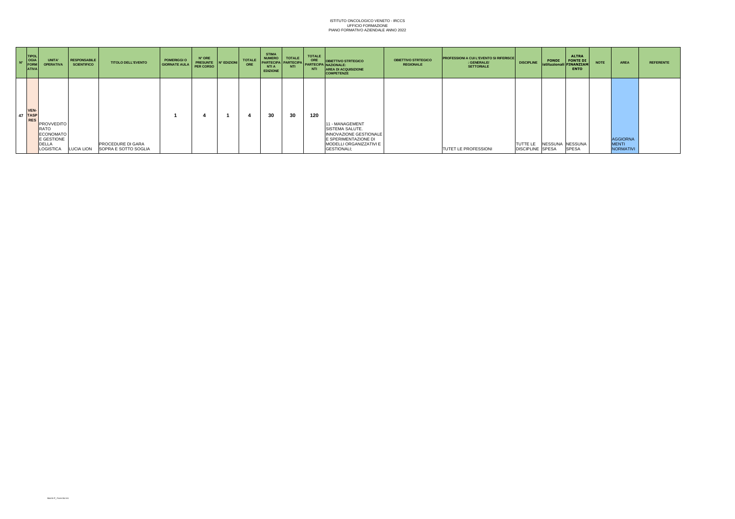| $N^{\circ}$ | <b>TIPOL</b><br>OGIA<br>FORM<br><b>ATIVA</b> | <b>UNITA</b><br><b>OPERATIVA</b>                                                  | <b>RESPONSABILE</b><br><b>SCIENTIFICO</b> | <b>TITOLO DELL'EVENTO</b>                                   | POMERIGGI O<br>GIORNATE AULA | N° ORE<br><b>PRESUNTE</b><br><b>PER CORSO</b> | IN° EDIZIONI | <b>TOTALE</b><br>ORE | <b>STIMA</b><br><b>NUMERO</b><br><b>PARTECIPA</b><br><b>NTI A</b><br><b>EDIZIONE</b> | <b>TOTALE</b><br><b>PARTECIPA</b><br><b>NTI</b> | <b>TOTALE</b><br>ORE<br>NTI | <b>OBIETTIVO STRTEGICO</b><br><b>PARTECIPA</b> NAZIONALE:<br><b>AREA DI ACQUISIZIONE</b><br><b>COMPETENZE</b>                                | <b>OBIETTIVO STRTEGICO</b><br><b>REGIONALE</b> | <b>PROFESSIONI A CUI L'EVENTO SI RIFERISCE</b><br>: GENERALE/<br><b>SETTORIALE</b> | <b>DISCIPLINE</b>                   | <b>FONDI</b><br>istituzionali FINANZIAM | <b>ALTRA</b><br><b>FONTE DI</b><br><b>ENTO</b> | <b>NOTE</b> | <b>AREA</b>                                         | <b>REFERENTE</b> |
|-------------|----------------------------------------------|-----------------------------------------------------------------------------------|-------------------------------------------|-------------------------------------------------------------|------------------------------|-----------------------------------------------|--------------|----------------------|--------------------------------------------------------------------------------------|-------------------------------------------------|-----------------------------|----------------------------------------------------------------------------------------------------------------------------------------------|------------------------------------------------|------------------------------------------------------------------------------------|-------------------------------------|-----------------------------------------|------------------------------------------------|-------------|-----------------------------------------------------|------------------|
|             | VEN-<br>47 TASP<br><b>RES</b>                | <b>PROVVEDITO</b><br>RATO<br><b>ECONOMATO</b><br>E GESTIONE<br>DELLA<br>LOGISTICA |                                           | <b>PROCEDURE DI GARA</b><br>LUCIA LION SOPRA E SOTTO SOGLIA |                              |                                               |              |                      | 30                                                                                   | 30                                              | 120                         | 11 - MANAGEMENT<br><b>SISTEMA SALUTE.</b><br>INNOVAZIONE GESTIONALE<br>E SPERIMENTAZIONE DI<br>MODELLI ORGANIZZATIVI E<br><b>GESTIONALI:</b> |                                                | <b>TUTET LE PROFESSIONI</b>                                                        | TUTTE LE<br><b>DISCIPLINE SPESA</b> | NESSUNA NESSUNA                         | <b>SPESA</b>                                   |             | <b>AGGIORNA</b><br><b>MENTI</b><br><b>NORMATIVI</b> |                  |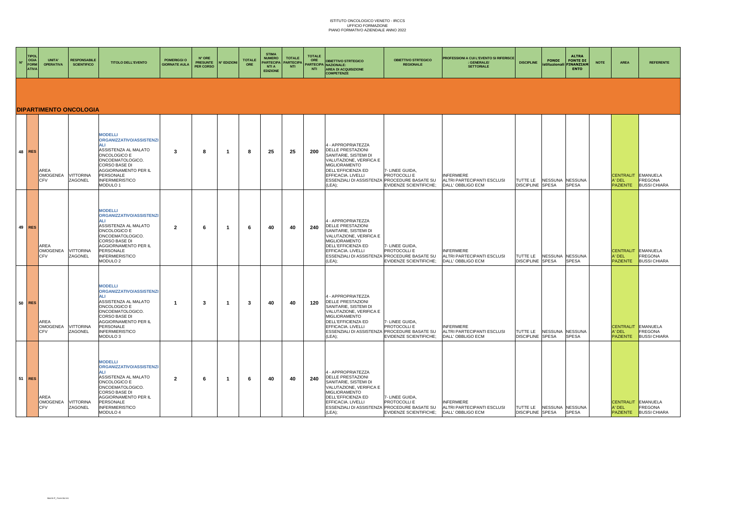| $N^{\circ}$ | <b>TIPOL</b><br>OGIA<br><b>FORM</b><br><b>ATIVA</b> | UNITA'<br><b>OPERATIVA</b>            | <b>RESPONSABILE</b><br><b>SCIENTIFICO</b> | <b>TITOLO DELL'EVENTO</b>                                                                                                                                                                                         | POMERIGGI O<br><b>GIORNATE AULA</b> | N° ORE<br><b>PRESUNTE</b><br><b>PER CORSO</b> | N° EDIZIONI | <b>TOTALE</b><br>ORE | <b>STIMA</b><br><b>NUMERO</b><br><b>PARTECIPA</b><br><b>NTI A</b><br><b>EDIZIONE</b> | <b>TOTALE</b><br>PARTECIPA<br><b>NTI</b> | <b>TOTALE</b><br>ORE<br><b>NTI</b> | <b>OBIETTIVO STRTEGICO</b><br>ARTECIPA NAZIONALE:<br><b>AREA DI ACQUISIZIONE</b><br><b>COMPETENZE</b>                                                                                                                     | <b>OBIETTIVO STRTEGICO</b><br><b>REGIONALE</b>                   | PROFESSIONI A CUI L'EVENTO SI RIFERISCI<br>: GENERALE/<br><b>SETTORIALE</b> | <b>DISCIPLINE</b>                   | <b>ALTRA</b><br><b>FONDI</b><br><b>FONTE DI</b><br><b>INANZIAM</b><br>stituzionali<br><b>ENTO</b> | <b>NOTE</b> | <b>AREA</b>                                     | <b>REFERENTE</b>                                  |
|-------------|-----------------------------------------------------|---------------------------------------|-------------------------------------------|-------------------------------------------------------------------------------------------------------------------------------------------------------------------------------------------------------------------|-------------------------------------|-----------------------------------------------|-------------|----------------------|--------------------------------------------------------------------------------------|------------------------------------------|------------------------------------|---------------------------------------------------------------------------------------------------------------------------------------------------------------------------------------------------------------------------|------------------------------------------------------------------|-----------------------------------------------------------------------------|-------------------------------------|---------------------------------------------------------------------------------------------------|-------------|-------------------------------------------------|---------------------------------------------------|
|             |                                                     |                                       | <b>DIPARTIMENTO ONCOLOGIA</b>             |                                                                                                                                                                                                                   |                                     |                                               |             |                      |                                                                                      |                                          |                                    |                                                                                                                                                                                                                           |                                                                  |                                                                             |                                     |                                                                                                   |             |                                                 |                                                   |
|             | $48$ RES                                            | AREA<br><b>OMOGENEA</b><br><b>CFV</b> | <b>VITTORINA</b><br>ZAGONEL               | <b>MODELLI</b><br>ORGANIZZATIVO/ASSISTENZI<br><b>AI</b> I<br>ASSISTENZA AL MALATO<br>ONCOLOGICO E<br>ONCOEMATOLOGICO.<br>CORSO BASE DI<br>AGGIORNAMENTO PER IL<br>PERSONALE<br><b>INFERMIERISTICO</b><br>MODULO 1 | 3                                   | 8                                             | -1          | 8                    | 25                                                                                   | 25                                       | 200                                | 4 - APPROPRIATEZZA<br><b>DELLE PRESTAZIONI</b><br>SANITARIE, SISTEMI DI<br>VALUTAZIONE, VERIFICA E<br>MIGLIORAMENTO<br>DELL'EFFICIENZA ED<br>EFFICACIA. LIVELLI<br>ESSENZIALI DI ASSISTENZA PROCEDURE BASATE SU<br>(LEA); | 7- LINEE GUIDA,<br>PROTOCOLLI E<br><b>EVIDENZE SCIENTIFICHE:</b> | <b>INFERMIERE</b><br>ALTRI PARTECIPANTI ESCLUSI<br>DALL' OBBLIGO ECM        | TUTTE LE<br><b>DISCIPLINE</b>       | NESSUNA NESSUNA<br><b>SPESA</b><br>SPESA                                                          |             | <b>CENTRALIT</b><br>A' DEL<br><b>PAZIENTE</b>   | EMANUELA<br>FREGONA<br><b>BUSSI CHIARA</b>        |
| $49$ RES    |                                                     | AREA<br><b>OMOGENEA</b><br><b>CFV</b> | <b>VITTORINA</b><br>ZAGONEL               | <b>MODELLI</b><br>ORGANIZZATIVO/ASSISTENZI<br>ASSISTENZA AL MALATO<br>ONCOLOGICO E<br>ONCOEMATOLOGICO.<br>CORSO BASE DI<br>AGGIORNAMENTO PER IL<br>PERSONALE<br><b>INFERMIERISTICO</b><br>MODULO 2                | $\overline{2}$                      | 6                                             |             | 6                    | 40                                                                                   | 40                                       | 240                                | 4 - APPROPRIATEZZA<br><b>DELLE PRESTAZIONI</b><br>SANITARIE, SISTEMI DI<br>VALUTAZIONE, VERIFICA E<br>MIGLIORAMENTO<br>DELL'EFFICIENZA ED<br>EFFICACIA. LIVELLI<br>ESSENZIALI DI ASSISTENZA PROCEDURE BASATE SU<br>(LEA); | 7- LINEE GUIDA,<br>PROTOCOLLI E<br><b>EVIDENZE SCIENTIFICHE:</b> | <b>INFERMIERE</b><br>ALTRI PARTECIPANTI ESCLUSI<br>DALL' OBBLIGO ECM        | TUTTE LE<br><b>DISCIPLINE</b>       | NESSUNA NESSUNA<br>SPESA<br><b>SPESA</b>                                                          |             | CENTRALIT EMANUELA<br>A' DEL<br><b>PAZIENTE</b> | FREGONA<br><b>BUSSI CHIARA</b>                    |
|             | 50 RES                                              | AREA<br><b>OMOGENEA</b><br>CFV        | <b>VITTORINA</b><br>ZAGONEL               | <b>MODELLI</b><br>ORGANIZZATIVO/ASSISTENZI<br>ASSISTENZA AL MALATO<br>ONCOLOGICO E<br>ONCOEMATOLOGICO.<br>CORSO BASE DI<br>AGGIORNAMENTO PER IL<br>PERSONALE<br><b>INFERMIERISTICO</b><br>MODULO <sub>3</sub>     | -1                                  | 3                                             | -1          | 3                    | 40                                                                                   | 40                                       | 120                                | 4 - APPROPRIATEZZA<br>DELLE PRESTAZIONI<br>SANITARIE, SISTEMI DI<br>VALUTAZIONE, VERIFICA E<br>MIGLIORAMENTO<br>DELL'EFFICIENZA ED<br>EFFICACIA. LIVELLI<br>ESSENZIALI DI ASSISTENZA PROCEDURE BASATE SU<br>(LEA);        | 7- LINEE GUIDA,<br>PROTOCOLLI E<br><b>EVIDENZE SCIENTIFICHE;</b> | <b>INFERMIERE</b><br>ALTRI PARTECIPANTI ESCLUSI<br>DALL' OBBLIGO ECM        | TUTTE LE<br><b>DISCIPLINE</b>       | NESSUNA NESSUNA<br><b>SPESA</b><br><b>SPESA</b>                                                   |             | CENTRALIT EMANUELA<br>A' DEL<br><b>PAZIENTE</b> | FREGONA<br><b>BUSSI CHIARA</b>                    |
| $51$ RES    |                                                     | AREA<br><b>OMOGENEA</b><br><b>CFV</b> | <b>VITTORINA</b><br>ZAGONEL               | <b>MODELLI</b><br>ORGANIZZATIVO/ASSISTENZI<br>AL I<br>ASSISTENZA AL MALATO<br>ONCOLOGICO E<br>ONCOEMATOLOGICO.<br>CORSO BASE DI<br>AGGIORNAMENTO PER IL<br>PERSONALE<br><b>INFERMIERISTICO</b><br>MODULO 4        | $\overline{2}$                      | 6                                             |             | -6                   | 40                                                                                   | 40                                       | 240                                | 4 - APPROPRIATEZZA<br><b>DELLE PRESTAZIONI</b><br>SANITARIE, SISTEMI DI<br>VALUTAZIONE, VERIFICA E<br>MIGLIORAMENTO<br>DELL'EFFICIENZA ED<br>EFFICACIA. LIVELLI<br>ESSENZIALI DI ASSISTENZA PROCEDURE BASATE SU<br>(LEA); | 7- LINEE GUIDA,<br>PROTOCOLLI E<br><b>EVIDENZE SCIENTIFICHE:</b> | <b>INFERMIERE</b><br>ALTRI PARTECIPANTI ESCLUSI<br>DALL' OBBLIGO ECM        | TUTTE LE<br><b>DISCIPLINE SPESA</b> | NESSUNA NESSUNA<br><b>SPESA</b>                                                                   |             | CENTRALIT<br>A' DEL<br><b>PAZIENTE</b>          | EMANUELA<br><b>FREGONA</b><br><b>BUSSI CHIARA</b> |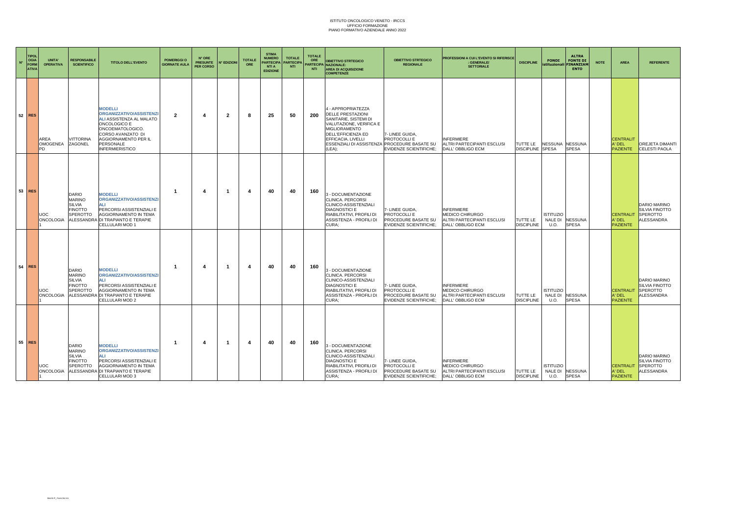| $N^{\circ}$ | <b>TIPOL</b><br>OGIA<br>FORM<br><b>ATIVA</b> | <b>INITA'</b><br><b>OPERATIVA</b> | <b>RESPONSABILE</b><br><b>SCIENTIFICO</b>                                           | <b>TITOLO DELL'EVENTO</b>                                                                                                                                                                      | POMERIGGI O<br><b>GIORNATE AULA</b> | N° ORE<br><b>PRESUNTE</b><br>PER CORSO | <b>N° EDIZIONI</b>      | <b>TOTALE</b><br>ORE | <b>STIMA</b><br><b>NUMERO</b><br><b>PARTECIPA</b><br><b>NTI A</b><br><b>EDIZIONE</b> | <b>TOTALE</b><br><b>PARTECIPA</b><br><b>NTI</b> | <b>TOTALE</b><br>ORE<br><b>NTI</b> | <b>OBIETTIVO STRTEGICO</b><br>PARTECIPA NAZIONALE:<br><b>AREA DI ACQUISIZIONE</b><br><b>COMPETENZE</b>                                                                                                       | <b>OBIETTIVO STRTEGICO</b><br><b>REGIONALE</b>                                                | <b>PROFESSIONI A CUI L'EVENTO SI RIFERISCE</b><br>: GENERALE/<br><b>SETTORIALE</b>      | <b>DISCIPLINE</b>                   | <b>FONDI</b><br><i>istituzionali</i> | <b>ALTRA</b><br><b>FONTE DI</b><br><b>FINANZIAM</b><br><b>ENTO</b> | <b>NOTE</b> | <b>AREA</b>                                   | <b>REFERENTE</b>                                                              |
|-------------|----------------------------------------------|-----------------------------------|-------------------------------------------------------------------------------------|------------------------------------------------------------------------------------------------------------------------------------------------------------------------------------------------|-------------------------------------|----------------------------------------|-------------------------|----------------------|--------------------------------------------------------------------------------------|-------------------------------------------------|------------------------------------|--------------------------------------------------------------------------------------------------------------------------------------------------------------------------------------------------------------|-----------------------------------------------------------------------------------------------|-----------------------------------------------------------------------------------------|-------------------------------------|--------------------------------------|--------------------------------------------------------------------|-------------|-----------------------------------------------|-------------------------------------------------------------------------------|
|             | $52$ RES                                     | AREA<br>OMOGENEA<br><b>PD</b>     | <b>JITTORINA</b><br>ZAGONEL                                                         | <b>MODELLI</b><br>ORGANIZZATIVO/ASSISTENZI<br>ALI ASSISTENZA AL MALATO<br>ONCOLOGICO E<br>ONCOEMATOLOGICO.<br>CORSO AVANZATO DI<br>AGGIORNAMENTO PER IL<br>PERSONALE<br><b>INFERMIERISTICO</b> | $\mathbf{2}$                        |                                        | $\overline{\mathbf{2}}$ | 8                    | 25                                                                                   | 50                                              | 200                                | 4 - APPROPRIATEZZA<br><b>DELLE PRESTAZIONI</b><br>SANITARIE, SISTEMI DI<br>VALUTAZIONE, VERIFICA E<br>MIGLIORAMENTO<br><b>DELL'EFFICIENZA ED</b><br>EFFICACIA. LIVELLI<br>ESSENZIALI DI ASSISTENZA<br>(LEA); | 7- LINEE GUIDA<br>PROTOCOLLI E<br><b>PROCEDURE BASATE SU</b><br><b>EVIDENZE SCIENTIFICHE:</b> | <b>INFERMIERE</b><br>ALTRI PARTECIPANTI ESCLUSI<br>DALL' OBBLIGO ECM                    | TUTTE LE<br><b>DISCIPLINE SPESA</b> | NESSUNA NESSUNA                      | <b>SPESA</b>                                                       |             | <b>CENTRALIT</b><br>A' DEL<br><b>PAZIENTE</b> | OREJETA DIMANTI<br><b>CELESTI PAOLA</b>                                       |
|             | 53 RES                                       | <b>JOC</b><br><b>ONCOLOGIA</b>    | DARIO<br><b>MARINO</b><br>SILVIA<br><b>FINOTTO</b><br><b>SPEROTTO</b><br>ALESSANDRA | <b>MODELLI</b><br>ORGANIZZATIVO/ASSISTENZI<br>AI I<br>PERCORSI ASSISTENZIALI E<br>AGGIORNAMENTO IN TEMA<br>DI TRAPIANTO E TERAPIE<br>CELLULARI MOD 1                                           | -1                                  | 4                                      | -1                      | 4                    | 40                                                                                   | 40                                              | 160                                | 3 - DOCUMENTAZIONE<br>CLINICA. PERCORSI<br>CLINICO-ASSISTENZIALI<br><b>DIAGNOSTICI E</b><br>RIABILITATIVI, PROFILI DI<br>ASSISTENZA - PROFILI DI<br>CURA;                                                    | - LINEE GUIDA<br><b>PROTOCOLLI E</b><br>PROCEDURE BASATE SU<br><b>EVIDENZE SCIENTIFICHE:</b>  | <b>INFERMIERE</b><br>MEDICO CHIRURGO<br>ALTRI PARTECIPANTI ESCLUSI<br>DALL' OBBLIGO ECM | TUTTE LE<br><b>DISCIPLINE</b>       | <b>ISTITUZIO</b><br>NALE DI<br>U.O.  | <b>NESSUNA</b><br><b>SPESA</b>                                     |             | <b>CENTRALIT</b><br>A' DEL<br><b>PAZIENTE</b> | <b>DARIO MARINO</b><br><b>SILVIA FINOTTO</b><br><b>SPEROTTO</b><br>ALESSANDRA |
|             | 54 RES                                       | <b>JOC</b><br><b>ONCOLOGIA</b>    | <b>DARIO</b><br><b>MARINO</b><br><b>SILVIA</b><br><b>FINOTTO</b><br><b>SPEROTTO</b> | <b>MODELLI</b><br>ORGANIZZATIVO/ASSISTENZI<br>ALI<br>PERCORSI ASSISTENZIALI E<br>AGGIORNAMENTO IN TEMA<br><b>LESSANDRA DI TRAPIANTO E TERAPIE</b><br>CELLULARI MOD 2                           | -1                                  |                                        | -1                      | 4                    | 40                                                                                   | 40                                              | 160                                | 3 - DOCUMENTAZIONE<br>CLINICA. PERCORSI<br>CLINICO-ASSISTENZIALI<br><b>DIAGNOSTICI E</b><br>RIABILITATIVI, PROFILI DI<br>ASSISTENZA - PROFILI DI<br>CURA;                                                    | 7- LINEE GUIDA,<br>PROTOCOLLI E<br>PROCEDURE BASATE SU<br>EVIDENZE SCIENTIFICHE:              | <b>INFERMIERE</b><br>MEDICO CHIRURGO<br>ALTRI PARTECIPANTI ESCLUSI<br>DALL' OBBLIGO ECM | TUTTE LE<br><b>DISCIPLINE</b>       | <b>ISTITUZIO</b><br>NALE DI<br>U.O.  | <b>NESSUNA</b><br><b>SPESA</b>                                     |             | <b>CENTRALI</b><br>A' DEL<br><b>PAZIENTE</b>  | <b>DARIO MARINO</b><br>SILVIA FINOTTO<br><b>SPEROTTO</b><br>ALESSANDRA        |
|             | 55 RES                                       | JOC<br>ONCOLOGIA                  | DARIO<br><b>MARINO</b><br>SILVIA<br><b>FINOTTO</b><br>SPEROTTO                      | <b>MODELLI</b><br>ORGANIZZATIVO/ASSISTENZI<br>AI <sub>1</sub><br>PERCORSI ASSISTENZIALI E<br>AGGIORNAMENTO IN TEMA<br>ALESSANDRA DI TRAPIANTO E TERAPIE<br>CELLULARI MOD 3                     | -1                                  | 4                                      | -1                      | 4                    | 40                                                                                   | 40                                              | 160                                | 3 - DOCUMENTAZIONE<br>CLINICA. PERCORSI<br>CLINICO-ASSISTENZIALI<br><b>DIAGNOSTICI E</b><br>RIABILITATIVI, PROFILI DI<br>ASSISTENZA - PROFILI DI<br>CURA:                                                    | - LINEE GUIDA.<br>PROTOCOLLI E<br>PROCEDURE BASATE SU<br><b>EVIDENZE SCIENTIFICHE:</b>        | <b>INFERMIERE</b><br>MEDICO CHIRURGO<br>ALTRI PARTECIPANTI ESCLUSI<br>DALL' OBBLIGO ECM | TUTTE LE<br><b>DISCIPLINE</b>       | ISTITUZIO<br>U.O.                    | NALE DI NESSUNA<br><b>SPESA</b>                                    |             | <b>CENTRALIT</b><br>A' DEL<br><b>PAZIENTE</b> | <b>DARIO MARINO</b><br><b>SILVIA FINOTTO</b><br>SPEROTTO<br><b>ALESSANDRA</b> |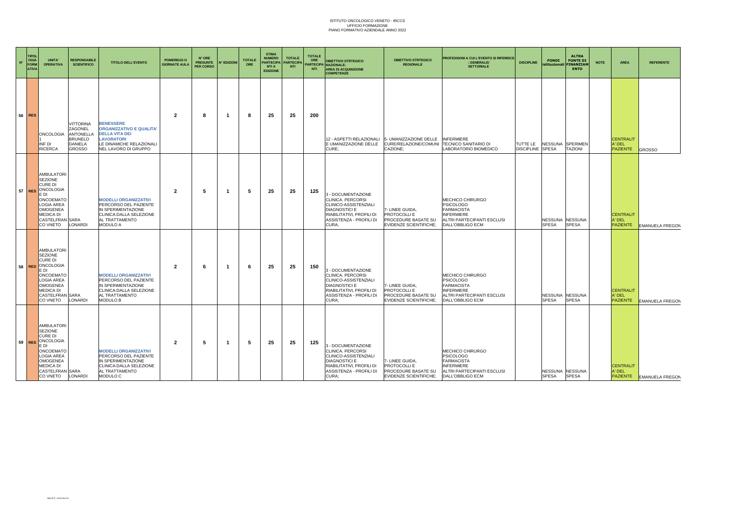| $N^{\circ}$ | <b>TIPOL</b><br>OGIA<br>FORM<br><b>ATIVA</b> | <b>INITA!</b><br><b>OPERATIVA</b>                                                                                                                                    | <b>RESPONSABILE</b><br><b>SCIENTIFICO</b>                                                            | <b>TITOLO DELL'EVENTO</b>                                                                                                                             | <b>POMERIGGIO</b><br><b>GIORNATE AULA</b> | N° ORE<br><b>PRESUNTE</b><br><b>PER CORSO</b> | <b>N° EDIZIONI</b> | <b>TOTALE</b><br><b>ORE</b> | <b>STIMA</b><br><b>NUMERO</b><br><b>PARTECIPA</b><br><b>NTI A</b><br><b>EDIZIONE</b> | <b>TOTALE</b><br><b>PARTECIPA</b><br><b>NTI</b> | <b>TOTALE</b><br>ORE<br><b>NTI</b> | <b>OBIETTIVO STRTEGICO</b><br>ARTECIPA NAZIONALE:<br><b>AREA DI ACQUISIZIONE</b><br><b>COMPETENZE</b>                                                     | <b>OBIETTIVO STRTEGICO</b><br><b>REGIONALE</b>                                          | PROFESSIONI A CUI L'EVENTO SI RIFERISCE<br>GENERALE/<br><b>SETTORIALE</b>                                                        | <b>DISCIPLINE</b>                   | <b>FONDI</b><br>istituzional    | <b>ALTRA</b><br><b>FONTE DI</b><br><b>FINANZIAN</b><br><b>ENTO</b> | <b>NOTE</b> | AREA                                          | <b>REFERENTE</b>         |
|-------------|----------------------------------------------|----------------------------------------------------------------------------------------------------------------------------------------------------------------------|------------------------------------------------------------------------------------------------------|-------------------------------------------------------------------------------------------------------------------------------------------------------|-------------------------------------------|-----------------------------------------------|--------------------|-----------------------------|--------------------------------------------------------------------------------------|-------------------------------------------------|------------------------------------|-----------------------------------------------------------------------------------------------------------------------------------------------------------|-----------------------------------------------------------------------------------------|----------------------------------------------------------------------------------------------------------------------------------|-------------------------------------|---------------------------------|--------------------------------------------------------------------|-------------|-----------------------------------------------|--------------------------|
|             | 56 RES                                       | ONCOLOGIA<br>INF DI<br><b>RICERCA</b>                                                                                                                                | <b>VITTORINA</b><br>ZAGONEL<br><b>ANTONELLA</b><br><b>BRUNELO</b><br><b>DANIELA</b><br><b>GROSSO</b> | <b>BENESSERE</b><br><b>ORGANIZZATIVO E QUALITA'</b><br><b>DELLA VITA DEI</b><br><b>LAVORATORI</b><br>LE DINAMICHE RELAZIONALI<br>NEL LAVORO DI GRUPPO | 2                                         | 8                                             |                    | 8                           | 25                                                                                   | 25                                              | 200                                | 12 - ASPETTI RELAZIONALI<br>E UMANIZZAZIONE DELLE<br>CURE:                                                                                                | 5- UMANIZZAZIONE DELLE<br>CURE/RELAZIONE/COMUNI<br>CAZIONE:                             | <b>INFERMIERE</b><br><b>TECNICO SANITARIO DI</b><br>LABORATORIO BIOMEDICO                                                        | TUTTE LE<br><b>DISCIPLINE SPESA</b> | <b>NESSUNA</b>                  | SPERIMEN<br>TAZIONI                                                |             | <b>CENTRALIT</b><br>A' DEL<br><b>PAZIENTE</b> | GROSSO                   |
|             | $57$ RES                                     | <b>AMBULATORI</b><br>SEZIONE<br>CURE DI<br>ONCOLOGIA<br>E DI<br><b>ONCOEMATO</b><br>LOGIA AREA<br><b>OMOGENEA</b><br><b>MEDICA DI</b><br>CASTELFRAN SARA<br>CO VNETO | LONARDI                                                                                              | <b>MODELLI ORGANIZZATIVI</b><br>PERCORSO DEL PAZIENTE<br>IN SPERIMENTAZIONE<br>CLINICA:DALLA SELEZIONE<br>AL TRATTAMENTO<br>MODULO A                  | $\overline{2}$                            | 5                                             | -1                 | -5                          | 25                                                                                   | 25                                              | 125                                | 3 - DOCUMENTAZIONE<br>CLINICA. PERCORSI<br>CLINICO-ASSISTENZIALI<br><b>DIAGNOSTICI E</b><br>RIABILITATIVI, PROFILI DI<br>ASSISTENZA - PROFILI DI<br>CURA: | - LINEE GUIDA.<br>PROTOCOLLI E<br>PROCEDURE BASATE SU<br><b>EVIDENZE SCIENTIFICHE:</b>  | MECHICO CHIRURGO<br><b>PSICOLOGO</b><br><b>FARMACISTA</b><br><b>INFERMIERE</b><br>ALTRI PARTECIPANTI ESCLUSI<br>DALL'OBBLIGO ECM |                                     | <b>NESSUNA</b><br><b>SPESA</b>  | <b>NESSUNA</b><br><b>SPESA</b>                                     |             | <b>CENTRALIT</b><br>A' DEL<br><b>PAZIENTE</b> | <b>EMANUELA FREGON</b>   |
|             | 58 RES                                       | AMBULATORI<br>SEZIONE<br><b>CURE DI</b><br>ONCOLOGIA<br>E DI<br><b>ONCOEMATO</b><br>LOGIA AREA<br><b>OMOGENEA</b><br><b>MEDICA DI</b><br>CASTELFRAN SARA<br>CO VNETO | LONARDI                                                                                              | <b>MODELLI ORGANIZZATIVI</b><br>PERCORSO DEL PAZIENTE<br>IN SPERIMENTAZIONE<br>CLINICA:DALLA SELEZIONE<br>AL TRATTAMENTO<br>MODULO B                  | $\overline{2}$                            | 6                                             | -1                 | - 6                         | 25                                                                                   | 25                                              | 150                                | 3 - DOCUMENTAZIONE<br>CLINICA. PERCORSI<br>CLINICO-ASSISTENZIALI<br><b>DIAGNOSTICI E</b><br>RIABILITATIVI, PROFILI DI<br>ASSISTENZA - PROFILI DI<br>CURA: | 7- LINEE GUIDA,<br>PROTOCOLLI E<br>PROCEDURE BASATE SU<br><b>EVIDENZE SCIENTIFICHE:</b> | MECHICO CHIRURGO<br><b>PSICOLOGO</b><br><b>FARMACISTA</b><br><b>INFERMIERE</b><br>ALTRI PARTECIPANTI ESCLUSI<br>DALL'OBBLIGO ECM |                                     | NESSUNA<br><b>SPESA</b>         | <b>NESSUNA</b><br><b>SPESA</b>                                     |             | <b>CENTRALIT</b><br>A' DEL<br><b>PAZIENTE</b> | <b>EMANUELA FREGON</b>   |
|             | $59$ RES                                     | <b>AMBULATORI</b><br>SEZIONE<br>CURE DI<br>ONCOLOGIA<br>E DI<br><b>ONCOEMATO</b><br>LOGIA AREA<br><b>OMOGENEA</b><br>MEDICA DI<br>CASTELFRAN SARA<br>CO VNETO        | LONARDI                                                                                              | <b>MODELLI ORGANIZZATIVI</b><br>PERCORSO DEL PAZIENTE<br>IN SPERIMENTAZIONE<br>CLINICA:DALLA SELEZIONE<br>AL TRATTAMENTO<br>MODULO C                  | $\overline{2}$                            | 5                                             | -1                 | 5                           | 25                                                                                   | 25                                              | 125                                | 3 - DOCUMENTAZIONE<br>CLINICA. PERCORSI<br>CLINICO-ASSISTENZIALI<br><b>DIAGNOSTICI E</b><br>RIABILITATIVI, PROFILI DI<br>ASSISTENZA - PROFILI DI<br>CURA: | 7- LINEE GUIDA,<br>PROTOCOLLI E<br>PROCEDURE BASATE SU<br><b>EVIDENZE SCIENTIFICHE:</b> | MECHICO CHIRURGO<br><b>PSICOLOGO</b><br><b>FARMACISTA</b><br><b>INFERMIERE</b><br>ALTRI PARTECIPANTI ESCLUSI<br>DALL'OBBLIGO ECM |                                     | NESSUNA NESSUNA<br><b>SPESA</b> | <b>SPESA</b>                                                       |             | <b>CENTRALIT</b><br>A' DEL                    | PAZIENTE EMANUELA FREGON |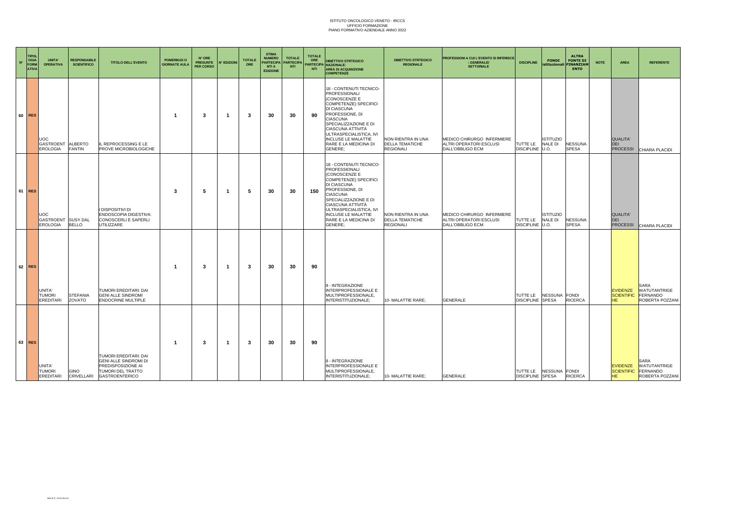| $\mathbf{N}^*$ | <b>TIPOL</b><br><b>OGIA</b><br><b>FORM</b><br><b>ATIVA</b> | UNITA'<br><b>OPERATIVA</b>             | <b>RESPONSABILE</b><br><b>SCIENTIFICO</b> | <b>TITOLO DELL'EVENTO</b>                                                                                                 | <b>POMERIGGI O</b><br><b>GIORNATE AULA</b> | N° ORE<br><b>PRESUNTE</b><br>PER CORSO | N° EDIZIONI | <b>TOTALE</b><br>ORE | <b>STIMA</b><br><b>NUMERO</b><br><b>PARTECIPA</b><br><b>NTI A</b><br><b>EDIZIONE</b> | <b>TOTALE</b><br><b>PARTECIPA</b><br><b>NTI</b> | <b>TOTALE</b><br>ORE<br><b>NTI</b> | <b>OBIETTIVO STRTEGICO</b><br>PARTECIPA NAZIONALE:<br><b>AREA DI ACQUISIZIONE</b><br><b>COMPETENZE</b>                                                                                                                                                                                    | <b>OBIETTIVO STRTEGICO</b><br><b>REGIONALE</b>                   | PROFESSIONI A CUI L'EVENTO SI RIFERISCE<br><b>GENERALE/</b><br><b>SETTORIALE</b> | <b>DISCIPLINE</b>           | <b>ALTRA</b><br><b>FONDI</b><br>istituzionali<br><b>ENTO</b>         | <b>FONTE DI</b><br><b>NOTE</b><br><b>FINANZIAM</b> | AREA                                              | <b>REFERENTE</b>                                                             |
|----------------|------------------------------------------------------------|----------------------------------------|-------------------------------------------|---------------------------------------------------------------------------------------------------------------------------|--------------------------------------------|----------------------------------------|-------------|----------------------|--------------------------------------------------------------------------------------|-------------------------------------------------|------------------------------------|-------------------------------------------------------------------------------------------------------------------------------------------------------------------------------------------------------------------------------------------------------------------------------------------|------------------------------------------------------------------|----------------------------------------------------------------------------------|-----------------------------|----------------------------------------------------------------------|----------------------------------------------------|---------------------------------------------------|------------------------------------------------------------------------------|
|                | 60 RES                                                     | JOC<br>GASTROENT ALBERTO<br>EROLOGIA   | <b>FANTIN</b>                             | IL REPROCESSING E LE<br>PROVE MICROBIOLOGICHE                                                                             | -1                                         | 3                                      | -1          | 3                    | 30                                                                                   | 30                                              | 90                                 | 18 - CONTENUTI TECNICO-<br><b>PROFESSIONALI</b><br>(CONOSCENZE E<br>COMPETENZE) SPECIFICI<br>DI CIASCUNA<br>PROFESSIONE, DI<br><b>CIASCUNA</b><br>SPECIALIZZAZIONE E DI<br>CIASCUNA ATTIVITÀ<br>ULTRASPECIALISTICA, IVI<br><b>INCLUSE LE MALATTIE</b><br>RARE E LA MEDICINA DI<br>GENERE: | NON RIENTRA IN UNA<br>DELLA TEMATICHE<br><b>REGIONALI</b>        | MEDICO CHIRURGO INFERMIERE<br>ALTRI OPERATORI ESCLUSI<br>DALL'OBBLIGO ECM        | TUTTE LE<br>DISCIPLINE U.O. | <b>ISTITUZIO</b><br><b>NALE DI</b><br><b>NESSUNA</b><br><b>SPESA</b> |                                                    | <b>QUALITA</b><br><b>DEI</b>                      | PROCESSI CHIARA PLACIDI                                                      |
|                | 61 RES                                                     | JOC.<br>GASTROENT SUSY DAL<br>EROLOGIA | <b>BELLO</b>                              | I DISPOSITIVI DI<br>ENDOSCOPIA DIGESTIVA:<br>CONOSCERLI E SAPERLI<br>UTILIZZARE                                           | 3                                          | 5                                      | -1          | 5                    | 30                                                                                   | 30                                              | 150                                | 18 - CONTENUTI TECNICO-<br>PROFESSIONALI<br>(CONOSCENZE E<br>COMPETENZE) SPECIFICI<br>DI CIASCUNA<br>PROFESSIONE, DI<br>CIASCUNA<br>SPECIALIZZAZIONE E DI<br>CIASCUNA ATTIVITÀ<br>ULTRASPECIALISTICA, IVI<br><b>INCLUSE LE MALATTIE</b><br>RARE E LA MEDICINA DI<br>GENERE:               | NON RIENTRA IN UNA<br><b>DELLA TEMATICHE</b><br><b>REGIONALI</b> | MEDICO CHIRURGO INFERMIERE<br>ALTRI OPERATORI ESCLUSI<br>DALL'OBBLIGO ECM        | TUTTE LE<br>DISCIPLINE U.O. | <b>ISTITUZIO</b><br>NALE DI<br><b>NESSUNA</b><br><b>SPESA</b>        |                                                    | <b>QUALITA'</b><br>DEI                            | PROCESSI CHIARA PLACIDI                                                      |
|                | 62 RES                                                     | JNITA'<br><b>TUMORI</b><br>EREDITARI   | <b>STEFANIA</b><br>ZOVATO                 | TUMORI EREDITARI: DAI<br><b>GENI ALLE SINDROMI</b><br><b>ENDOCRINE MULTIPLE</b>                                           | $\overline{\mathbf{1}}$                    | 3                                      | -1          | 3                    | 30                                                                                   | 30                                              | 90                                 | 8 - INTEGRAZIONE<br><b>INTERPROFESSIONALE E</b><br>MULTIPROFESSIONALE,<br>INTERISTITUZIONALE:                                                                                                                                                                                             | 10- MALATTIE RARE:                                               | <b>GENERALE</b>                                                                  | <b>DISCIPLINE SPESA</b>     | TUTTE LE NESSUNA FONDI<br><b>RICERCA</b>                             |                                                    | <b>EVIDENZE</b><br><b>SCIENTIFIC</b><br><b>HE</b> | <b>SARA</b><br><b>WATUTANTRIGE</b><br>FERNANDO<br><b>ROBERTA POZZANI</b>     |
|                | 63 RES                                                     | UNITA'<br><b>TUMORI</b><br>EREDITARI   | GINO<br>CRIVELLARI                        | TUMORI EREDITARI: DAI<br><b>GENI ALLE SINDROMI DI</b><br>PREDISPOSIZIONE AI<br>TUMORI DEL TRATTO<br><b>GASTROENTERICO</b> | -1                                         | 3                                      | -1          | 3                    | 30                                                                                   | 30                                              | 90                                 | 8 - INTEGRAZIONE<br>INTERPROFESSIONALE E<br>MULTIPROFESSIONALE,<br>INTERISTITUZIONALE;                                                                                                                                                                                                    | 10- MALATTIE RARE;                                               | <b>GENERALE</b>                                                                  | <b>DISCIPLINE</b> SPESA     | TUTTE LE NESSUNA FONDI<br><b>RICERCA</b>                             |                                                    | <b>EVIDENZE</b><br>HE.                            | <b>SARA</b><br><b>WATUTANTRIGE</b><br>SCIENTIFIC FERNANDO<br>ROBERTA POZZANI |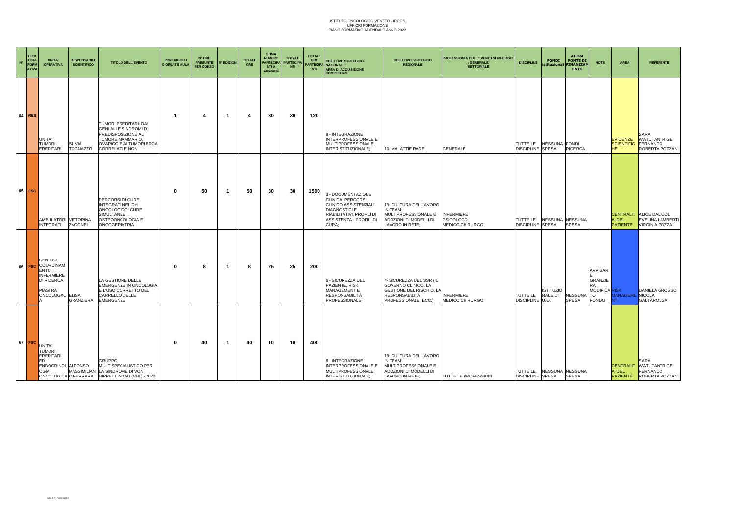| $\mathbf{N}^{\mathrm{o}}$ | <b>TIPOL</b><br>OGIA<br>FORM<br><b>ATIVA</b> | <b>UNITA'</b><br><b>OPERATIVA</b>                                                                                        | <b>RESPONSABILE</b><br><b>SCIENTIFICO</b> | <b>TITOLO DELL'EVENTO</b>                                                                                                                      | <b>POMERIGGIO</b><br><b>GIORNATE AULA</b> | N° ORE<br><b>PRESUNTE</b><br>PER CORSO | N° EDIZIONI             | <b>TOTALE</b><br>ORE | <b>STIMA</b><br><b>NUMERO</b><br><b>PARTECIPA</b><br><b>NTI A</b><br><b>EDIZIONE</b> | <b>TOTALE</b><br><b>PARTECIPA</b><br><b>NTI</b> | <b>TOTALE</b><br>ORE<br><b>NTI</b> | <b>OBIETTIVO STRTEGICO</b><br>PARTECIPA NAZIONALE:<br><b>AREA DI ACQUISIZIONE</b><br><b>COMPETENZE</b>                                                    | <b>OBIETTIVO STRTEGICO</b><br><b>REGIONALE</b>                                                                               | <b>PROFESSIONI A CUI L'EVENTO SI RIFERISCE</b><br>: GENERALE/<br><b>SETTORIALE</b> | <b>DISCIPLINE</b>                                   | <b>FONDI</b>                | <b>ALTRA</b><br><b>FONTE DI</b><br>istituzionali FINANZIAM<br><b>ENTO</b> | <b>NOTE</b>                                                                   | <b>AREA</b>                                 | <b>REFERENTE</b>                                                                   |
|---------------------------|----------------------------------------------|--------------------------------------------------------------------------------------------------------------------------|-------------------------------------------|------------------------------------------------------------------------------------------------------------------------------------------------|-------------------------------------------|----------------------------------------|-------------------------|----------------------|--------------------------------------------------------------------------------------|-------------------------------------------------|------------------------------------|-----------------------------------------------------------------------------------------------------------------------------------------------------------|------------------------------------------------------------------------------------------------------------------------------|------------------------------------------------------------------------------------|-----------------------------------------------------|-----------------------------|---------------------------------------------------------------------------|-------------------------------------------------------------------------------|---------------------------------------------|------------------------------------------------------------------------------------|
|                           | $64$ RES                                     | UNITA'<br><b>TUMORI</b><br><b>EREDITARI</b>                                                                              | <b>SILVIA</b><br><b>TOGNAZZO</b>          | TUMORI EREDITARI: DAI<br>GENI ALLE SINDROMI DI<br>PREDISPOSIZIONE AL<br>TUMORE MAMMARIO,<br>OVARICO E AI TUMORI BRCA<br><b>CORRELATI E NON</b> | -1                                        | 4                                      | $\overline{\mathbf{1}}$ | $\overline{4}$       | 30                                                                                   | 30                                              | 120                                | 8 - INTEGRAZIONE<br><b>INTERPROFESSIONALE E</b><br>MULTIPROFESSIONALE.<br>INTERISTITUZIONALE;                                                             | 10- MALATTIE RARE;                                                                                                           | <b>GENERALE</b>                                                                    | TUTTE LE NESSUNA FONDI<br>DISCIPLINE SPESA          |                             | <b>RICERCA</b>                                                            |                                                                               | <b>EVIDENZE</b><br><b>SCIENTIFIC</b><br>HE. | <b>SARA</b><br><b>WATUTANTRIGE</b><br><b>FERNANDO</b><br>ROBERTA POZZANI           |
|                           | 65 FSC                                       | AMBULATORI VITTORINA<br><b>INTEGRATI</b>                                                                                 | ZAGONEL                                   | PERCORSI DI CURE<br><b>INTEGRATI NEL DH</b><br>ONCOLOGICO: CURE<br>SIMULTANEE.<br>OSTEOONCOLOGIA E<br><b>ONCOGERIATRIA</b>                     | $\mathbf{0}$                              | 50                                     | -1                      | 50                   | 30                                                                                   | 30                                              | 1500                               | 3 - DOCUMENTAZIONE<br>CLINICA. PERCORSI<br>CLINICO-ASSISTENZIALI<br><b>DIAGNOSTICI E</b><br>RIABILITATIVI. PROFILI DI<br>ASSISTENZA - PROFILI DI<br>CURA; | 19- CULTURA DEL LAVORO<br>IN TEAM<br>MULTIPROFESSIONALE E<br>ADOZIONI DI MODELLI DI<br>LAVORO IN RETE;                       | <b>INFERMIERE</b><br><b>PSICOLOGO</b><br>MEDICO CHIRURGO                           | TUTTE LE<br><b>DISCIPLINE SPESA</b>                 | NESSUNA NESSUNA             | <b>SPESA</b>                                                              |                                                                               | A' DEL<br><b>PAZIENTE</b>                   | <b>CENTRALIT ALICE DAL COL</b><br><b>EVELINA LAMBERTI</b><br><b>VIRGINIA POZZA</b> |
|                           | 66 FSC                                       | <b>CENTRO</b><br>COORDINAM<br><b>ENTO</b><br><b>INFERMIERE</b><br><b>DI RICERCA</b><br><b>PIASTRA</b><br>ONCOLOGXC ELISA | GRANZIERA                                 | LA GESTIONE DELLE<br>EMERGENZE IN ONCOLOGIA<br>E L'USO CORRETTO DEL<br>CARRELLO DELLE<br>EMERGENZE                                             | $\mathbf{0}$                              | 8                                      | -1                      | -8                   | 25                                                                                   | 25                                              | 200                                | 6 - SICUREZZA DEL<br>PAZIENTE, RISK<br>MANAGEMENT E<br>RESPONSABILITÀ<br>PROFESSIONALE;                                                                   | 4- SICUREZZA DEL SSR (IL<br>GOVERNO CLINICO, LA<br><b>GESTIONE DEL RISCHIO, LA</b><br>RESPONSABILITÀ<br>PROFESSIONALE, ECC.) | <b>INFERMIERE</b><br><b>MEDICO CHIRURGO</b>                                        | TUTTE LE<br>DISCIPLINE U.O.                         | <b>ISTITUZIO</b><br>NALE DI | NESSUNA<br><b>SPESA</b>                                                   | AVVISAR<br>GRANZIE<br><b>RA</b><br>MODIFICA RISK<br><b>TO</b><br><b>FONDO</b> | <b>ANAGEME</b> NICOLA                       | DANIELA GROSSO<br><b>GALTAROSSA</b>                                                |
|                           | $67$ FSC                                     | UNITA'<br><b>TUMORI</b><br>EREDITARI<br>ED<br>ENDOCRINOL ALFONSO<br><b>OGIA</b>                                          | ONCOLOGICA O FERRARA                      | <b>GRUPPO</b><br>MULTISPECIALISTICO PER<br>MASSIMILIAN LA SINDROME DI VON<br>HIPPEL LINDAU (VHL) - 2022                                        | $\mathbf{0}$                              | 40                                     | -1                      | 40                   | 10                                                                                   | 10                                              | 400                                | 8 - INTEGRAZIONE<br>INTERPROFESSIONALE E<br>MULTIPROFESSIONALE,<br>INTERISTITUZIONALE;                                                                    | 19- CULTURA DEL LAVORO<br>IN TEAM<br>MULTIPROFESSIONALE E<br>ADOZIONI DI MODELLI DI<br>LAVORO IN RETE:                       | TUTTE LE PROFESSIONI                                                               | TUTTE LE NESSUNA NESSUNA<br><b>DISCIPLINE SPESA</b> |                             | <b>SPESA</b>                                                              |                                                                               | A' DEL                                      | <b>SARA</b><br>CENTRALIT WATUTANTRIGE<br>FERNANDO<br>PAZIENTE ROBERTA POZZANI      |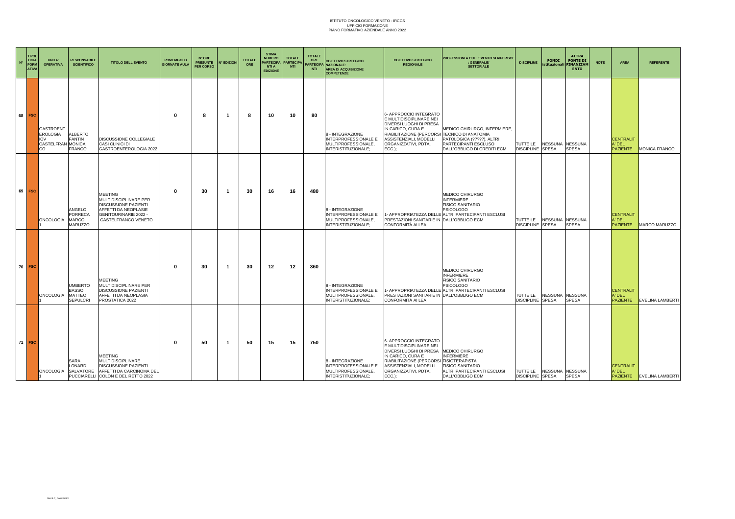| $\mathbf{N}^*$ | <b>TIPOL</b><br>OGIA<br><b>FORM</b><br><b>ATIVA</b> | <b>UNITA'</b><br><b>OPERATIVA</b>                                     | <b>RESPONSABILE</b><br><b>SCIENTIFICO</b>                   | <b>TITOLO DELL'EVENTO</b>                                                                                                                             | <b>POMERIGGI O</b><br><b>GIORNATE AULA</b> | N° ORE<br><b>PRESUNTE</b><br>PER CORSO | <b>N° EDIZIONI</b> | <b>TOTALE</b><br>ORE | <b>STIMA</b><br><b>NUMERO</b><br><b>PARTECIPA</b><br><b>NTI A</b><br><b>EDIZIONE</b> | <b>TOTALE</b><br><b>PARTECIPA</b><br><b>NTI</b> | <b>TOTALE</b><br>ORE<br><b>NTI</b> | <b>OBIETTIVO STRTEGICO</b><br>PARTECIPA NAZIONALE:<br><b>AREA DI ACQUISIZIONE</b><br><b>COMPETENZE</b> | <b>OBIETTIVO STRTEGICO</b><br><b>REGIONALE</b>                                                                                                                                                                   | PROFESSIONI A CUI L'EVENTO SI RIFERISCE<br><b>GENERALE/</b><br><b>SETTORIALE</b>                                                          | <b>DISCIPLINE</b>                   | <b>FONDI</b><br>istituzionali            | <b>ALTRA</b><br><b>FONTE DI</b><br><b>FINANZIAM</b><br><b>ENTO</b> | <b>NOTE</b> | <b>AREA</b>                                   | <b>REFERENTE</b>          |
|----------------|-----------------------------------------------------|-----------------------------------------------------------------------|-------------------------------------------------------------|-------------------------------------------------------------------------------------------------------------------------------------------------------|--------------------------------------------|----------------------------------------|--------------------|----------------------|--------------------------------------------------------------------------------------|-------------------------------------------------|------------------------------------|--------------------------------------------------------------------------------------------------------|------------------------------------------------------------------------------------------------------------------------------------------------------------------------------------------------------------------|-------------------------------------------------------------------------------------------------------------------------------------------|-------------------------------------|------------------------------------------|--------------------------------------------------------------------|-------------|-----------------------------------------------|---------------------------|
|                | 68 FSC                                              | GASTROENT<br><b>EROLOGIA</b><br><b>IOV</b><br>CASTELFRAN MONICA<br>CO | <b>ALBERTO</b><br><b>FANTIN</b><br><b>FRANCO</b>            | DISCUSSIONE COLLEGIALE<br>CASI CLINICI DI<br>GASTROENTEROLOGIA 2022                                                                                   | $\mathbf{0}$                               | 8                                      | -1                 | 8                    | 10                                                                                   | 10                                              | 80                                 | 8 - INTEGRAZIONE<br>INTERPROFESSIONALE E<br>MULTIPROFESSIONALE,<br>INTERISTITUZIONALE;                 | 6- APPROCCIO INTEGRATO<br>E MULTIDISCIPLINARE NEI<br>DIVERSI LUOGHI DI PRESA<br>IN CARICO, CURA E<br>RIABILITAZIONE (PERCORSI TECNICO DI ANATOMIA<br>ASSISTENZIALI, MODELLI<br>ORGANIZZATIVI, PDTA,<br>$ECC.$ ): | MEDICO CHIRURGO, INFERMIERE,<br>PATOLOGICA (?????), ALTRI<br>PARTECIPANTI ESCLUSO<br>DALL'OBBLIGO DI CREDITI ECM                          | TUTTE LE<br><b>DISCIPLINE SPESA</b> | NESSUNA NESSUNA                          | <b>SPESA</b>                                                       |             | <b>CENTRALIT</b><br>A' DEL<br><b>PAZIENTE</b> | <b>MONICA FRANCO</b>      |
| 69             | <b>FSC</b>                                          | <b>ONCOLOGIA</b>                                                      | ANGELO<br><b>PORRECA</b><br><b>MARCO</b><br>MARUZZO         | <b>MEETING</b><br>MULTIDISCIPLINARE PER<br><b>DISCUSSIONE PAZIENTI</b><br>AFFETTI DA NEOPLASIE<br><b>GENITOURINARIE 2022 -</b><br>CASTELFRANCO VENETO | $\Omega$                                   | 30                                     | -1                 | 30                   | 16                                                                                   | 16                                              | 480                                | 8 - INTEGRAZIONE<br>INTERPROFESSIONALE E<br>MULTIPROFESSIONALE,<br>INTERISTITUZIONALE;                 | PRESTAZIONI SANITARIE IN DALL'OBBLIGO ECM<br>CONFORMITÀ AI LEA                                                                                                                                                   | MEDICO CHIRURGO<br><b>INFERMIERE</b><br><b>FISICO SANITARIO</b><br>PSICOLOGO<br>1- APPROPRIATEZZA DELLE ALTRI PARTECIPANTI ESCLUSI        | TUTTE LE<br><b>DISCIPLINE SPESA</b> | NESSUNA                                  | <b>NESSUNA</b><br><b>SPESA</b>                                     |             | <b>CENTRALIT</b><br>A' DEL<br><b>PAZIENTE</b> | MARCO MARUZZO             |
|                | 70 FSC                                              | <b>ONCOLOGIA</b>                                                      | <b>UMBERTO</b><br><b>BASSO</b><br><b>MATTEO</b><br>SEPULCRI | <b>MEETING</b><br>MULTIDISCIPLINARE PER<br><b>DISCUSSIONE PAZIENTI</b><br>AFFETTI DA NEOPLASIA<br>PROSTATICA 2022                                     | $\mathbf{0}$                               | 30                                     | -1                 | 30                   | 12                                                                                   | 12                                              | 360                                | 8 - INTEGRAZIONE<br>INTERPROFESSIONALE E<br>MULTIPROFESSIONALE,<br>INTERISTITUZIONALE:                 | PRESTAZIONI SANITARIE IN DALL'OBBLIGO ECM<br>CONFORMITÀ AI LEA                                                                                                                                                   | MEDICO CHIRURGO<br><b>INFERMIERE</b><br><b>FISICO SANITARIO</b><br><b>PSICOLOGO</b><br>1- APPROPRIATEZZA DELLE ALTRI PARTECIPANTI ESCLUSI | TUTTE LE<br><b>DISCIPLINE SPESA</b> | <b>NESSUNA</b>                           | <b>NESSUNA</b><br><b>SPESA</b>                                     |             | <b>CENTRALIT</b><br>A' DEL<br><b>PAZIENTE</b> | <b>EVELINA LAMBERTI</b>   |
|                | 71 FSC                                              | <b>ONCOLOGIA</b>                                                      | SARA<br>LONARDI                                             | <b>MEETING</b><br><b>MULTIDISCIPLINARE</b><br>DISCUSSIONE PAZIENTI<br>SALVATORE AFFETTI DA CARCINOMA DEL<br>PUCCIARELLI COLON E DEL RETTO 2022        | $\Omega$                                   | 50                                     | -1                 | 50                   | 15                                                                                   | 15                                              | 750                                | 8 - INTEGRAZIONE<br><b>INTERPROFESSIONALE E</b><br>MULTIPROFESSIONALE,<br>INTERISTITUZIONALE;          | 6- APPROCCIO INTEGRATO<br>E MULTIDISCIPLINARE NEI<br>DIVERSI LUOGHI DI PRESA<br>IN CARICO, CURA E<br>RIABILITAZIONE (PERCORSI FISIOTERAPISTA<br>ASSISTENZIALI, MODELLI<br>ORGANIZZATIVI, PDTA,<br>$ECC.$ );      | <b>MEDICO CHIRURGO</b><br><b>INFERMIERE</b><br><b>FISICO SANITARIO</b><br>ALTRI PARTECIPANTI ESCLUSI<br>DALL'OBBLIGO ECM                  | <b>DISCIPLINE SPESA</b>             | TUTTE LE NESSUNA NESSUNA<br><b>SPESA</b> |                                                                    |             | <b>CENTRALIT</b><br>A' DEL                    | PAZIENTE EVELINA LAMBERTI |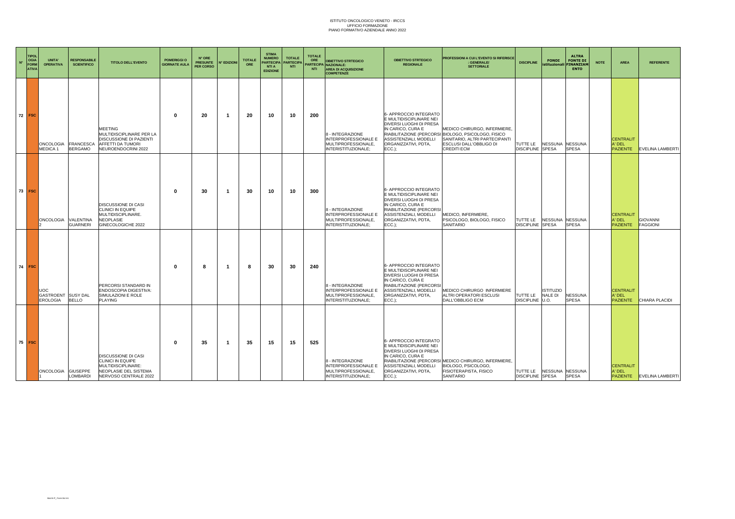| $N^{\circ}$ | <b>TIPOL</b><br><b>OGIA</b><br><b>FORM</b><br><b>ATIVA</b> | UNITA'<br><b>OPERATIVA</b>                          | <b>RESPONSABILE</b><br><b>SCIENTIFICO</b> | <b>TITOLO DELL'EVENTO</b>                                                                                               |              | <b>POMERIGGI O</b><br><b>GIORNATE AULA</b> | N° ORE<br><b>PRESUNTE</b><br><b>PER CORSO</b> | <b>N° EDIZIONI</b> | <b>TOTALE</b><br>ORE | <b>STIMA</b><br><b>NUMERO</b><br><b>PARTECIPA</b><br><b>NTI A</b><br><b>EDIZIONE</b> | <b>TOTALE</b><br><b>PARTECIPA</b><br><b>NTI</b> | <b>TOTALE</b><br>ORE<br><b>NTI</b>                                                            | <b>OBIETTIVO STRTEGICO</b><br><b>PARTECIPA NAZIONALE:</b><br><b>AREA DI ACQUISIZIONE</b><br><b>COMPETENZE</b>                                                                                | <b>OBIETTIVO STRTEGICO</b><br><b>REGIONALE</b>                                                                                                                        | PROFESSIONI A CUI L'EVENTO SI RIFERISCE<br><b>GENERALE/</b><br><b>SETTORIALE</b> | <b>DISCIPLINE</b>           | <b>FONDI</b>                   | <b>ALTRA</b><br><b>FONTE DI</b><br><b>istituzionali</b><br><b>FINANZIAN</b><br><b>ENTO</b> | <b>NOTE</b>                                   | <b>AREA</b>               |
|-------------|------------------------------------------------------------|-----------------------------------------------------|-------------------------------------------|-------------------------------------------------------------------------------------------------------------------------|--------------|--------------------------------------------|-----------------------------------------------|--------------------|----------------------|--------------------------------------------------------------------------------------|-------------------------------------------------|-----------------------------------------------------------------------------------------------|----------------------------------------------------------------------------------------------------------------------------------------------------------------------------------------------|-----------------------------------------------------------------------------------------------------------------------------------------------------------------------|----------------------------------------------------------------------------------|-----------------------------|--------------------------------|--------------------------------------------------------------------------------------------|-----------------------------------------------|---------------------------|
|             | 72 FSC                                                     | ONCOLOGIA FRANCESCA<br>MEDICA 1                     | <b>BERGAMO</b>                            | <b>MEETING</b><br>MULTIDISCIPLINARE PER LA<br>DISCUSSIONE DI PAZIENTI<br>AFFETTI DA TUMORI<br>NEUROENDOCRINI 2022       | $\Omega$     | 20                                         | -1                                            | 20                 | 10                   | 10                                                                                   | 200                                             | 8 - INTEGRAZIONE<br><b>INTERPROFESSIONALE E</b><br>MULTIPROFESSIONALE.<br>INTERISTITUZIONALE; | 6- APPROCCIO INTEGRATO<br>E MULTIDISCIPLINARE NEI<br>DIVERSI LUOGHI DI PRESA<br>IN CARICO, CURA E<br>ASSISTENZIALI, MODELLI<br>ORGANIZZATIVI, PDTA,<br>$ECC.$ ):                             | MEDICO CHIRURGO, INFERMIERE,<br>RIABILITAZIONE (PERCORSI BIOLOGO, PSICOLOGO, FISICO<br>SANITARIO, ALTRI PARTECIPANTI<br>ESCLUSI DALL'OBBLIGO DI<br><b>CREDITI ECM</b> | TUTTE LE<br><b>DISCIPLINE SPESA</b>                                              | <b>NESSUNA</b>              | <b>NESSUNA</b><br><b>SPESA</b> |                                                                                            | <b>CENTRALIT</b><br>A' DEL<br><b>PAZIENTE</b> | <b>EVELINA LAMBERTI</b>   |
|             | 73 FSC                                                     | <b>ONCOLOGIA</b>                                    | VALENTINA<br><b>GUARNERI</b>              | DISCUSSIONE DI CASI<br>CLINICI IN EQUIPE<br>MULTIDISCIPLINARE.<br><b>NEOPLASIE</b><br>GINECOLOGICHE 2022                | $\mathbf{0}$ | 30                                         | -1                                            | 30                 | 10                   | 10                                                                                   | 300                                             | 8 - INTEGRAZIONE<br>INTERPROFESSIONALE E<br>MULTIPROFESSIONALE,<br>INTERISTITUZIONALE:        | 6- APPROCCIO INTEGRATO<br>E MULTIDISCIPLINARE NEI<br>DIVERSI LUOGHI DI PRESA<br>IN CARICO, CURA E<br>RIABILITAZIONE (PERCORSI<br>ASSISTENZIALI, MODELLI<br>ORGANIZZATIVI, PDTA,<br>$ECC.$ ): | MEDICO, INFERMIERE,<br>PSICOLOGO, BIOLOGO, FISICO<br><b>SANITARIO</b>                                                                                                 | TUTTE LE<br><b>DISCIPLINE SPESA</b>                                              | NESSUNA NESSUNA             | <b>SPESA</b>                   |                                                                                            | <b>CENTRALIT</b><br>A' DEL<br><b>PAZIENTE</b> | GIOVANNI<br>FAGGIONI      |
|             | $74$ FSC                                                   | <b>UOC</b><br>GASTROENT SUSY DAL<br><b>EROLOGIA</b> | <b>BELLO</b>                              | PERCORSI STANDARD IN<br>ENDOSCOPIA DIGESTIVA:<br>SIMULAZIONI E ROLE<br><b>PLAYING</b>                                   | - 0          | 8                                          | -1                                            | 8                  | 30                   | 30                                                                                   | 240                                             | 8 - INTEGRAZIONE<br><b>INTERPROFESSIONALE E</b><br>MULTIPROFESSIONALE,<br>INTERISTITUZIONALE: | 6- APPROCCIO INTEGRATO<br>E MULTIDISCIPLINARE NEI<br>DIVERSI LUOGHI DI PRESA<br>IN CARICO, CURA E<br>RIABILITAZIONE (PERCORSI<br>ASSISTENZIALI, MODELLI<br>ORGANIZZATIVI, PDTA,<br>$ECC.$ ): | MEDICO CHIRURGO INFERMIERE<br>ALTRI OPERATORI ESCLUSI<br>DALL'OBBLIGO ECM                                                                                             | TUTTE LE<br>DISCIPLINE U.O.                                                      | <b>ISTITUZIO</b><br>NALE DI | <b>NESSUNA</b><br><b>SPESA</b> |                                                                                            | <b>CENTRALIT</b><br>A' DEL<br><b>PAZIENTE</b> | <b>CHIARA PLACIDI</b>     |
|             | $75$ FSC                                                   | ONCOLOGIA GIUSEPPE                                  | LOMBARDI                                  | DISCUSSIONE DI CASI<br><b>CLINICI IN EQUIPE</b><br>MULTIDISCIPLINARE:<br>NEOPLASIE DEL SISTEMA<br>NERVOSO CENTRALE 2022 | - 0          | 35                                         | -1                                            | 35                 | 15                   | 15                                                                                   | 525                                             | 8 - INTEGRAZIONE<br>INTERPROFESSIONALE E<br>MULTIPROFESSIONALE,<br>INTERISTITUZIONALE;        | 6- APPROCCIO INTEGRATO<br>E MULTIDISCIPLINARE NEI<br>DIVERSI LUOGHI DI PRESA<br>IN CARICO, CURA E<br>ASSISTENZIALI, MODELLI<br>ORGANIZZATIVI, PDTA,<br>$ECC.$ );                             | RIABILITAZIONE (PERCORSI MEDICO CHIRURGO, INFERMIERE,<br>BIOLOGO, PSICOLOGO,<br>FISIOTERAPISTA, FISICO<br>SANITARIO                                                   | TUTTE LE NESSUNA NESSUNA<br><b>DISCIPLINE SPESA</b>                              |                             | <b>SPESA</b>                   |                                                                                            | <b>CENTRALIT</b><br>A' DEL                    | PAZIENTE EVELINA LAMBERTI |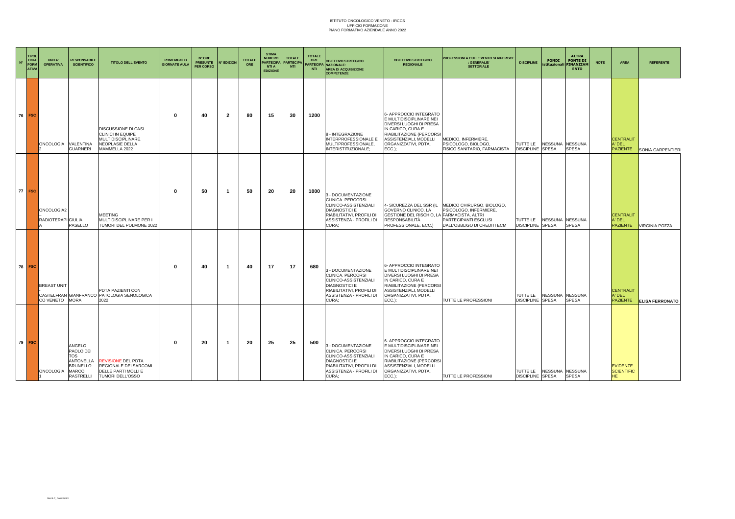| $\mathbf{N}^*$ | <b>TIPOL</b><br>OGIA<br><b>FORM</b><br><b>ATIVA</b> | <b>UNITA'</b><br><b>OPERATIVA</b>       | <b>RESPONSABILE</b><br><b>SCIENTIFICO</b>                                               | <b>TITOLO DELL'EVENTO</b>                                                                          | <b>POMERIGGI O</b><br><b>GIORNATE AULA</b> | N° ORE<br><b>PRESUNTE</b><br><b>PER CORSO</b> | N° EDIZIONI    | <b>TOTALE</b><br>ORE | <b>STIMA</b><br><b>NUMERO</b><br><b>PARTECIPA</b><br><b>NTI A</b><br><b>EDIZIONE</b> | <b>TOTALE</b><br><b>PARTECIPA</b><br><b>NTI</b> | <b>TOTALE</b><br>ORE<br><b>NTI</b> | <b>OBIETTIVO STRTEGICO</b><br>ARTECIPA NAZIONALE:<br><b>AREA DI ACQUISIZIONE</b><br><b>COMPETENZE</b>                                                     | <b>OBIETTIVO STRTEGICO</b><br><b>REGIONALE</b>                                                                                                                                                      | PROFESSIONI A CUI L'EVENTO SI RIFERISCE<br>: GENERALE/<br><b>SETTORIALE</b>                                | <b>DISCIPLINE</b>                                     | <b>FONDI</b><br>istituzionali | <b>ALTRA</b><br><b>FONTE DI</b><br>FINANZIAM<br><b>ENTO</b> | <b>NOTE</b> | AREA                                          | <b>REFERENTE</b>       |
|----------------|-----------------------------------------------------|-----------------------------------------|-----------------------------------------------------------------------------------------|----------------------------------------------------------------------------------------------------|--------------------------------------------|-----------------------------------------------|----------------|----------------------|--------------------------------------------------------------------------------------|-------------------------------------------------|------------------------------------|-----------------------------------------------------------------------------------------------------------------------------------------------------------|-----------------------------------------------------------------------------------------------------------------------------------------------------------------------------------------------------|------------------------------------------------------------------------------------------------------------|-------------------------------------------------------|-------------------------------|-------------------------------------------------------------|-------------|-----------------------------------------------|------------------------|
|                | 76 FSC                                              | <b>ONCOLOGIA</b>                        | VALENTINA<br><b>GUARNERI</b>                                                            | DISCUSSIONE DI CASI<br>CLINICI IN EQUIPE<br>MULTIDISCIPLINARE.<br>NEOPLASIE DELLA<br>MAMMELLA 2022 | $\mathbf{0}$                               | 40                                            | $\overline{2}$ | 80                   | 15                                                                                   | 30                                              | 1200                               | 8 - INTEGRAZIONE<br><b>INTERPROFESSIONALE E</b><br>MULTIPROFESSIONALE,<br>INTERISTITUZIONALE;                                                             | 6- APPROCCIO INTEGRATO<br>E MULTIDISCIPLINARE NEI<br>DIVERSI LUOGHI DI PRESA<br>IN CARICO, CURA E<br>RIABILITAZIONE (PERCORSI<br>ASSISTENZIALI, MODELLI<br>ORGANIZZATIVI, PDTA,<br>$ECC.$ ):        | MEDICO, INFERMIERE.<br>PSICOLOGO, BIOLOGO,<br>FISICO SANITARIO, FARMACISTA                                 | TUTTE LE<br><b>DISCIPLINE SPESA</b>                   | NESSUNA NESSUNA               | <b>SPESA</b>                                                |             | <b>CENTRALIT</b><br>A' DEL<br>PAZIENTE        | SONIA CARPENTIER       |
| 77             | <b>FSC</b>                                          | ONCOLOGIA2<br><b>RADIOTERAPI GIULIA</b> | PASELLO                                                                                 | MEETING<br>MULTIDISCIPLINARE PER I<br>TUMORI DEL POLMONE 2022                                      | 0                                          | 50                                            | -1             | 50                   | 20                                                                                   | 20                                              | 1000                               | 3 - DOCUMENTAZIONE<br>CLINICA. PERCORSI<br>CLINICO-ASSISTENZIALI<br><b>DIAGNOSTICI E</b><br>RIABILITATIVI, PROFILI DI<br>ASSISTENZA - PROFILI DI<br>CURA: | 4- SICUREZZA DEL SSR (IL<br>GOVERNO CLINICO, LA<br>GESTIONE DEL RISCHIO, LA FARMACISTA, ALTRI<br>RESPONSABILITÀ<br>PROFESSIONALE, ECC.)                                                             | MEDICO CHIRURGO, BIOLOGO,<br>PSICOLOGO, INFERMIERE,<br>PARTECIPANTI ESCLUSI<br>DALL'OBBLIGO DI CREDITI ECM | TUTTE LE<br><b>DISCIPLINE SPESA</b>                   | <b>NESSUNA</b>                | <b>NESSUNA</b><br><b>SPESA</b>                              |             | <b>CENTRALIT</b><br>A' DEL<br><b>PAZIENTE</b> | <b>VIRGINIA POZZA</b>  |
| 78             | <b>FSC</b>                                          | <b>BREAST UNIT</b><br>CO VENETO MORA    |                                                                                         | PDTA PAZIENTI CON<br>CASTELFRAN GIANFRANCO PATOLOGIA SENOLOGICA<br>2022                            | - 0                                        | 40                                            | - 1            | 40                   | 17                                                                                   | 17                                              | 680                                | 3 - DOCUMENTAZIONE<br>CLINICA. PERCORSI<br>CLINICO-ASSISTENZIALI<br><b>DIAGNOSTICI E</b><br>RIABILITATIVI, PROFILI DI<br>ASSISTENZA - PROFILI DI<br>CURA: | 6- APPROCCIO INTEGRATO<br><b>E MULTIDISCIPLINARE NEI</b><br>DIVERSI LUOGHI DI PRESA<br>IN CARICO, CURA E<br>RIABILITAZIONE (PERCORSI<br>ASSISTENZIALI, MODELLI<br>ORGANIZZATIVI, PDTA,<br>$ECC.$ ): | TUTTE LE PROFESSIONI                                                                                       | TUTTE LE<br><b>DISCIPLINE SPESA</b>                   | <b>NESSUNA</b>                | <b>NESSUNA</b><br><b>SPESA</b>                              |             | <b>CENTRALIT</b><br>A' DEL<br><b>PAZIENTE</b> | <b>ELISA FERRONATO</b> |
|                | 79 FSC                                              | ONCOLOGIA                               | ANGELO<br>PAOLO DEI<br>TOS<br>ANTONELLA<br><b>BRUNELLO</b><br><b>MARCO</b><br>RASTRELLI | <b>REVISIONE DEL PDTA</b><br>REGIONALE DEI SARCOMI<br>DELLE PARTI MOLLI E<br>TUMORI DELL'OSSO      | $\mathbf 0$                                | 20                                            | -1             | 20                   | 25                                                                                   | 25                                              | 500                                | 3 - DOCUMENTAZIONE<br>CLINICA. PERCORSI<br>CLINICO-ASSISTENZIALI<br><b>DIAGNOSTICI E</b><br>RIABILITATIVI, PROFILI DI<br>ASSISTENZA - PROFILI DI<br>CURA: | 6- APPROCCIO INTEGRATO<br>E MULTIDISCIPLINARE NEI<br>DIVERSI LUOGHI DI PRESA<br>IN CARICO, CURA E<br>RIABILITAZIONE (PERCORSI<br>ASSISTENZIALI, MODELLI<br>ORGANIZZATIVI, PDTA,<br>$ECC.$ ):        | TUTTE LE PROFESSIONI                                                                                       | TUTTE LE   NESSUNA NESSUNA<br><b>DISCIPLINE SPESA</b> |                               | <b>SPESA</b>                                                |             | <b>EVIDENZE</b><br><b>SCIENTIFIC</b><br>HE.   |                        |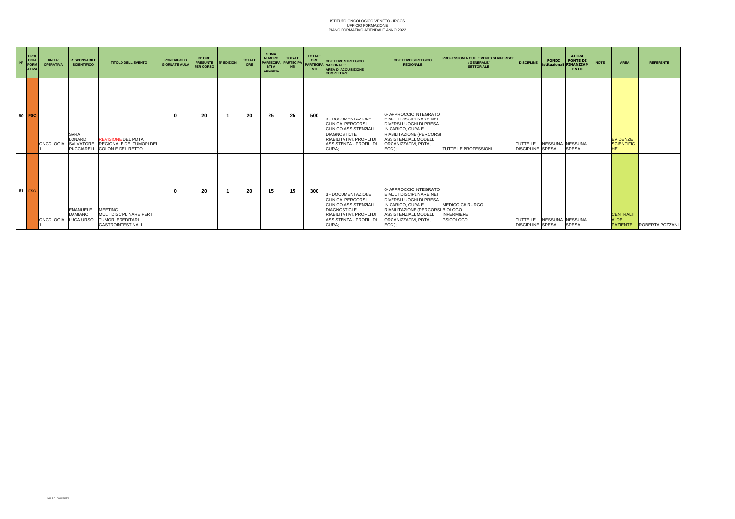| $N^{\circ}$ | <b>TIPOL</b><br>OGIA<br>FORM<br><b>ATIVA</b> | UNITA'<br><b>OPERATIVA</b> | <b>RESPONSABILE</b><br><b>SCIENTIFICO</b>         | <b>TITOLO DELL'EVENTO</b>                                                                        | POMERIGGI O<br><b>GIORNATE AULA</b> | N° ORE<br><b>PRESUNTE</b><br><b>PER CORSO</b> | N° EDIZIONI | <b>TOTALE</b><br>ORE | <b>STIMA</b><br><b>NUMERO</b><br><b>PARTECIPA</b><br><b>NTIA</b><br><b>EDIZIONE</b> | <b>TOTALE</b><br>PARTECIPA<br><b>NTI</b> | <b>TOTALE</b><br>ORE<br><b>NTI</b> | <b>OBIETTIVO STRTEGICO</b><br><b>PARTECIPA NAZIONALE:</b><br><b>AREA DI ACQUISIZIONE</b><br><b>COMPETENZE</b>                                             | <b>OBIETTIVO STRTEGICO</b><br><b>REGIONALE</b>                                                                                                                                                    | <b>PROFESSIONI A CUI L'EVENTO SI RIFERISCE</b><br>: GENERALE/<br><b>SETTORIALE</b> | <b>DISCIPLINE</b>                   | <b>FONDI</b><br>istituzionali FINANZIAN | <b>ALTRA</b><br><b>FONTE DI</b><br><b>ENTO</b> | <b>NOTE</b> | <b>AREA</b>                                       | <b>REFERENTE</b>                |
|-------------|----------------------------------------------|----------------------------|---------------------------------------------------|--------------------------------------------------------------------------------------------------|-------------------------------------|-----------------------------------------------|-------------|----------------------|-------------------------------------------------------------------------------------|------------------------------------------|------------------------------------|-----------------------------------------------------------------------------------------------------------------------------------------------------------|---------------------------------------------------------------------------------------------------------------------------------------------------------------------------------------------------|------------------------------------------------------------------------------------|-------------------------------------|-----------------------------------------|------------------------------------------------|-------------|---------------------------------------------------|---------------------------------|
|             | 80 FSC                                       | <b>ONCOLOGIA</b>           | <b>SARA</b><br><b>LONARDI</b><br><b>SALVATORE</b> | <b>REVISIONE DEL PDTA</b><br><b>REGIONALE DEI TUMORI DEI</b><br>PUCCIARELLI COLON E DEL RETTO    |                                     | 20                                            |             | 20                   | 25                                                                                  | 25                                       | 500                                | 3 - DOCUMENTAZIONE<br>CLINICA, PERCORSI<br>CLINICO-ASSISTENZIALI<br><b>DIAGNOSTICI E</b><br>RIABILITATIVI, PROFILI DI<br>ASSISTENZA - PROFILI DI<br>CURA: | 6- APPROCCIO INTEGRATO<br>E MULTIDISCIPLINARE NEI<br>DIVERSI LUOGHI DI PRESA<br>IN CARICO, CURA E<br>RIABILITAZIONE (PERCORSI<br>ASSISTENZIALI, MODELLI<br>ORGANIZZATIVI. PDTA.<br>$ECC.$ ):      | TUTTE LE PROFESSIONI                                                               | TUTTE LE<br><b>DISCIPLINE SPESA</b> | NESSUNA NESSUNA                         | <b>SPESA</b>                                   |             | <b>EVIDENZE</b><br><b>SCIENTIFIC</b><br><b>HE</b> |                                 |
|             | 81 FSC                                       | <b>ONCOLOGIA</b>           | <b>EMANUELE</b><br><b>DAMIANO</b><br>LUCA URSO    | <b>MEETING</b><br>MULTIDISCIPLINARE PER I<br><b>TUMORI EREDITARI</b><br><b>GASTROINTESTINALI</b> |                                     | 20                                            |             | 20                   | 15                                                                                  | 15                                       | 300                                | 3 - DOCUMENTAZIONE<br>CLINICA, PERCORSI<br>CLINICO-ASSISTENZIALI<br><b>DIAGNOSTICI E</b><br>RIABILITATIVI, PROFILI DI<br>ASSISTENZA - PROFILI DI<br>CURA: | 6- APPROCCIO INTEGRATO<br>E MULTIDISCIPLINARE NEI<br>DIVERSI LUOGHI DI PRESA<br>IN CARICO, CURA E<br>RIABILITAZIONE (PERCORSI BIOLOGO<br>ASSISTENZIALI, MODELLI<br>ORGANIZZATIVI, PDTA,<br>ECC.); | MEDICO CHIRURGO<br><b>INFERMIERE</b><br><b>PSICOLOGO</b>                           | TUTTE LE<br><b>DISCIPLINE</b> SPESA | NESSUNA NESSUNA                         | <b>SPESA</b>                                   |             | <b>CENTRALIT</b><br>A' DEL                        | <b>PAZIENTE</b> ROBERTA POZZANI |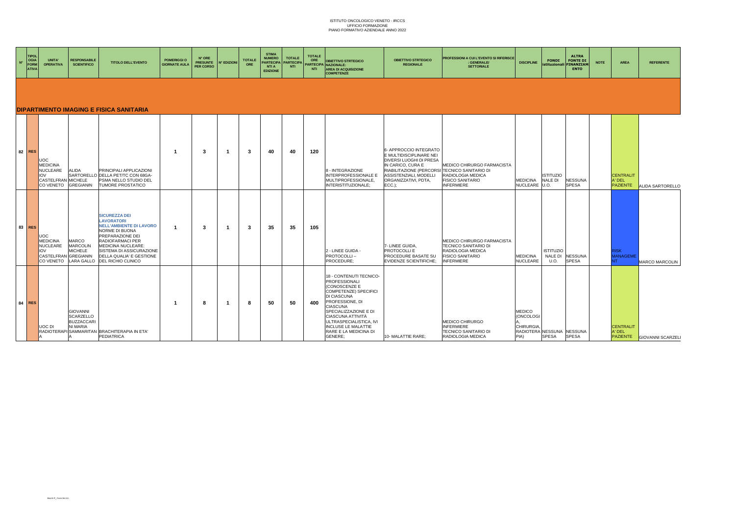| $N^{\circ}$ | <b>TIPOL</b><br>OGIA<br><b>FORM</b><br><b>ATIVA</b> | <b>UNITA'</b><br><b>OPERATIVA</b>                                                                       | <b>RESPONSABILE</b><br><b>SCIENTIFICO</b>                            | <b>TITOLO DELL'EVENTO</b>                                                                                                                                                                                                                 | <b>POMERIGGI O</b><br><b>GIORNATE AULA</b> | N° ORE<br><b>PRESUNTE</b><br>PER CORSO | N° EDIZIONI | <b>TOTALE</b><br>ORE | <b>STIMA</b><br><b>NUMERO</b><br>PARTECIPA<br><b>NTI A</b><br><b>EDIZIONE</b> | <b>TOTALE</b><br><b>PARTECIPA</b><br><b>NTI</b> | <b>TOTALE</b><br>ORE<br><b>NTI</b> | <b>OBIETTIVO STRTEGICO</b><br>PARTECIPA NAZIONALE:<br><b>AREA DI ACQUISIZIONE</b><br><b>COMPETENZE</b>                                                                                                                                                                                    | <b>OBIETTIVO STRTEGICO</b><br><b>REGIONALE</b>                                                                                                                                                                    | PROFESSIONI A CUI L'EVENTO SI RIFERISCE<br>: GENERALE/<br><b>SETTORIALE</b>                                             | <b>DISCIPLINE</b>                                                                   | <b>FONDI</b><br>stituzionali FINANZIAM | <b>ALTRA</b><br><b>FONTE DI</b><br><b>ENTO</b> | <b>NOTE</b><br><b>AREA</b>                    | <b>REFERENTE</b>         |
|-------------|-----------------------------------------------------|---------------------------------------------------------------------------------------------------------|----------------------------------------------------------------------|-------------------------------------------------------------------------------------------------------------------------------------------------------------------------------------------------------------------------------------------|--------------------------------------------|----------------------------------------|-------------|----------------------|-------------------------------------------------------------------------------|-------------------------------------------------|------------------------------------|-------------------------------------------------------------------------------------------------------------------------------------------------------------------------------------------------------------------------------------------------------------------------------------------|-------------------------------------------------------------------------------------------------------------------------------------------------------------------------------------------------------------------|-------------------------------------------------------------------------------------------------------------------------|-------------------------------------------------------------------------------------|----------------------------------------|------------------------------------------------|-----------------------------------------------|--------------------------|
|             |                                                     |                                                                                                         |                                                                      | DIPARTIMENTO IMAGING E FISICA SANITARIA                                                                                                                                                                                                   |                                            |                                        |             |                      |                                                                               |                                                 |                                    |                                                                                                                                                                                                                                                                                           |                                                                                                                                                                                                                   |                                                                                                                         |                                                                                     |                                        |                                                |                                               |                          |
|             | 82 RES                                              | <b>UOC</b><br><b>MEDICINA</b><br>NUCLEARE<br><b>IOV</b><br>CASTELFRAN MICHELE<br>CO VENETO              | ALIDA<br><b>GREGIANIN</b>                                            | PRINCIPALI APPLICAZIONI<br>SARTORELLO DELLA PET/TC CON 68GA-<br>PSMA NELLO STUDIO DEL<br>TUMORE PROSTATICO                                                                                                                                | -1                                         | -3                                     | -1          | - 3                  | 40                                                                            | 40                                              | 120                                | 8 - INTEGRAZIONE<br><b>INTERPROFESSIONALE E</b><br>MULTIPROFESSIONALE,<br>INTERISTITUZIONALE:                                                                                                                                                                                             | 6- APPROCCIO INTEGRATO<br>E MULTIDISCIPLINARE NEI<br>DIVERSI LUOGHI DI PRESA<br>IN CARICO, CURA E<br>RIABILITAZIONE (PERCORSI TECNICO SANITARIO DI<br>ASSISTENZIALI, MODELLI<br>ORGANIZZATIVI, PDTA,<br>$ECC.$ ): | MEDICO CHIRURGO FARMACISTA<br>RADIOLOGIA MEDICA<br><b>FISICO SANITARIO</b><br><b>INFERMIERE</b>                         | <b>MEDICINA</b><br>NUCLEARE U.O.                                                    | <b>ISTITUZIO</b><br><b>NALE DI</b>     | <b>NESSUNA</b><br><b>SPESA</b>                 | <b>CENTRALIT</b><br>A' DEL<br><b>PAZIENTE</b> | <b>ALIDA SARTORELLO</b>  |
|             | 83 RES                                              | <b>UOC</b><br><b>MEDICINA</b><br>NUCLEARE<br><b>VOI</b><br>CASTELFRAN GREGIANIN<br>CO VENETO LARA GALLO | <b>MARCO</b><br><b>MARCOLIN</b><br><b>MICHELE</b>                    | <b>SICUREZZA DEI</b><br><b>LAVORATORI</b><br><b>NELL'AMBIENTE DI LAVORO</b><br>NORME DI BUONA<br>PREPARAZIONE DEI<br>RADIOFARMACI PER<br>MEDICINA NUCLEARE:<br>SISTEMA DI ASSICURAZIONE<br>DELLA QUALIA' E GESTIONE<br>DEL RICHIO CLINICO |                                            | -3                                     | -1          | -3                   | 35                                                                            | -35                                             | 105                                | 2 - LINEE GUIDA -<br>PROTOCOLLI-<br>PROCEDURE;                                                                                                                                                                                                                                            | 7- LINEE GUIDA,<br>PROTOCOLLI E<br>PROCEDURE BASATE SU<br><b>EVIDENZE SCIENTIFICHE:</b>                                                                                                                           | MEDICO CHIRURGO FARMACISTA<br>TECNICO SANITARIO DI<br>RADIOLOGIA MEDICA<br><b>FISICO SANITARIO</b><br><b>INFERMIERE</b> | <b>MEDICINA</b><br>NUCLEARE                                                         | <b>ISTITUZIO</b><br>NALE DI<br>U.O.    | <b>NESSUNA</b><br><b>SPESA</b>                 | <b>RISK</b><br><b>ANAGEME</b>                 | MARCO MARCOLIN           |
|             | 84 RES                                              | UOC DI                                                                                                  | <b>GIOVANNI</b><br><b>SCARZELLO</b><br><b>BUZZACCARI</b><br>NI MARIA | RADIOTERAPI SAMMARITAN BRACHITERAPIA IN ETA'<br><b>PEDIATRICA</b>                                                                                                                                                                         |                                            | 8                                      | -1          | 8                    | 50                                                                            | 50                                              | 400                                | 18 - CONTENUTI TECNICO-<br><b>PROFESSIONALI</b><br>(CONOSCENZE E<br>COMPETENZE) SPECIFICI<br>DI CIASCUNA<br>PROFESSIONE, DI<br><b>CIASCUNA</b><br>SPECIALIZZAZIONE E DI<br>CIASCUNA ATTIVITÀ<br>ULTRASPECIALISTICA, IVI<br><b>INCLUSE LE MALATTIE</b><br>RARE E LA MEDICINA DI<br>GENERE: | 10- MALATTIE RARE;                                                                                                                                                                                                | MEDICO CHIRURGO<br><b>INFERMIERE</b><br>TECNICO SANITARIO DI<br>RADIOLOGIA MEDICA                                       | <b>MEDICO</b><br>(ONCOLOGI<br><b>CHIRURGIA</b><br>RADIOTERA NESSUNA NESSUNA<br>PIA) | SPESA                                  | <b>SPESA</b>                                   | <b>CENTRALIT</b><br>A' DEL<br><b>PAZIENTE</b> | <b>GIOVANNI SCARZELI</b> |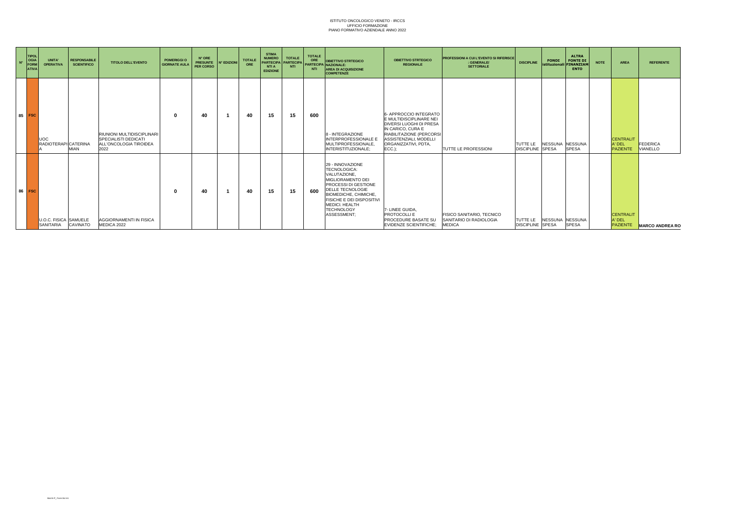| $N^{\circ}$ | <b>TIPOL</b><br><b>OGIA</b><br>FORM<br><b>ATIVA</b> | UNITA'<br><b>OPERATIVA</b>                  | <b>RESPONSABILE</b><br><b>SCIENTIFICO</b> | <b>TITOLO DELL'EVENTO</b>                                                                   | <b>POMERIGGIO</b><br><b>GIORNATE AULA</b> | N° ORE<br><b>PRESUNTE</b><br>PER CORSO | N° EDIZIONI | <b>TOTALE</b><br>ORE | <b>STIMA</b><br><b>NUMERO</b><br><b>PARTECIPA</b><br><b>NTIA</b><br><b>EDIZIONE</b> | <b>TOTALE</b><br><b>PARTECIPA</b><br><b>NTI</b> | <b>TOTALE</b><br>ORE<br><b>NTI</b> | <b>OBIETTIVO STRTEGICO</b><br><b>PARTECIPA NAZIONALE:</b><br><b>AREA DI ACQUISIZIONE</b><br><b>COMPETENZE</b>                                                                                                                               | <b>OBIETTIVO STRTEGICO</b><br><b>REGIONALE</b>                                                                                                                                                     | <b>PROFESSIONI A CUI L'EVENTO SI RIFERISCE</b><br>: GENERALE/<br><b>SETTORIALE</b> | <b>DISCIPLINE</b>                          | <b>FONDI</b><br><b>istituzionali FINANZIAN</b> | <b>ALTRA</b><br><b>FONTE DI</b><br><b>ENTO</b> | <b>NOTE</b> | <b>AREA</b>                                   | <b>REFERENTE</b>            |
|-------------|-----------------------------------------------------|---------------------------------------------|-------------------------------------------|---------------------------------------------------------------------------------------------|-------------------------------------------|----------------------------------------|-------------|----------------------|-------------------------------------------------------------------------------------|-------------------------------------------------|------------------------------------|---------------------------------------------------------------------------------------------------------------------------------------------------------------------------------------------------------------------------------------------|----------------------------------------------------------------------------------------------------------------------------------------------------------------------------------------------------|------------------------------------------------------------------------------------|--------------------------------------------|------------------------------------------------|------------------------------------------------|-------------|-----------------------------------------------|-----------------------------|
|             | 85 FSC                                              | JOC<br>RADIOTERAPI CATERINA                 | <b>MIAN</b>                               | RIUNIONI MULTIDISCIPLINARI<br><b>SPECIALISTI DEDICATI</b><br>ALL'ONCOLOGIA TIROIDEA<br>2022 |                                           | 40                                     |             | 40                   | 15                                                                                  | 15                                              | 600                                | 8 - INTEGRAZIONE<br>INTERPROFESSIONALE E<br><b>MULTIPROFESSIONALE</b><br>INTERISTITUZIONALE:                                                                                                                                                | 6- APPROCCIO INTEGRATO<br>E MULTIDISCIPLINARE NEI<br><b>DIVERSI LUOGHI DI PRESA</b><br>IN CARICO, CURA E<br>RIABILITAZIONE (PERCORSI<br>ASSISTENZIALI, MODELLI<br>ORGANIZZATIVI, PDTA<br>$ECC.$ ): | <b>TUTTE LE PROFESSIONI</b>                                                        | <b>TUTTE LE</b><br><b>DISCIPLINE SPESA</b> | NESSUNA NESSUNA                                | <b>SPESA</b>                                   |             | <b>CENTRALIT</b><br>A' DEL<br><b>PAZIENTE</b> | FEDERICA<br><b>VIANELLO</b> |
| 86          | <b>FSC</b>                                          | U.O.C. FISICA SAMUELE<br>SANITARIA CAVINATO |                                           | AGGIORNAMENTI IN FISICA<br>MEDICA 2022                                                      |                                           | 40                                     |             | 40                   | 15                                                                                  | 15                                              | 600                                | 29 - INNOVAZIONE<br>TECNOLOGICA:<br>VALUTAZIONE.<br>MIGLIORAMENTO DEI<br><b>PROCESSI DI GESTIONE</b><br>DELLE TECNOLOGIE<br>BIOMEDICHE, CHIMICHE,<br><b>FISICHE E DEI DISPOSITIVI</b><br>MEDICI, HEALTH<br><b>TECHNOLOGY</b><br>ASSESSMENT: | 7- LINEE GUIDA<br>PROTOCOLLI E<br>PROCEDURE BASATE SU<br><b>EVIDENZE SCIENTIFICHE:</b>                                                                                                             | <b>FISICO SANITARIO, TECNICO</b><br>SANITARIO DI RADIOLOGIA<br><b>MEDICA</b>       | <b>DISCIPLINE SPESA</b>                    | TUTTE LE NESSUNA NESSUNA                       | <b>SPESA</b>                                   |             | <b>CENTRALIT</b><br>A' DEL<br><b>PAZIENTE</b> | <b>MARCO ANDREA RO</b>      |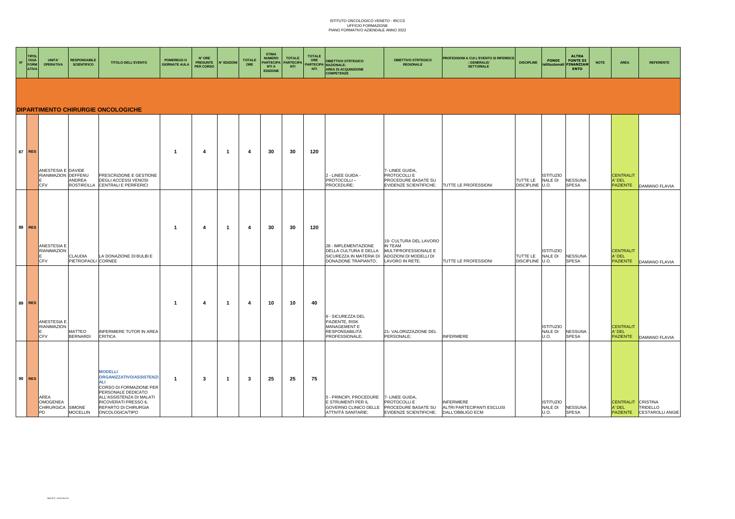| $\mathsf{N}^*$ | <b>TIPOL</b><br>OGIA<br>FORM<br><b>ATIVA</b> | UNITA'<br><b>OPERATIVA</b>                              | <b>RESPONSABILE</b><br><b>SCIENTIFICO</b> | <b>TITOLO DELL'EVENTO</b>                                                                                                                                                                         | <b>POMERIGGI O</b><br><b>GIORNATE AULA</b> | N° ORE<br><b>PRESUNTE</b><br>PER CORSO | <b>N° EDIZIONI</b> | <b>TOTALE</b><br>ORE | <b>STIMA</b><br><b>NUMERO</b><br><b>PARTECIPA</b><br><b>NTI A</b><br><b>EDIZIONE</b> | <b>TOTALE</b><br>PARTECIPA<br><b>NTI</b> | <b>TOTALE</b><br>ORE<br>NTI | <b>OBIETTIVO STRTEGICO</b><br>PARTECIPA NAZIONALE:<br><b>AREA DI ACQUISIZIONE</b><br><b>COMPETENZE</b> | <b>OBIETTIVO STRTEGICO</b><br><b>REGIONALE</b>                                                         | PROFESSIONI A CUI L'EVENTO SI RIFERISCE<br>GENERALE/<br><b>SETTORIALE</b>                 | <b>DISCIPLINE</b>             | <b>FONDI</b><br>istituzionali       | <b>ALTRA</b><br><b>FONTE DI</b><br><b>FINANZIAM</b><br><b>ENTO</b> | <b>NOTE</b> | AREA                                          | <b>REFERENTE</b>                             |
|----------------|----------------------------------------------|---------------------------------------------------------|-------------------------------------------|---------------------------------------------------------------------------------------------------------------------------------------------------------------------------------------------------|--------------------------------------------|----------------------------------------|--------------------|----------------------|--------------------------------------------------------------------------------------|------------------------------------------|-----------------------------|--------------------------------------------------------------------------------------------------------|--------------------------------------------------------------------------------------------------------|-------------------------------------------------------------------------------------------|-------------------------------|-------------------------------------|--------------------------------------------------------------------|-------------|-----------------------------------------------|----------------------------------------------|
|                |                                              |                                                         |                                           | <b>DIPARTIMENTO CHIRURGIE ONCOLOGICHE</b>                                                                                                                                                         |                                            |                                        |                    |                      |                                                                                      |                                          |                             |                                                                                                        |                                                                                                        |                                                                                           |                               |                                     |                                                                    |             |                                               |                                              |
|                |                                              |                                                         |                                           |                                                                                                                                                                                                   |                                            |                                        |                    |                      |                                                                                      |                                          |                             |                                                                                                        |                                                                                                        |                                                                                           |                               |                                     |                                                                    |             |                                               |                                              |
|                | 87 RES                                       | ANESTESIA E DAVIDE<br>RIANIMAZION DEFFENU<br><b>CFV</b> | ANDREA<br><b>ROSTIROLLA</b>               | PRESCRIZIONE E GESTIONE<br><b>DEGLI ACCESSI VENOSI</b><br>CENTRALI E PERIFERICI                                                                                                                   | $\mathbf 1$                                | $\overline{4}$                         | $\overline{1}$     | -4                   | 30                                                                                   | 30                                       | 120                         | 2 - LINEE GUIDA -<br>PROTOCOLLI-<br>PROCEDURE:                                                         | 7- LINEE GUIDA,<br>PROTOCOLLI E<br>PROCEDURE BASATE SU<br><b>EVIDENZE SCIENTIFICHE:</b>                | TUTTE LE PROFESSIONI                                                                      | TUTTE LE<br><b>DISCIPLINE</b> | <b>ISTITUZIO</b><br>NALE DI<br>U.O. | <b>NESSUNA</b><br><b>SPESA</b>                                     |             | <b>CENTRALIT</b><br>A' DEL<br><b>PAZIENTE</b> | DAMIANO FLAVIA                               |
|                | 88 RES                                       | ANESTESIA E<br><b>RIANIMAZION</b><br>CFV                | CLAUDIA<br>PIETROPAOLI CORNEE             | LA DONAZIONE DI BULBI E                                                                                                                                                                           | $\mathbf{1}$                               | 4                                      | $\overline{1}$     | 4                    | 30                                                                                   | 30                                       | 120                         | 28 - IMPLEMENTAZIONE<br>DELLA CULTURA E DELLA<br>SICUREZZA IN MATERIA DI<br>DONAZIONE TRAPIANTO:       | 19- CULTURA DEL LAVORO<br>IN TEAM<br>MULTIPROFESSIONALE E<br>ADOZIONI DI MODELLI DI<br>LAVORO IN RETE: | TUTTE LE PROFESSIONI                                                                      | TUTTE LE<br>DISCIPLINE U.O.   | <b>ISTITUZIO</b><br><b>NALE DI</b>  | <b>NESSUNA</b><br><b>SPESA</b>                                     |             | <b>CENTRALIT</b><br>A' DEL<br><b>PAZIENTE</b> | <b>DAMIANO FLAVIA</b>                        |
|                | 89 RES                                       | ANESTESIA E<br>RIANIMAZION<br><b>CFV</b>                | <b>MATTEO</b><br><b>BERNARDI</b>          | <b>INFERMIERE TUTOR IN AREA</b><br><b>CRITICA</b>                                                                                                                                                 | $\mathbf{1}$                               | 4                                      | $\mathbf{1}$       | 4                    | 10                                                                                   | 10                                       | 40                          | 6 - SICUREZZA DEL<br>PAZIENTE, RISK<br>MANAGEMENT E<br><b>RESPONSABILITÀ</b><br>PROFESSIONALE;         | 21- VALORIZZAZIONE DEL<br>PERSONALE:                                                                   | <b>INFERMIERE</b>                                                                         |                               | <b>ISTITUZIO</b><br>NALE DI<br>U.O. | <b>NESSUNA</b><br><b>SPESA</b>                                     |             | <b>CENTRALIT</b><br>A' DEL<br><b>PAZIENTE</b> | DAMIANO FLAVIA                               |
|                | 90 RES                                       | AREA<br><b>OMOGENEA</b><br>CHIRURGICA SIMONE<br>PD      | <b>MOCELLIN</b>                           | <b>MODELLI</b><br>ORGANIZZATIVO/ASSISTENZI<br>CORSO DI FORMAZIONE PER<br>PERSONALE DEDICATO<br>ALL'ASSISTENZA DI MALATI<br>RICOVERATI PRESSO IL<br>REPARTO DI CHIRURGIA<br><b>ONCOLOGICA/TIPO</b> | $\mathbf 1$                                | 3                                      | $\overline{1}$     | 3                    | 25                                                                                   | 25                                       | 75                          | 5 - PRINCIPI, PROCEDURE<br>E STRUMENTI PER IL<br>ATTIVITÀ SANITARIE:                                   | 7- LINEE GUIDA,<br>PROTOCOLLI E<br>EVIDENZE SCIENTIFICHE: DALL'OBBLIGO ECM                             | <b>INFERMIERE</b><br>GOVERNO CLINICO DELLE PROCEDURE BASATE SU ALTRI PARTECIPANTI ESCLUSI |                               | <b>ISTITUZIO</b><br>NALE DI<br>U.O. | <b>NESSUNA</b><br><b>SPESA</b>                                     |             | CENTRALIT CRISTINA<br>A' DEL                  | TRIDELLO<br><b>PAZIENTE</b> CESTAROLLI ANGIE |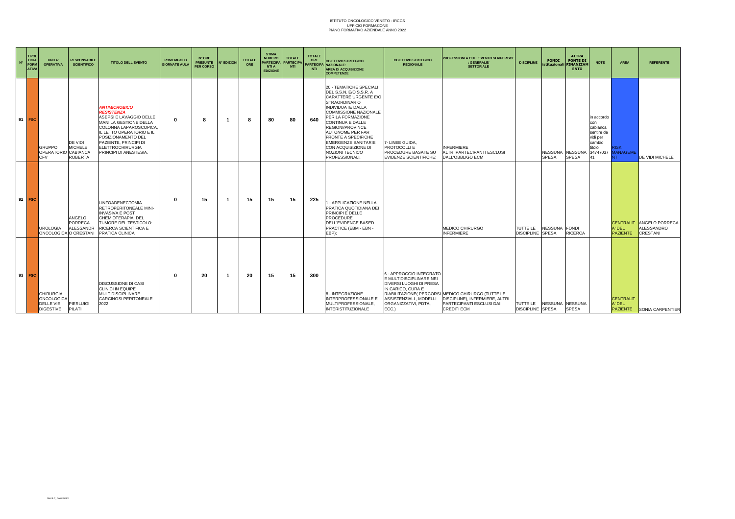| $N^{\circ}$ | <b>TIPOL</b><br>OGIA<br>FORM<br><b>ATIVA</b> | <b>UNITA</b><br><b>OPERATIVA</b>                                       | <b>RESPONSABILE</b><br><b>SCIENTIFICO</b>    | <b>TITOLO DELL'EVENTO</b>                                                                                                                                                                                                                             | <b>POMERIGGI O</b><br><b>GIORNATE AUL/</b> | N° ORE<br><b>PRESUNTE</b><br><b>PER CORSO</b> | <b>N° EDIZION</b> | <b>TOTALE</b><br>ORE | <b>STIMA</b><br><b>NUMERO</b><br><b>PARTECIPA</b><br><b>NTI A</b><br><b>EDIZIONE</b> | <b>TOTALE</b><br><b>PARTECIPA</b><br><b>NTI</b> | <b>TOTALE</b><br>ORE<br><b>NTI</b> | <b>OBIETTIVO STRTEGICO</b><br>PARTECIPA NAZIONALE:<br><b>AREA DI ACQUISIZIONE</b><br><b>COMPETENZE</b>                                                                                                                                                                                                                                                                                        | <b>OBIETTIVO STRTEGICO</b><br><b>REGIONALE</b>                                                                                                                 | <b>PROFESSIONI A CUI L'EVENTO SI RIFERISCE</b><br>: GENERALE/<br><b>SETTORIALE</b>                                              | <b>DISCIPLINE</b>                   | <b>FONDI</b><br>istituzionali | <b>ALTRA</b><br><b>FONTE DI</b><br><b>FINANZIAM</b><br><b>ENTO</b> | <b>NOTE</b>                                                                 | <b>AREA</b>                                   | <b>REFERENTE</b>                                       |
|-------------|----------------------------------------------|------------------------------------------------------------------------|----------------------------------------------|-------------------------------------------------------------------------------------------------------------------------------------------------------------------------------------------------------------------------------------------------------|--------------------------------------------|-----------------------------------------------|-------------------|----------------------|--------------------------------------------------------------------------------------|-------------------------------------------------|------------------------------------|-----------------------------------------------------------------------------------------------------------------------------------------------------------------------------------------------------------------------------------------------------------------------------------------------------------------------------------------------------------------------------------------------|----------------------------------------------------------------------------------------------------------------------------------------------------------------|---------------------------------------------------------------------------------------------------------------------------------|-------------------------------------|-------------------------------|--------------------------------------------------------------------|-----------------------------------------------------------------------------|-----------------------------------------------|--------------------------------------------------------|
| 91          | <b>FSC</b>                                   | <b>GRUPPO</b><br>OPERATORIO CABIANCA<br>C.FV                           | DE VIDI<br><b>MICHELE</b><br><b>ROBERTA</b>  | <b>ANTIMICROBICO</b><br><b>RESISTENZA</b><br>ASEPSI E LAVAGGIO DELLE<br>MANI LA GESTIONE DELLA<br>COLONNA LAPAROSCOPICA<br>L LETTO OPERATORIO E IL<br>POSIZIONAMENTO DEL<br>PAZIENTE, PRINCIPI DI<br><b>ELETTROCHIRURGIA</b><br>PRINCIPI DI ANESTESIA | $\Omega$                                   | 8                                             |                   | ÷                    | 80                                                                                   | 80                                              | 640                                | 20 - TEMATICHE SPECIALI<br>DEL S.S.N. E/O S.S.R. A<br>CARATTERE URGENTE E/O<br><b>STRAORDINARIO</b><br><b>INDIVIDUATE DALLA</b><br><b>COMMISSIONE NAZIONALE</b><br>PER LA FORMAZIONE<br>CONTINUA E DALLE<br><b>REGIONI/PROVINCE</b><br><b>AUTONOME PER FAR</b><br><b>FRONTE A SPECIFICHE</b><br><b>EMERGENZE SANITARIE</b><br>CON ACQUISIZIONE DI<br>NOZIONI TECNICO<br><b>PROFESSIONALI.</b> | 7- LINEE GUIDA.<br>PROTOCOLLI E<br>PROCEDURE BASATE SU<br><b>EVIDENZE SCIENTIFICHE:</b>                                                                        | <b>INFERMIERE</b><br>ALTRI PARTECIPANTI ESCLUSI<br>DALL'OBBLIGO ECM                                                             |                                     | <b>SPESA</b>                  | NESSUNA NESSUNA<br><b>SPESA</b>                                    | in accordo<br>con<br>cabianca<br>sentire de<br>vidi per<br>cambio<br>titolo | :ISK<br>34747037 MANAGEME                     | <b>DE VIDI MICHELE</b>                                 |
|             | 92 FSC                                       | <b>UROLOGIA</b><br>ONCOLOGICA O CRESTANI                               | ANGELO<br><b>PORRECA</b><br><b>ALESSANDR</b> | <b>LINFOADENECTOMIA</b><br>RETROPERITONEALE MINI-<br><b>INVASIVA E POST</b><br>CHEMIOTERAPIA DEL<br>TUMORE DEL TESTICOLO:<br>RICERCA SCIENTIFICA E<br>PRATICA CLINICA                                                                                 | 0                                          | 15                                            |                   | 15                   | 15                                                                                   | 15                                              | 225                                | <b>I - APPLICAZIONE NELLA</b><br>PRATICA QUOTIDIANA DEI<br><b>PRINCIPI E DELLE</b><br><b>PROCEDURE</b><br>DELL'EVIDENCE BASED<br>PRACTICE (EBM - EBN -<br>EBP):                                                                                                                                                                                                                               |                                                                                                                                                                | MEDICO CHIRURGO<br><b>INFERMIERE</b>                                                                                            | TUTTE LE<br><b>DISCIPLINE SPESA</b> | <b>NESSUNA</b>                | FONDI<br><b>RICERCA</b>                                            |                                                                             | <b>CENTRALIT</b><br>A' DEL<br><b>PAZIENTE</b> | <b>ANGELO PORRECA</b><br><b>ALESSANDRO</b><br>CRESTANI |
|             | 93 FSC                                       | <b>CHIRURGIA</b><br><b>ONCOLOGICA</b><br>DELLE VIE<br><b>DIGESTIVE</b> | PIERLUIGI<br>PILATI                          | DISCUSSIONE DI CASI<br>CLINICI IN EQUIPE<br>MULTIDISCIPLINARE.<br>CARCINOSI PERITONEALE<br>2022                                                                                                                                                       | $\Omega$                                   | 20                                            |                   | 20                   | 15                                                                                   | 15                                              | 300                                | 8 - INTEGRAZIONE<br>INTERPROFESSIONALE E<br>MULTIPROFESSIONALE,<br><b>INTERISTITUZIONALE</b>                                                                                                                                                                                                                                                                                                  | 6 - APPROCCIO INTEGRATO<br>E MULTIDISCIPLINARE NEI<br>DIVERSI LUOGHI DI PRESA<br>IN CARICO, CURA E<br>ASSISTENZIALI . MODELLI<br>ORGANIZZATIVI, PDTA,<br>ECC.) | RIABILITAZIONE( PERCORSI MEDICO CHIRURGO (TUTTE LE<br>DISCIPLINE), INFERMIERE, ALTRI<br>PARTECIPANTI ESCLUSI DAI<br>CREDITI ECM | TUTTE LE<br><b>DISCIPLINE SPESA</b> | <b>NESSUNA</b>                | <b>NESSUNA</b><br><b>SPESA</b>                                     |                                                                             | <b>CENTRALIT</b><br>A' DEL<br><b>PAZIENTE</b> | SONIA CARPENTIER                                       |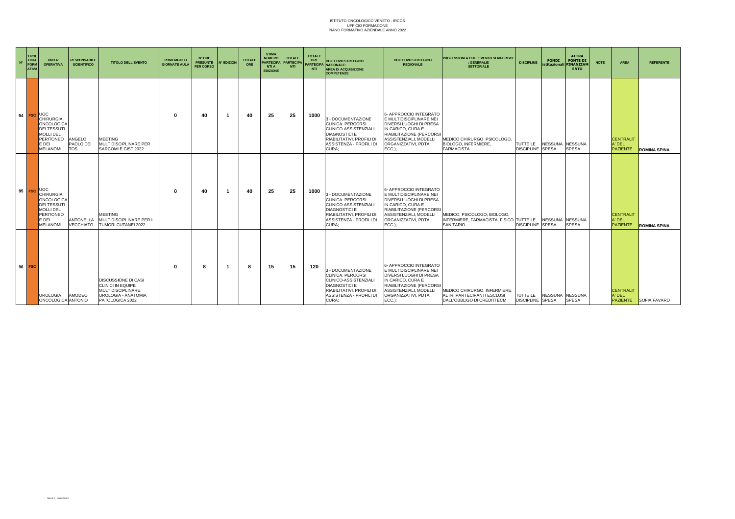| $N^{\circ}$ | <b>TIPOL</b><br><b>OGIA</b><br><b>FORM</b><br><b>ATIVA</b> | UNITA'<br><b>OPERATIVA</b>                                                                                                                   | <b>RESPONSABILE</b><br><b>SCIENTIFICO</b> | <b>TITOLO DELL'EVENTO</b>                                                                                       | <b>POMERIGGI O</b><br><b>GIORNATE AULA</b> | N° ORE<br><b>PRESUNTE</b><br><b>PER CORSO</b> | <b>N° EDIZIONI</b> | <b>TOTALE</b><br>ORE | <b>STIMA</b><br><b>NUMERO</b><br><b>PARTECIPA</b><br><b>NTI A</b><br><b>EDIZIONE</b> | <b>TOTALE</b><br><b>PARTECIP</b><br><b>NTI</b> | <b>TOTALE</b><br>ORE<br><b>NTI</b> | <b>OBIETTIVO STRTEGICO</b><br>PARTECIPA NAZIONALE:<br><b>AREA DI ACQUISIZIONE</b><br><b>COMPETENZE</b>                                                    | <b>OBIETTIVO STRTEGICO</b><br><b>REGIONALE</b>                                                                                                                                                      | PROFESSIONI A CUI L'EVENTO SI RIFERISCE<br>: GENERALE/<br><b>SETTORIALE</b>                | <b>DISCIPLINE</b>                   | <b>FONDI</b><br>istituzionali FINANZIAM | <b>ALTRA</b><br><b>FONTE DI</b><br><b>ENTO</b> | <b>NOTE</b> | <b>AREA</b>                                   | <b>REFERENTE</b>             |
|-------------|------------------------------------------------------------|----------------------------------------------------------------------------------------------------------------------------------------------|-------------------------------------------|-----------------------------------------------------------------------------------------------------------------|--------------------------------------------|-----------------------------------------------|--------------------|----------------------|--------------------------------------------------------------------------------------|------------------------------------------------|------------------------------------|-----------------------------------------------------------------------------------------------------------------------------------------------------------|-----------------------------------------------------------------------------------------------------------------------------------------------------------------------------------------------------|--------------------------------------------------------------------------------------------|-------------------------------------|-----------------------------------------|------------------------------------------------|-------------|-----------------------------------------------|------------------------------|
|             | 94 FSC                                                     | <b>UOC</b><br><b>CHIRURGIA</b><br><b>ONCOLOGICA</b><br><b>DEI TESSUTI</b><br><b>MOLLIDEL</b><br><b>PERITONEO</b><br>E DEI<br><b>MELANOMI</b> | ANGELO<br>PAOLO DEI<br><b>TOS</b>         | <b>MEETING</b><br>MULTIDISCIPLINARE PER<br>SARCOMI E GIST 2022                                                  |                                            | 40                                            |                    | 40                   | 25                                                                                   | 25                                             | 1000                               | 3 - DOCUMENTAZIONE<br>CLINICA, PERCORSI<br>CLINICO-ASSISTENZIALI<br><b>DIAGNOSTICI E</b><br>RIABILITATIVI, PROFILI DI<br>ASSISTENZA - PROFILI DI<br>CURA: | 6- APPROCCIO INTEGRATO<br>E MULTIDISCIPLINARE NEI<br><b>DIVERSI LUOGHI DI PRESA</b><br>IN CARICO, CURA E<br>RIABILITAZIONE (PERCORSI<br>ASSISTENZIALI, MODELLI<br>ORGANIZZATIVI, PDTA,<br>$ECC.$ ); | MEDICO CHIRURGO PSICOLOGO.<br>BIOLOGO, INFERMIERE,<br><b>FARMACISTA</b>                    | TUTTE LE<br><b>DISCIPLINE</b> SPESA | <b>NESSUNA</b>                          | <b>NESSUNA</b><br><b>SPESA</b>                 |             | <b>CENTRALIT</b><br>A' DEL<br><b>PAZIENTE</b> | <b>ROMINA SPINA</b>          |
|             | $95$ FSC                                                   | <b>UOC</b><br><b>CHIRURGIA</b><br>ONCOLOGICA<br><b>DEI TESSUTI</b><br><b>MOLLIDEL</b><br><b>PERITONEO</b><br>E DEI<br><b>MELANOMI</b>        | <b>ANTONELLA</b><br>VECCHIATO             | <b>MEETING</b><br>MULTIDISCIPLINARE PER I<br><b>TUMORI CUTANEI 2022</b>                                         |                                            | 40                                            |                    | 40                   | 25                                                                                   | 25                                             | 1000                               | 3 - DOCUMENTAZIONE<br>CLINICA, PERCORSI<br>CLINICO-ASSISTENZIALI<br><b>DIAGNOSTICI E</b><br>RIABILITATIVI, PROFILI DI<br>ASSISTENZA - PROFILI DI<br>CURA: | 6- APPROCCIO INTEGRATO<br>E MULTIDISCIPLINARE NEI<br>DIVERSI LUOGHI DI PRESA<br>IN CARICO, CURA E<br>RIABILITAZIONE (PERCORSI<br>ASSISTENZIALI, MODELLI<br>ORGANIZZATIVI, PDTA.<br>$ECC.$ );        | MEDICO, PSICOLOGO, BIOLOGO,<br>INFERMIERE, FARMACISTA, FISICO TUTTE LE<br><b>SANITARIO</b> | <b>DISCIPLINE SPESA</b>             | <b>NESSUNA</b>                          | <b>NESSUNA</b><br><b>SPESA</b>                 |             | <b>CENTRALIT</b><br>A' DEL<br><b>PAZIENTE</b> | <b>ROMINA SPINA</b>          |
|             | 96 FSC                                                     | <b>UROLOGIA</b><br>ONCOLOGICA ANTONIO                                                                                                        | <b>AMODEO</b>                             | <b>DISCUSSIONE DI CASI</b><br>CLINICI IN EQUIPE<br>MULTIDISCIPLINARE.<br>UROLOGIA - ANATOMIA<br>PATOLOGICA 2022 |                                            | 8                                             |                    | 8                    | 15                                                                                   | 15                                             | 120                                | 3 - DOCUMENTAZIONE<br>CLINICA, PERCORSI<br>CLINICO-ASSISTENZIALI<br><b>DIAGNOSTICI E</b><br>RIABILITATIVI, PROFILI DI<br>ASSISTENZA - PROFILI DI<br>CURA: | 6- APPROCCIO INTEGRATO<br>E MULTIDISCIPLINARE NEI<br><b>DIVERSI LUOGHI DI PRESA</b><br>IN CARICO, CURA E<br>RIABILITAZIONE (PERCORSI<br>ASSISTENZIALI, MODELLI<br>ORGANIZZATIVI, PDTA.<br>$ECC.$ ); | MEDICO CHIRURGO, INFERMIERE,<br>ALTRI PARTECIPANTI ESCLUSI<br>DALL'OBBLIGO DI CREDITI ECM  | TUTTE LE<br><b>DISCIPLINE SPESA</b> | <b>NESSUNA</b>                          | <b>NESSUNA</b><br><b>SPESA</b>                 |             | <b>CENTRALIT</b><br>A' DEL                    | <b>PAZIENTE</b> SOFIA FAVARO |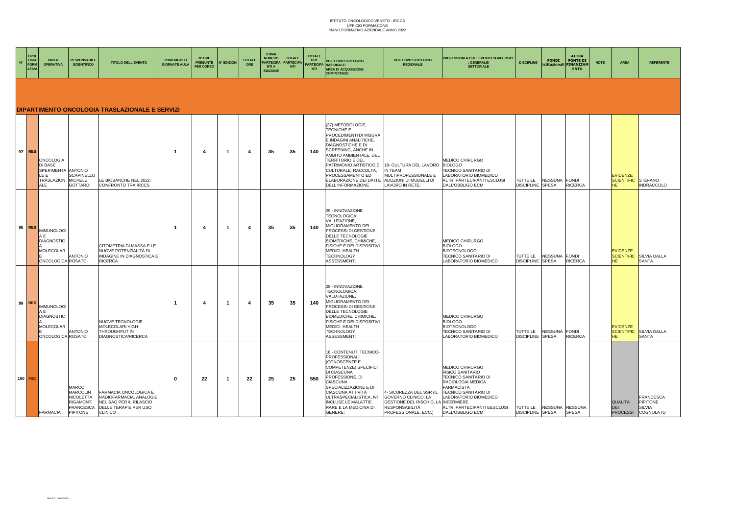| $N^{\circ}$ | TIPOL<br><b>OGIA</b><br>FORM<br><b>ATIVA</b> | <b>UNITA'</b><br><b>OPERATIVA</b>                                                             | <b>RESPONSABILE</b><br><b>SCIENTIFICO</b>                                                 | <b>TITOLO DELL'EVENTO</b>                                                                                              | <b>POMERIGGIO</b><br><b>GIORNATE AULA</b> | N° ORE<br><b>PRESUNTE</b><br>PER CORSO | IN° EDIZIONI | <b>TOTALE</b>         | <b>STIMA</b><br><b>NUMERO</b><br><b>PARTECIPA</b><br><b>NTI A</b><br><b>EDIZIONE</b> | <b>TOTALE</b><br>PARTECIPA<br><b>NTI</b> | <b>TOTALE</b><br>ORE<br><b>NTI</b> | <b>OBIETTIVO STRTEGICO</b><br>PARTECIPA NAZIONALE:<br><b>AREA DI ACQUISIZIONE</b><br><b>COMPETENZE</b>                                                                                                                                                                                                                                                   | <b>OBIETTIVO STRTEGICO</b><br><b>REGIONALE</b>                                                                                   | <b>PROFESSIONI A CUI L'EVENTO SI RIFERISCE</b><br>: GENERALE/<br><b>SETTORIALE</b>                                                                                                                               | <b>FONDI</b><br><b>DISCIPLINE</b>                    | <b>ALTRA</b><br><b>FONTE DI</b><br>istituzionali FINANZIAM<br><b>ENTO</b> | AREA<br><b>NOTE</b>                         | <b>REFERENTE</b>                                             |
|-------------|----------------------------------------------|-----------------------------------------------------------------------------------------------|-------------------------------------------------------------------------------------------|------------------------------------------------------------------------------------------------------------------------|-------------------------------------------|----------------------------------------|--------------|-----------------------|--------------------------------------------------------------------------------------|------------------------------------------|------------------------------------|----------------------------------------------------------------------------------------------------------------------------------------------------------------------------------------------------------------------------------------------------------------------------------------------------------------------------------------------------------|----------------------------------------------------------------------------------------------------------------------------------|------------------------------------------------------------------------------------------------------------------------------------------------------------------------------------------------------------------|------------------------------------------------------|---------------------------------------------------------------------------|---------------------------------------------|--------------------------------------------------------------|
|             |                                              |                                                                                               |                                                                                           | DIPARTIMENTO ONCOLOGIA TRASLAZIONALE E SERVIZI                                                                         |                                           |                                        |              |                       |                                                                                      |                                          |                                    |                                                                                                                                                                                                                                                                                                                                                          |                                                                                                                                  |                                                                                                                                                                                                                  |                                                      |                                                                           |                                             |                                                              |
|             | 97 RES                                       | <b>ONCOLOGIA</b><br>DI BASE<br>SPERIMENTA ANTONIO<br>LE E<br>TRASLAZION MICHELE<br><b>ALE</b> | <b>SCAPINELLO</b><br><b>GOTTARDI</b>                                                      | LE BIOBANCHE NEL 2022:<br>CONFRONTO TRA IRCCS                                                                          | $\mathbf 1$                               | 4                                      | -1           | $\boldsymbol{\Delta}$ | 35                                                                                   | 35                                       | 140                                | (37) METODOLOGIE,<br>TECNICHE E<br>PROCEDIMENTI DI MISURA<br>E INDAGINI ANALITICHE,<br>DIAGNOSTICHE E DI<br>SCREENING, ANCHE IN<br>AMBITO AMBIENTALE, DEL<br><b>TERRITORIO E DEL</b><br>PATRIMONIO ARTISTICO E 19- CULTURA DEL LAVORO<br>CULTURALE. RACCOLTA,<br>PROCESSAMENTO ED<br>ELABORAZIONE DEI DATI E ADOZIONI DI MODELLI DI<br>DELL'INFORMAZIONE | <b>IN TEAM</b><br>MULTIPROFESSIONALE E<br>LAVORO IN RETE;                                                                        | MEDICO CHIRURGO<br><b>BIOLOGO</b><br>TECNICO SANITARIO DI<br>LABORATORIO BIOMEDICO<br>ALTRI PARTECIPANTI ESCLUSI<br>DALL'OBBLIGO ECM                                                                             | NESSUNA FONDI<br>TUTTE LE<br><b>DISCIPLINE SPESA</b> | <b>RICERCA</b>                                                            | <b>EVIDENZE</b><br><b>SCIENTIFIC</b><br>HE. | STEFANO<br><b>INDRACCOLO</b>                                 |
|             | 98 RES                                       | <b>IMMUNOLOGI</b><br>A F<br><b>DIAGNOSTIC</b><br><b>MOLECOLAR</b><br>ONCOLOGICA ROSATO        | <b>ANTONIO</b>                                                                            | CITOMETRIA DI MASSA E LE<br>NUOVE POTENZIALITÀ DI<br><b>INDAGINE IN DIAGNOSTICA E</b><br><b>RICERCA</b>                | $\overline{1}$                            | 4                                      | -1           | $\boldsymbol{A}$      | 35                                                                                   | 35                                       | 140                                | 29 - INNOVAZIONE<br>TECNOLOGICA:<br>VALUTAZIONE,<br>MIGLIORAMENTO DEI<br>PROCESSI DI GESTIONE<br>DELLE TECNOLOGIE<br>BIOMEDICHE, CHIMICHE<br>FISICHE E DEI DISPOSITIVI<br>MEDICI. HEALTH<br><b>TECHNOLOGY</b><br>ASSESSMENT:                                                                                                                             |                                                                                                                                  | MEDICO CHIRURGO<br><b>BIOLOGO</b><br><b>BIOTECNOLOGO</b><br>TECNICO SANITARIO DI<br>LABORATORIO BIOMEDICO                                                                                                        | NESSUNA FONDI<br>TUTTE LE<br><b>DISCIPLINE SPESA</b> | <b>RICERCA</b>                                                            | <b>EVIDENZE</b><br>HE.                      | SCIENTIFIC SILVIA DALLA<br><b>SANTA</b>                      |
|             | 99 RES                                       | <b>IMMUNOLOGI</b><br>A F<br><b>DIAGNOSTIC</b><br><b>MOLECOLAR</b><br>ONCOLOGICA ROSATO        | <b>ANTONIO</b>                                                                            | NUOVE TECNOLOGIE<br>MOLECOLARI HIGH-<br>THROUGHPUT IN<br><b>DIAGNOSTICA/RICERCA</b>                                    | -1                                        | 4                                      | -1           | 4                     | 35                                                                                   | 35                                       | 140                                | 29 - INNOVAZIONE<br>TECNOLOGICA:<br>VALUTAZIONE,<br>MIGLIORAMENTO DEI<br>PROCESSI DI GESTIONE<br>DELLE TECNOLOGIE<br>BIOMEDICHE, CHIMICHE,<br>FISICHE E DEI DISPOSITIVI<br>MEDICI, HEALTH<br><b>TECHNOLOGY</b><br>ASSESSMENT:                                                                                                                            |                                                                                                                                  | MEDICO CHIRURGO<br><b>BIOLOGO</b><br><b>BIOTECNOLOGO</b><br>TECNICO SANITARIO DI<br>LABORATORIO BIOMEDICO                                                                                                        | TUTTE LE<br>NESSUNA FONDI<br><b>DISCIPLINE SPESA</b> | <b>RICERCA</b>                                                            | <b>EVIDENZE</b><br>HE.                      | <b>SCIENTIFIC</b> SILVIA DALLA<br><b>SANTA</b>               |
|             | 100 FSC                                      | <b>FARMACIA</b>                                                                               | MARCO<br>MARCOLIN<br><b>NICOLETTA</b><br><b>RIGAMONTI</b><br><b>FRANCESCA</b><br>PIPITONE | FARMACIA ONCOLOGICA E<br>RADIOFARMACIA. ANALOGIE<br>NEL SAQ PER IL RILASCIO<br>DELLE TERAPIE PER USO<br><b>CLINICO</b> | $\Omega$                                  | 22                                     | -1           | 22                    | 25                                                                                   | 25                                       | 550                                | 18 - CONTENUTI TECNICO-<br><b>PROFESSIONALI</b><br>(CONOSCENZE E<br>COMPETENZE) SPECIFICI<br>DI CIASCUNA<br>PROFESSIONE, DI<br><b>CIASCUNA</b><br>SPECIALIZZAZIONE E DI<br>CIASCUNA ATTIVITÀ<br>ULTRASPECIALISTICA, IVI<br><b>INCLUSE LE MALATTIE</b><br>RARE E LA MEDICINA DI<br>GENERE:                                                                | 4- SICUREZZA DEL SSR (IL<br>GOVERNO CLINICO, LA<br>GESTIONE DEL RISCHIO, LA INFERMIERE<br>RESPONSABILITÀ<br>PROFESSIONALE, ECC.) | MEDICO CHIRURGO<br><b>FISICO SANITARIO</b><br>TECNICO SANITARIO DI<br>RADIOLOGIA MEDICA<br><b>FARMACISTA</b><br>TECNICO SANITARIO DI<br>LABORATORIO BIOMEDICO<br>ALTRI PARTECIPANTI EESCLUSI<br>DALL'OBBLIGO ECM | TUTTE LE NESSUNA NESSUNA<br><b>DISCIPLINE SPESA</b>  | <b>SPESA</b>                                                              | QUALITA'<br><b>DEI</b>                      | <b>FRANCESCA</b><br>PIPITONE<br>SILVIA<br>PROCESSI COGNOLATO |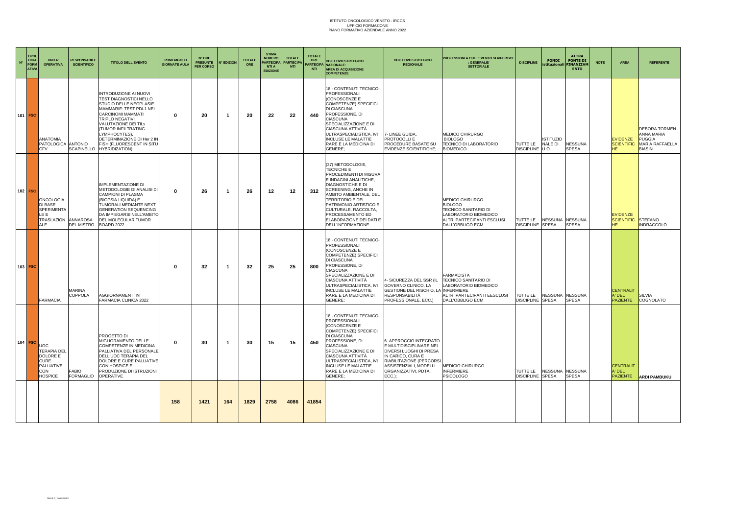| $N^{\circ}$ | <b>TIPOL</b><br><b>OGIA</b><br>FORM<br><b>ATIVA</b> | <b>UNITA</b><br><b>OPERATIVA</b>                                                            | <b>RESPONSABILE</b><br><b>SCIENTIFICO</b> | <b>TITOLO DELL'EVENTO</b>                                                                                                                                                                                                                                                                                              | <b>POMERIGGI O</b><br>GIORNATE AUL/ | N° ORE<br><b>PRESUNTE</b><br><b>PER CORSO</b> | N° EDIZIONI | <b>TOTALE</b><br>ORE | <b>STIMA</b><br><b>NUMERO</b><br><b>PARTECIPA</b><br><b>NTI A</b><br><b>EDIZIONE</b> | <b>TOTALE</b><br><b>PARTECIPA</b><br><b>NTI</b> | <b>TOTALE</b><br>ORE<br><b>NTI</b> | <b>OBIETTIVO STRTEGICO</b><br><b>ARTECIPA NAZIONALE:</b><br><b>AREA DI ACQUISIZIONE</b><br><b>COMPETENZE</b>                                                                                                                                                                                                             | <b>OBIETTIVO STRTEGICO</b><br><b>REGIONALE</b>                                                                                                                                                     | <b>PROFESSIONI A CUI L'EVENTO SI RIFERISCI</b><br>: GENERALE/<br><b>SETTORIALE</b>                                                            | <b>DISCIPLINE</b>                   | <b>FONDI</b><br>stituzionali FINANZIAM | <b>ALTRA</b><br><b>FONTE DI</b><br><b>ENTO</b> | <b>NOTE</b> | <b>AREA</b>                                       | <b>REFERENTE</b>                                                                 |
|-------------|-----------------------------------------------------|---------------------------------------------------------------------------------------------|-------------------------------------------|------------------------------------------------------------------------------------------------------------------------------------------------------------------------------------------------------------------------------------------------------------------------------------------------------------------------|-------------------------------------|-----------------------------------------------|-------------|----------------------|--------------------------------------------------------------------------------------|-------------------------------------------------|------------------------------------|--------------------------------------------------------------------------------------------------------------------------------------------------------------------------------------------------------------------------------------------------------------------------------------------------------------------------|----------------------------------------------------------------------------------------------------------------------------------------------------------------------------------------------------|-----------------------------------------------------------------------------------------------------------------------------------------------|-------------------------------------|----------------------------------------|------------------------------------------------|-------------|---------------------------------------------------|----------------------------------------------------------------------------------|
|             | 101 FSC                                             | <b>ANATOMIA</b><br>PATOLOGICA ANTONIO<br><b>CFV</b>                                         | <b>SCAPINELLO</b>                         | INTRODUZIONE AI NUOVI<br><b>TEST DIAGNOSTICI NELLO</b><br><b>STUDIO DELLE NEOPLASIE</b><br>MAMMARIE: TEST PDL1 NEI<br><b>CARCINOMI MAMMATI</b><br>TRIPLO NEGATIVI,<br>VALUTAZIONE DEI TILS<br>(TUMOR INFILTRATING<br>LYMPHOCYTES),<br>DETERMINAZIONE DI Her 2 IN<br>FISH (FLUORESCENT IN SITU<br><b>HYBRIDIZATION)</b> | $\mathbf 0$                         | 20                                            | - 1         | 20                   | 22                                                                                   | 22                                              | 440                                | 18 - CONTENUTI TECNICO-<br>PROFESSIONALI<br>(CONOSCENZE E<br>COMPETENZE) SPECIFICI<br>DI CIASCUNA<br>PROFESSIONE, DI<br><b>CIASCUNA</b><br>SPECIALIZZAZIONE E DI<br><b>CIASCUNA ATTIVITÀ</b><br>ULTRASPECIALISTICA, IVI<br><b>INCLUSE LE MALATTIE</b><br>RARE E LA MEDICINA DI<br>GENERE:                                | 7- LINEE GUIDA,<br>PROTOCOLLI E<br>PROCEDURE BASATE SU<br>EVIDENZE SCIENTIFICHE:                                                                                                                   | MEDICO CHIRURGO<br><b>BIOLOGO</b><br><b>FECNICO DI LABORATORIO</b><br><b>BIOMEDICO</b>                                                        | TUTTE LE<br>DISCIPLINE U.O.         | <b>ISTITUZIO</b><br>NALE DI            | <b>NESSUNA</b><br><b>SPESA</b>                 |             | <b>EVIDENZE</b><br><b>SCIENTIFIC</b><br>HF        | <b>DEBORA TORMEN</b><br>ANNA MARIA<br>PUGGIA<br>MARIA RAFFAELLA<br><b>BIASIN</b> |
|             | 102 FSC                                             | <b>ONCOLOGIA</b><br>DI BASE<br>SPERIMENTA<br>LE E<br><b>TRASLAZION</b><br>ALE               | <b>ANNAROSA</b><br><b>DEL MISTRO</b>      | <b>IMPLEMENTAZIONE DI</b><br>METODOLOGIE DI ANALISI DI<br>CAMPIONI DI PLASMA<br>(BIOPSIA LIQUIDA) E<br>TUMORALI MEDIANTE NEXT<br><b>GENERATION SEQUENCING</b><br>DA IMPIEGARSI NELL'AMBITO<br>DEL MOLECULAR TUMOR<br><b>BOARD 2022</b>                                                                                 | $\bf{0}$                            | -26                                           | - 1         | 26                   | 12                                                                                   | 12                                              | 312                                | (37) METODOLOGIE,<br><b>TECNICHE E</b><br>PROCEDIMENTI DI MISURA<br>E INDAGINI ANALITICHE,<br><b>DIAGNOSTICHE E DI</b><br><b>SCREENING, ANCHE IN</b><br>AMBITO AMBIENTALE, DEL<br>TERRITORIO E DEL<br>PATRIMONIO ARTISTICO E<br>CULTURALE. RACCOLTA,<br>PROCESSAMENTO ED<br>ELABORAZIONE DEI DATI E<br>DELL'INFORMAZIONE |                                                                                                                                                                                                    | MEDICO CHIRURGO<br><b>BIOLOGO</b><br><b>TECNICO SANITARIO DI</b><br>LABORATORIO BIOMEDICO<br>ALTRI PARTECIPANTI ESCLUSI<br>DALL'OBBLIGO ECM   | TUTTE LE<br><b>DISCIPLINE SPESA</b> | NESSUNA NESSUNA                        | <b>SPESA</b>                                   |             | <b>EVIDENZE</b><br><b>SCIENTIFIC</b><br><b>HF</b> | <b>STEFANO</b><br><b>INDRACCOLO</b>                                              |
|             | 103 FSC                                             | <b>FARMACIA</b>                                                                             | MARINA<br>COPPOLA                         | AGGIORNAMENTI IN<br>FARMACIA CLINICA 2022                                                                                                                                                                                                                                                                              | 0                                   | 32                                            | - 1         | 32                   | 25                                                                                   | 25                                              | 800                                | 18 - CONTENUTI TECNICO-<br>PROFESSIONALI<br>(CONOSCENZE E<br>COMPETENZE) SPECIFICI<br>DI CIASCUNA<br>PROFESSIONE, DI<br><b>CIASCUNA</b><br>SPECIALIZZAZIONE E DI<br>CIASCUNA ATTIVITÀ<br>ULTRASPECIALISTICA, IVI<br><b>INCLUSE LE MALATTIE</b><br>RARE E LA MEDICINA DI<br>GENERE:                                       | - SICUREZZA DEL SSR (IL<br>GOVERNO CLINICO, LA<br>GESTIONE DEL RISCHIO,<br>RESPONSABILITÀ<br>PROFESSIONALE, ECC.)                                                                                  | <b>FARMACISTA</b><br>TECNICO SANITARIO DI<br>LABORATORIO BIOMEDICO<br><b>LA INFERMIERE</b><br>ALTRI PARTECIPANTI EESCLUSI<br>DALL'OBBLIGO ECM | TUTTE LE<br><b>DISCIPLINE SPESA</b> | NESSUNA NESSUNA                        | <b>SPESA</b>                                   |             | <b>CENTRALIT</b><br>A' DEL<br><b>PAZIENTE</b>     | <b>SILVIA</b><br>COGNOLATO                                                       |
|             | 104 FSC                                             | <b>JOC</b><br><b>TERAPIA DEL</b><br>DOLORE E<br>CURE<br>PALLIATIVE<br>CON<br><b>HOSPICE</b> | <b>FABIO</b><br><b>FORMAGLIO</b>          | PROGETTO DI<br>MIGLIORAMENTO DELLE<br>COMPETENZE IN MEDICINA<br>PALLIATIVA DEL PERSONALE<br>DELL'UOC TERAPIA DEL<br>DOLORE E CURE PALLIATIVE<br>CON HOSPICE E<br>PRODUZIONE DI ISTRUZIONI<br>OPERATIVE                                                                                                                 | $\mathbf{0}$                        | 30                                            | - 1         | 30                   | 15                                                                                   | 15                                              | 450                                | 18 - CONTENUTI TECNICO-<br>PROFESSIONALI<br>(CONOSCENZE E<br>COMPETENZE) SPECIFICI<br>DI CIASCUNA<br>PROFESSIONE, DI<br><b>CIASCUNA</b><br>SPECIALIZZAZIONE E DI<br>CIASCUNA ATTIVITÀ<br>ULTRASPECIALISTICA, IVI<br><b>INCLUSE LE MALATTIE</b><br>RARE E LA MEDICINA DI<br>GENERE:                                       | 6- APPROCCIO INTEGRATO<br><b>EMULTIDISCIPLINARE NEI</b><br>DIVERSI LUOGHI DI PRESA<br>IN CARICO, CURA E<br>RIABILITAZIONE (PERCORSI<br>ASSISTENZIALI, MODELLI<br>ORGANIZZATIVI, PDTA,<br>$ECC.$ ): | MEDICIO CHIRURGO<br><b>INFERMIERE</b><br><b>PSICOLOGO</b>                                                                                     | TUTTE LE<br>DISCIPLINE SPESA        | NESSUNA NESSUNA                        | <b>SPESA</b>                                   |             | <b>CENTRALIT</b><br>A' DEL<br><b>PAZIENTE</b>     | <b>ARDI PAMBUKU</b>                                                              |
|             |                                                     |                                                                                             |                                           |                                                                                                                                                                                                                                                                                                                        | 158                                 | 1421                                          | 164         | 1829                 | 2758                                                                                 | 4086                                            | 41854                              |                                                                                                                                                                                                                                                                                                                          |                                                                                                                                                                                                    |                                                                                                                                               |                                     |                                        |                                                |             |                                                   |                                                                                  |